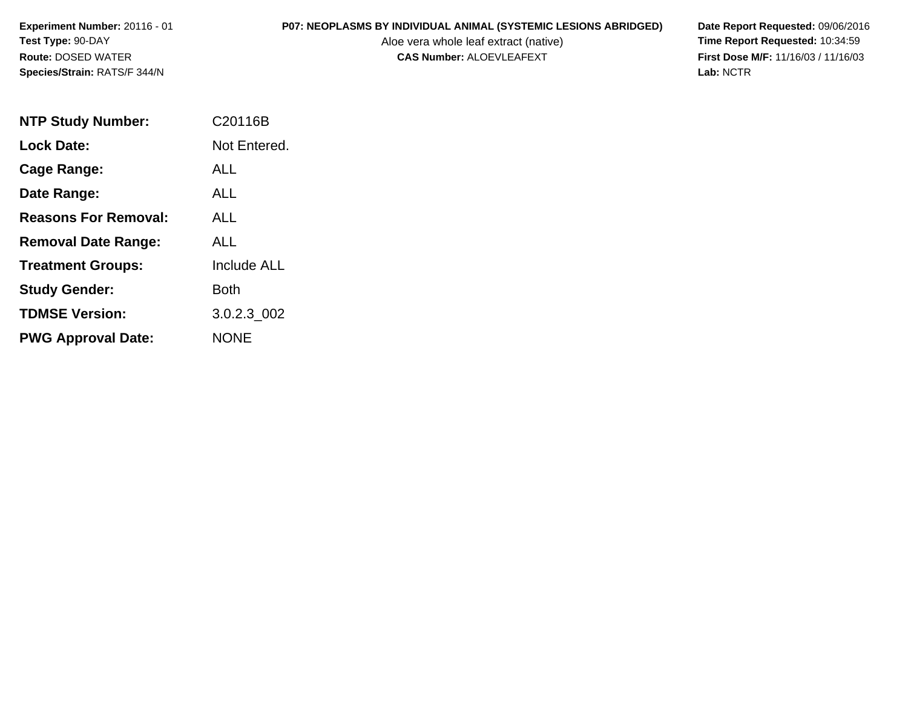Aloe vera whole leaf extract (native)<br>**CAS Number:** ALOEVLEAFEXT

| <b>NTP Study Number:</b>    | C <sub>20116</sub> B |
|-----------------------------|----------------------|
| <b>Lock Date:</b>           | Not Entered.         |
| Cage Range:                 | ALL.                 |
| Date Range:                 | ALL                  |
| <b>Reasons For Removal:</b> | ALL.                 |
| <b>Removal Date Range:</b>  | ALL                  |
| <b>Treatment Groups:</b>    | <b>Include ALL</b>   |
| <b>Study Gender:</b>        | Both                 |
| <b>TDMSE Version:</b>       | 3.0.2.3 002          |
| <b>PWG Approval Date:</b>   | NONE                 |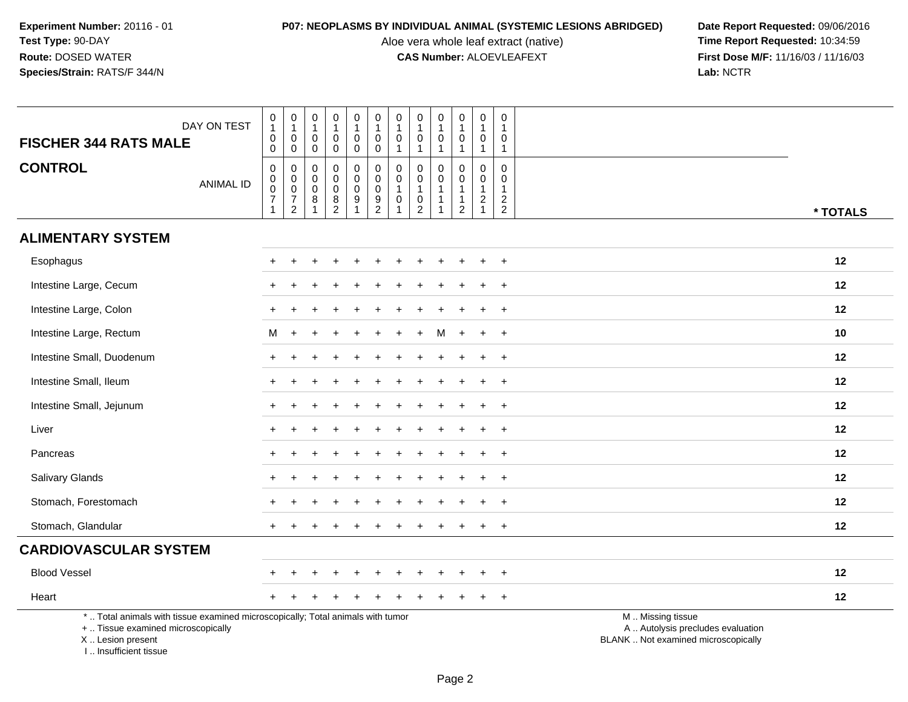Aloe vera whole leaf extract (native)<br>**CAS Number:** ALOEVLEAFEXT

| <b>FISCHER 344 RATS MALE</b>                                                                                                                                        | DAY ON TEST      | $\pmb{0}$<br>$\mathbf{1}$<br>$\pmb{0}$<br>$\mathbf 0$             | $\pmb{0}$<br>$\mathbf{1}$<br>$\pmb{0}$<br>$\mathbf 0$                  | $\mathbf 0$<br>$\overline{1}$<br>$\mathbf 0$<br>0                              | $\pmb{0}$<br>$\mathbf{1}$<br>$\mathbf 0$<br>0                                               | 0<br>$\mathbf{1}$<br>$\mathbf 0$<br>0               | $\pmb{0}$<br>$\mathbf{1}$<br>$\mathbf 0$<br>$\mathbf 0$          | $\mathbf 0$<br>$\mathbf{1}$<br>$\mathbf 0$<br>$\mathbf{1}$ | $\pmb{0}$<br>$\mathbf{1}$<br>0<br>$\mathbf{1}$        | $\pmb{0}$<br>$\mathbf{1}$<br>$\mathbf 0$<br>$\mathbf 1$                      | $\pmb{0}$<br>$\mathbf{1}$<br>0<br>$\overline{1}$                    | $\boldsymbol{0}$<br>$\overline{1}$<br>$\mathbf 0$<br>$\mathbf{1}$                     | 0<br>1<br>0<br>$\mathbf{1}$                                 |                                                                                               |
|---------------------------------------------------------------------------------------------------------------------------------------------------------------------|------------------|-------------------------------------------------------------------|------------------------------------------------------------------------|--------------------------------------------------------------------------------|---------------------------------------------------------------------------------------------|-----------------------------------------------------|------------------------------------------------------------------|------------------------------------------------------------|-------------------------------------------------------|------------------------------------------------------------------------------|---------------------------------------------------------------------|---------------------------------------------------------------------------------------|-------------------------------------------------------------|-----------------------------------------------------------------------------------------------|
| <b>CONTROL</b>                                                                                                                                                      | <b>ANIMAL ID</b> | $\pmb{0}$<br>$_{\rm 0}^{\rm 0}$<br>$\overline{7}$<br>$\mathbf{1}$ | 0<br>$\mathbf 0$<br>$\overline{0}$<br>$\overline{7}$<br>$\overline{2}$ | $\mathbf 0$<br>$\mathbf 0$<br>$\ddot{\mathbf{0}}$<br>$\bf 8$<br>$\overline{1}$ | $\mathbf 0$<br>$\mathbf 0$<br>$\mathbf 0$<br>$\begin{smallmatrix} 8 \\ 2 \end{smallmatrix}$ | 0<br>$\mathbf 0$<br>$\mathbf 0$<br>$\boldsymbol{9}$ | $\pmb{0}$<br>$\mathbf 0$<br>$\ddot{\mathbf{0}}$<br>$\frac{9}{2}$ | 0<br>$\mathbf 0$<br>$\mathbf{1}$<br>$\mathbf 0$<br>1       | 0<br>0<br>$\mathbf{1}$<br>$\pmb{0}$<br>$\overline{2}$ | $\mathbf 0$<br>$\mathbf 0$<br>$\mathbf{1}$<br>$\overline{1}$<br>$\mathbf{1}$ | 0<br>$\mathsf{O}$<br>$\overline{1}$<br>$\overline{1}$<br>$\sqrt{2}$ | $\mathbf 0$<br>$\mathbf 0$<br>$\overline{1}$<br>$\begin{array}{c} 2 \\ 1 \end{array}$ | $\mathbf 0$<br>$\mathbf 0$<br>$\mathbf{1}$<br>$\frac{2}{2}$ | * TOTALS                                                                                      |
| <b>ALIMENTARY SYSTEM</b>                                                                                                                                            |                  |                                                                   |                                                                        |                                                                                |                                                                                             |                                                     |                                                                  |                                                            |                                                       |                                                                              |                                                                     |                                                                                       |                                                             |                                                                                               |
| Esophagus                                                                                                                                                           |                  |                                                                   |                                                                        |                                                                                |                                                                                             |                                                     |                                                                  |                                                            |                                                       |                                                                              |                                                                     |                                                                                       |                                                             | 12                                                                                            |
| Intestine Large, Cecum                                                                                                                                              |                  |                                                                   |                                                                        |                                                                                |                                                                                             |                                                     |                                                                  |                                                            |                                                       |                                                                              |                                                                     |                                                                                       | ÷.                                                          | 12                                                                                            |
| Intestine Large, Colon                                                                                                                                              |                  |                                                                   |                                                                        |                                                                                |                                                                                             |                                                     |                                                                  |                                                            |                                                       |                                                                              |                                                                     |                                                                                       | $\ddot{}$                                                   | 12                                                                                            |
| Intestine Large, Rectum                                                                                                                                             |                  | M                                                                 | $+$                                                                    |                                                                                |                                                                                             |                                                     |                                                                  |                                                            |                                                       | м                                                                            | $+$                                                                 | $\ddot{}$                                                                             | $+$                                                         | 10                                                                                            |
| Intestine Small, Duodenum                                                                                                                                           |                  |                                                                   |                                                                        |                                                                                |                                                                                             |                                                     |                                                                  |                                                            |                                                       |                                                                              |                                                                     |                                                                                       | $\ddot{}$                                                   | 12                                                                                            |
| Intestine Small, Ileum                                                                                                                                              |                  |                                                                   |                                                                        |                                                                                |                                                                                             |                                                     |                                                                  |                                                            |                                                       |                                                                              |                                                                     |                                                                                       |                                                             | 12                                                                                            |
| Intestine Small, Jejunum                                                                                                                                            |                  |                                                                   |                                                                        |                                                                                |                                                                                             |                                                     |                                                                  |                                                            |                                                       |                                                                              |                                                                     |                                                                                       | $\ddot{}$                                                   | 12                                                                                            |
| Liver                                                                                                                                                               |                  |                                                                   |                                                                        |                                                                                |                                                                                             |                                                     |                                                                  |                                                            |                                                       |                                                                              |                                                                     |                                                                                       | $\ddot{}$                                                   | 12                                                                                            |
| Pancreas                                                                                                                                                            |                  |                                                                   |                                                                        |                                                                                |                                                                                             |                                                     |                                                                  |                                                            |                                                       |                                                                              |                                                                     |                                                                                       | $\ddot{}$                                                   | 12                                                                                            |
| Salivary Glands                                                                                                                                                     |                  | $+$                                                               |                                                                        |                                                                                |                                                                                             |                                                     |                                                                  |                                                            |                                                       |                                                                              |                                                                     |                                                                                       | $\ddot{}$                                                   | 12                                                                                            |
| Stomach, Forestomach                                                                                                                                                |                  |                                                                   |                                                                        |                                                                                |                                                                                             |                                                     |                                                                  |                                                            |                                                       |                                                                              |                                                                     |                                                                                       | $\ddot{}$                                                   | 12                                                                                            |
| Stomach, Glandular                                                                                                                                                  |                  |                                                                   |                                                                        |                                                                                |                                                                                             |                                                     |                                                                  |                                                            |                                                       |                                                                              |                                                                     |                                                                                       | $\ddot{}$                                                   | 12                                                                                            |
| <b>CARDIOVASCULAR SYSTEM</b>                                                                                                                                        |                  |                                                                   |                                                                        |                                                                                |                                                                                             |                                                     |                                                                  |                                                            |                                                       |                                                                              |                                                                     |                                                                                       |                                                             |                                                                                               |
| <b>Blood Vessel</b>                                                                                                                                                 |                  |                                                                   |                                                                        |                                                                                |                                                                                             |                                                     |                                                                  |                                                            |                                                       |                                                                              |                                                                     |                                                                                       | $\ddot{}$                                                   | 12                                                                                            |
| Heart                                                                                                                                                               |                  |                                                                   |                                                                        |                                                                                |                                                                                             |                                                     |                                                                  |                                                            |                                                       |                                                                              |                                                                     |                                                                                       | $\ddot{}$                                                   | 12                                                                                            |
| *  Total animals with tissue examined microscopically; Total animals with tumor<br>+  Tissue examined microscopically<br>X  Lesion present<br>I Insufficient tissue |                  |                                                                   |                                                                        |                                                                                |                                                                                             |                                                     |                                                                  |                                                            |                                                       |                                                                              |                                                                     |                                                                                       |                                                             | M  Missing tissue<br>A  Autolysis precludes evaluation<br>BLANK  Not examined microscopically |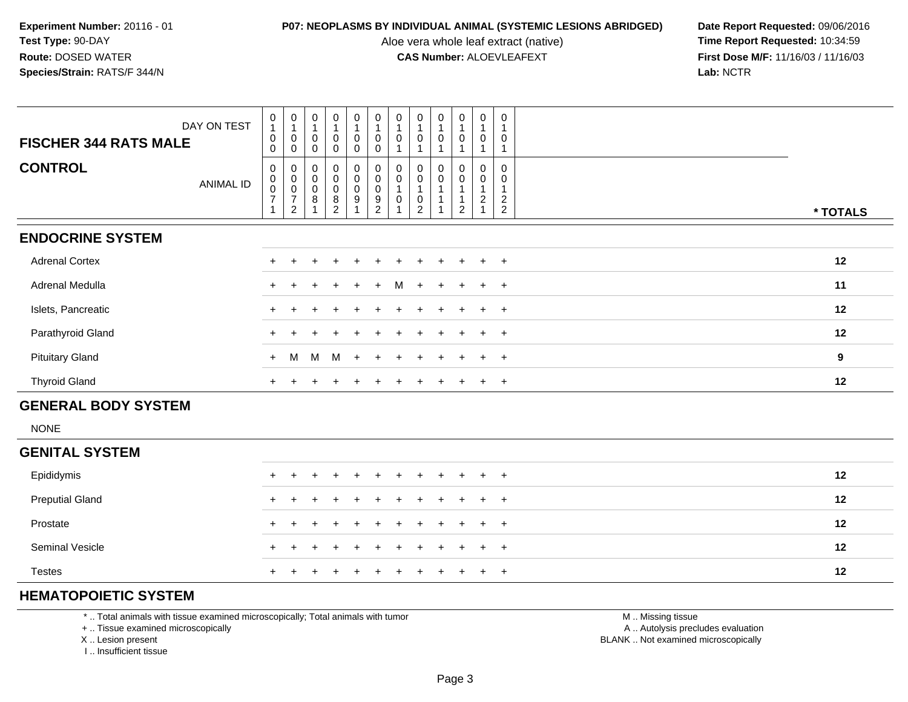Aloe vera whole leaf extract (native)<br>**CAS Number:** ALOEVLEAFEXT

**P07: NEOPLASMS BY INDIVIDUAL ANIMAL (SYSTEMIC LESIONS ABRIDGED) Date Report Requested: 09/06/2016<br>Aloe vera whole leaf extract (native) <b>Time Report Requested:** 10:34:59 **First Dose M/F:** 11/16/03 / 11/16/03<br>Lab: NCTR **Lab:** NCTR

| <b>FISCHER 344 RATS MALE</b> | DAY ON TEST      | $\begin{smallmatrix}0\\1\end{smallmatrix}$<br>$\pmb{0}$<br>$\mathbf 0$ | $\boldsymbol{0}$<br>1<br>0<br>0                                 | 0<br>$\,0\,$<br>$\Omega$ | $\overline{0}$<br>$\boldsymbol{0}$<br>$\mathbf 0$ | 0<br>$\pmb{0}$<br>0 | $\pmb{0}$<br>$\overline{1}$<br>$\pmb{0}$<br>$\mathbf 0$                                       | $\mathbf 0$<br>$\mathbf{1}$<br>0    | $\pmb{0}$<br>$\boldsymbol{0}$                                                      | $\mathbf 0$<br>0 | $\mathbf 0$<br>$\overline{1}$<br>$\boldsymbol{0}$            | $\boldsymbol{0}$<br>$\mathbf 0$ | $\pmb{0}$<br>0                                       |          |
|------------------------------|------------------|------------------------------------------------------------------------|-----------------------------------------------------------------|--------------------------|---------------------------------------------------|---------------------|-----------------------------------------------------------------------------------------------|-------------------------------------|------------------------------------------------------------------------------------|------------------|--------------------------------------------------------------|---------------------------------|------------------------------------------------------|----------|
| <b>CONTROL</b>               | <b>ANIMAL ID</b> | $\mathbf 0$<br>$\pmb{0}$<br>$\frac{0}{7}$<br>$\mathbf{1}$              | 0<br>$\pmb{0}$<br>$\pmb{0}$<br>$\overline{7}$<br>$\overline{c}$ | 0<br>0<br>0<br>8         | $_0^0$<br>$\pmb{0}$<br>$\bf 8$<br>2               | 0<br>0<br>0<br>9    | $\begin{smallmatrix}0\\0\end{smallmatrix}$<br>$\pmb{0}$<br>$\boldsymbol{9}$<br>$\overline{c}$ | 0<br>$\pmb{0}$<br>$\mathbf{1}$<br>0 | $\begin{smallmatrix} 0\\0 \end{smallmatrix}$<br>$\boldsymbol{0}$<br>$\overline{2}$ | 0<br>0           | 0<br>$\mathsf{O}\xspace$<br>$\overline{A}$<br>$\overline{c}$ | 0<br>$\pmb{0}$<br>$\sqrt{2}$    | $\mathbf 0$<br>0<br>$\overline{c}$<br>$\overline{2}$ | * TOTALS |
| <b>ENDOCRINE SYSTEM</b>      |                  |                                                                        |                                                                 |                          |                                                   |                     |                                                                                               |                                     |                                                                                    |                  |                                                              |                                 |                                                      |          |
| <b>Adrenal Cortex</b>        |                  |                                                                        |                                                                 |                          |                                                   |                     |                                                                                               |                                     |                                                                                    |                  |                                                              | $\pm$                           | $+$                                                  | 12       |
| Adrenal Medulla              |                  |                                                                        |                                                                 |                          | $\ddot{}$                                         | $+$                 | $+$                                                                                           | M                                   | $+$                                                                                | $\pm$            | $+$                                                          | $+$                             | $+$                                                  | 11       |
| Islets, Pancreatic           |                  |                                                                        |                                                                 |                          |                                                   | $\div$              |                                                                                               |                                     |                                                                                    | $\pm$            | $+$                                                          | $+$                             | $+$                                                  | 12       |
| Parathyroid Gland            |                  |                                                                        |                                                                 |                          |                                                   |                     |                                                                                               |                                     |                                                                                    |                  | $+$                                                          | $+$                             | $+$                                                  | 12       |
| <b>Pituitary Gland</b>       |                  | $+$                                                                    | M                                                               |                          | M M +                                             |                     | $+$                                                                                           | $\overline{+}$                      | $+$                                                                                | $\pm$            | $+$                                                          | $+$                             | $+$                                                  | 9        |
| <b>Thyroid Gland</b>         |                  | $+$                                                                    |                                                                 |                          |                                                   |                     |                                                                                               |                                     |                                                                                    | $\pm$            | $+$                                                          | $+$                             | $+$                                                  | 12       |
| <b>GENERAL BODY SYSTEM</b>   |                  |                                                                        |                                                                 |                          |                                                   |                     |                                                                                               |                                     |                                                                                    |                  |                                                              |                                 |                                                      |          |
| <b>NONE</b>                  |                  |                                                                        |                                                                 |                          |                                                   |                     |                                                                                               |                                     |                                                                                    |                  |                                                              |                                 |                                                      |          |

### **GENITAL SYSTEM**

| Epididymis             | + + + + + + + + + + + |  |  |  |  |  | 12 |
|------------------------|-----------------------|--|--|--|--|--|----|
| <b>Preputial Gland</b> | + + + + + + + + + + + |  |  |  |  |  | 12 |
| Prostate               | + + + + + + + + + + + |  |  |  |  |  | 12 |
| <b>Seminal Vesicle</b> | + + + + + + + + + + + |  |  |  |  |  | 12 |
| Testes                 | + + + + + + + + + + + |  |  |  |  |  | 12 |

# **HEMATOPOIETIC SYSTEM**

\* .. Total animals with tissue examined microscopically; Total animals with tumor

+ .. Tissue examined microscopically

X .. Lesion present

I .. Insufficient tissue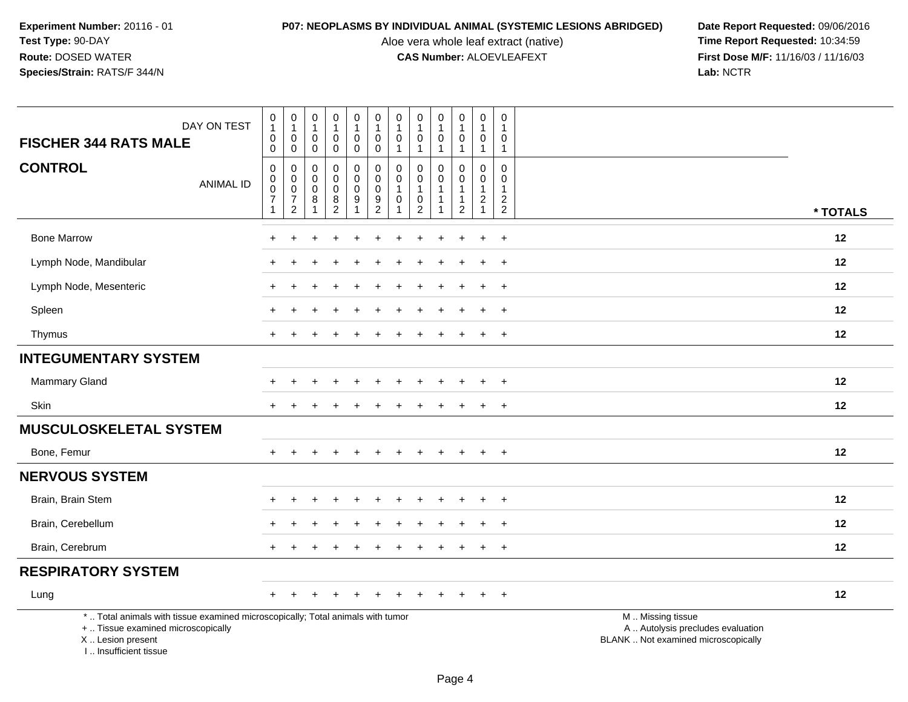Aloe vera whole leaf extract (native)<br>**CAS Number:** ALOEVLEAFEXT

| DAY ON TEST<br><b>FISCHER 344 RATS MALE</b>                                                                                                                         | $\pmb{0}$<br>$\mathbf{1}$<br>$\pmb{0}$<br>$\mathbf 0$                    | $\boldsymbol{0}$<br>$\mathbf{1}$<br>$\boldsymbol{0}$<br>$\mathbf 0$     | $\mathbf 0$<br>1<br>$\mathbf 0$<br>0 | $\pmb{0}$<br>$\mathbf{1}$<br>$\pmb{0}$<br>$\mathsf{O}\xspace$ | $\pmb{0}$<br>$\mathbf{1}$<br>$\mathbf 0$<br>$\mathbf 0$       | $\pmb{0}$<br>$\mathbf{1}$<br>$\mathbf 0$<br>$\mathbf 0$     | $\pmb{0}$<br>$\mathbf{1}$<br>$\pmb{0}$<br>$\mathbf{1}$                  | $\mathbf 0$<br>$\mathbf{1}$<br>$\mathbf 0$<br>$\overline{1}$      | $\pmb{0}$<br>$\mathbf{1}$<br>$\mathbf 0$ | $\mathsf{O}\xspace$<br>$\mathbf{1}$<br>$\mathbf 0$<br>$\mathbf{1}$ | $\mathsf 0$<br>$\mathbf{1}$<br>$\mathbf 0$<br>$\overline{1}$           | $\mathbf 0$<br>1<br>$\overline{0}$<br>$\mathbf{1}$                        |                                                                                               |
|---------------------------------------------------------------------------------------------------------------------------------------------------------------------|--------------------------------------------------------------------------|-------------------------------------------------------------------------|--------------------------------------|---------------------------------------------------------------|---------------------------------------------------------------|-------------------------------------------------------------|-------------------------------------------------------------------------|-------------------------------------------------------------------|------------------------------------------|--------------------------------------------------------------------|------------------------------------------------------------------------|---------------------------------------------------------------------------|-----------------------------------------------------------------------------------------------|
| <b>CONTROL</b><br><b>ANIMAL ID</b>                                                                                                                                  | $\pmb{0}$<br>$\begin{bmatrix} 0 \\ 0 \\ 7 \end{bmatrix}$<br>$\mathbf{1}$ | $\pmb{0}$<br>$\pmb{0}$<br>$\pmb{0}$<br>$\overline{7}$<br>$\overline{2}$ | 0<br>$\mathbf 0$<br>$\mathbf 0$<br>8 | $\pmb{0}$<br>$\pmb{0}$<br>$\pmb{0}$<br>8<br>$\overline{2}$    | 0<br>$\mathsf{O}$<br>$\mathsf{O}\xspace$<br>9<br>$\mathbf{1}$ | $\pmb{0}$<br>$\pmb{0}$<br>$\boldsymbol{0}$<br>$\frac{9}{2}$ | $\mathbf 0$<br>$\pmb{0}$<br>$\mathbf{1}$<br>$\mathbf 0$<br>$\mathbf{1}$ | $\mathbf 0$<br>0<br>$\mathbf{1}$<br>$\mathbf 0$<br>$\overline{2}$ | $\Omega$<br>$\Omega$                     | $\mathbf 0$<br>0<br>$\mathbf{1}$<br>$\overline{1}$<br>$\sqrt{2}$   | $\mathbf 0$<br>0<br>$\overline{1}$<br>$\boldsymbol{2}$<br>$\mathbf{1}$ | $\boldsymbol{0}$<br>$\mathbf 0$<br>-1<br>$\overline{2}$<br>$\overline{2}$ | * TOTALS                                                                                      |
| <b>Bone Marrow</b>                                                                                                                                                  |                                                                          |                                                                         |                                      |                                                               |                                                               |                                                             |                                                                         |                                                                   |                                          |                                                                    | ÷                                                                      | $\ddot{}$                                                                 | 12                                                                                            |
| Lymph Node, Mandibular                                                                                                                                              |                                                                          |                                                                         |                                      |                                                               |                                                               |                                                             |                                                                         |                                                                   |                                          |                                                                    |                                                                        | $\ddot{}$                                                                 | 12                                                                                            |
| Lymph Node, Mesenteric                                                                                                                                              |                                                                          |                                                                         |                                      |                                                               |                                                               |                                                             |                                                                         |                                                                   |                                          |                                                                    |                                                                        | $\div$                                                                    | 12                                                                                            |
| Spleen                                                                                                                                                              |                                                                          |                                                                         |                                      |                                                               |                                                               |                                                             |                                                                         |                                                                   |                                          |                                                                    |                                                                        | $\ddot{}$                                                                 | 12                                                                                            |
| Thymus                                                                                                                                                              |                                                                          |                                                                         |                                      |                                                               |                                                               |                                                             |                                                                         |                                                                   |                                          |                                                                    | $\ddot{}$                                                              | $+$                                                                       | 12                                                                                            |
| <b>INTEGUMENTARY SYSTEM</b>                                                                                                                                         |                                                                          |                                                                         |                                      |                                                               |                                                               |                                                             |                                                                         |                                                                   |                                          |                                                                    |                                                                        |                                                                           |                                                                                               |
| Mammary Gland                                                                                                                                                       |                                                                          |                                                                         |                                      |                                                               |                                                               |                                                             |                                                                         |                                                                   |                                          |                                                                    |                                                                        | $\ddot{}$                                                                 | 12                                                                                            |
| Skin                                                                                                                                                                | $+$                                                                      |                                                                         |                                      |                                                               |                                                               |                                                             |                                                                         |                                                                   |                                          |                                                                    | $\ddot{}$                                                              | $+$                                                                       | 12                                                                                            |
| <b>MUSCULOSKELETAL SYSTEM</b>                                                                                                                                       |                                                                          |                                                                         |                                      |                                                               |                                                               |                                                             |                                                                         |                                                                   |                                          |                                                                    |                                                                        |                                                                           |                                                                                               |
| Bone, Femur                                                                                                                                                         |                                                                          |                                                                         |                                      |                                                               |                                                               |                                                             |                                                                         |                                                                   |                                          |                                                                    |                                                                        | $+$                                                                       | 12                                                                                            |
| <b>NERVOUS SYSTEM</b>                                                                                                                                               |                                                                          |                                                                         |                                      |                                                               |                                                               |                                                             |                                                                         |                                                                   |                                          |                                                                    |                                                                        |                                                                           |                                                                                               |
| Brain, Brain Stem                                                                                                                                                   |                                                                          |                                                                         |                                      |                                                               |                                                               |                                                             |                                                                         |                                                                   |                                          |                                                                    | ÷                                                                      | $\ddot{}$                                                                 | 12                                                                                            |
| Brain, Cerebellum                                                                                                                                                   |                                                                          |                                                                         |                                      |                                                               |                                                               |                                                             |                                                                         |                                                                   |                                          |                                                                    | ÷                                                                      | $\ddot{}$                                                                 | 12                                                                                            |
| Brain, Cerebrum                                                                                                                                                     |                                                                          |                                                                         |                                      |                                                               |                                                               |                                                             |                                                                         |                                                                   |                                          |                                                                    |                                                                        | $\ddot{}$                                                                 | 12                                                                                            |
| <b>RESPIRATORY SYSTEM</b>                                                                                                                                           |                                                                          |                                                                         |                                      |                                                               |                                                               |                                                             |                                                                         |                                                                   |                                          |                                                                    |                                                                        |                                                                           |                                                                                               |
| Lung                                                                                                                                                                |                                                                          |                                                                         |                                      |                                                               |                                                               |                                                             |                                                                         |                                                                   |                                          |                                                                    |                                                                        | $\ddot{}$                                                                 | 12                                                                                            |
| *  Total animals with tissue examined microscopically; Total animals with tumor<br>+  Tissue examined microscopically<br>X  Lesion present<br>I Insufficient tissue |                                                                          |                                                                         |                                      |                                                               |                                                               |                                                             |                                                                         |                                                                   |                                          |                                                                    |                                                                        |                                                                           | M  Missing tissue<br>A  Autolysis precludes evaluation<br>BLANK  Not examined microscopically |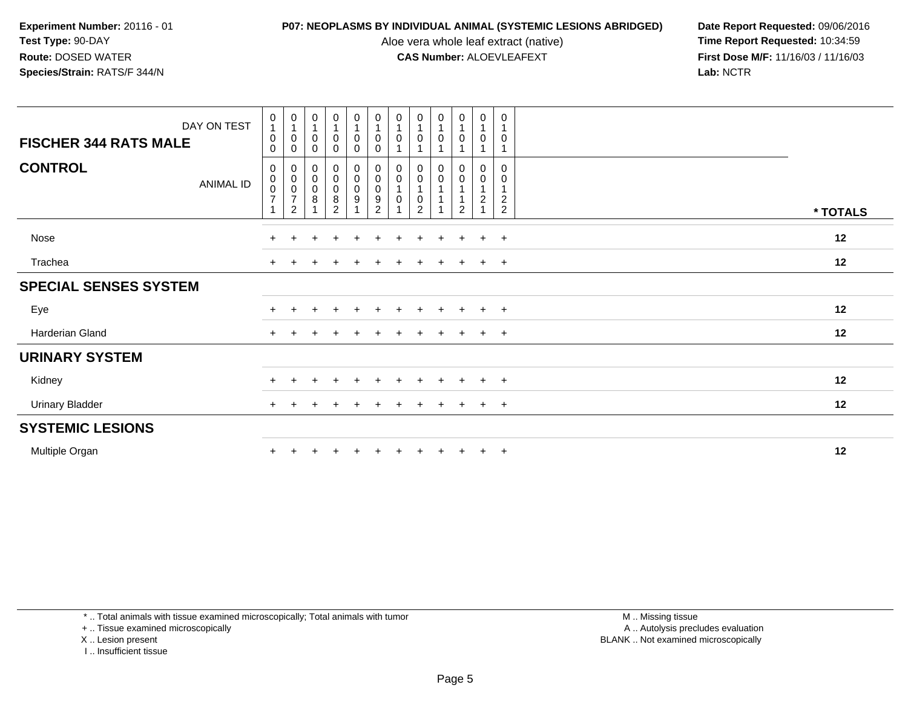Aloe vera whole leaf extract (native)<br>**CAS Number:** ALOEVLEAFEXT

**P07: NEOPLASMS BY INDIVIDUAL ANIMAL (SYSTEMIC LESIONS ABRIDGED) Date Report Requested: 09/06/2016<br>Aloe vera whole leaf extract (native) <b>Time Report Requested:** 10:34:59 **First Dose M/F:** 11/16/03 / 11/16/03<br>Lab: NCTR **Lab:** NCTR

| DAY ON TEST<br><b>FISCHER 344 RATS MALE</b> | $\mathbf 0$<br>$\mathbf{1}$<br>$\pmb{0}$<br>$\mathbf 0$        | $\frac{0}{1}$<br>0<br>0                                          | $\begin{smallmatrix}0\\1\end{smallmatrix}$<br>$\pmb{0}$<br>$\mathbf 0$ | $\begin{smallmatrix}0\\1\end{smallmatrix}$<br>$\pmb{0}$<br>0              | $\begin{smallmatrix}0\\1\end{smallmatrix}$<br>$\mathsf 0$<br>$\mathbf 0$ | $\begin{smallmatrix}0\1\end{smallmatrix}$<br>$\pmb{0}$<br>0          | $\begin{smallmatrix}0\\1\end{smallmatrix}$<br>0 | $\begin{smallmatrix}0\\1\end{smallmatrix}$<br>$\pmb{0}$                     | $\begin{smallmatrix}0\\1\end{smallmatrix}$<br>0 | $\begin{smallmatrix}0\\1\end{smallmatrix}$<br>$\pmb{0}$<br>1               | 0<br>$\mathbf{1}$<br>$\mathbf 0$                        | $\pmb{0}$<br>$\mathbf{1}$<br>0<br>$\mathbf{1}$                         |          |  |
|---------------------------------------------|----------------------------------------------------------------|------------------------------------------------------------------|------------------------------------------------------------------------|---------------------------------------------------------------------------|--------------------------------------------------------------------------|----------------------------------------------------------------------|-------------------------------------------------|-----------------------------------------------------------------------------|-------------------------------------------------|----------------------------------------------------------------------------|---------------------------------------------------------|------------------------------------------------------------------------|----------|--|
| <b>CONTROL</b><br>ANIMAL ID                 | 0<br>$\begin{matrix} 0 \\ 0 \\ 7 \end{matrix}$<br>$\mathbf{1}$ | 0<br>$\begin{matrix} 0 \\ 0 \\ 7 \end{matrix}$<br>$\overline{c}$ | $\begin{matrix} 0 \\ 0 \\ 0 \\ 8 \end{matrix}$                         | $\begin{smallmatrix}0\\0\\0\end{smallmatrix}$<br>$\, 8$<br>$\overline{2}$ | 0<br>$_{\rm 0}^{\rm 0}$<br>$\boldsymbol{9}$                              | $\begin{smallmatrix}0\\0\\0\end{smallmatrix}$<br>9<br>$\overline{2}$ | 0<br>0<br>0                                     | $\boldsymbol{0}$<br>$\pmb{0}$<br>$\mathbf 1$<br>$\pmb{0}$<br>$\overline{2}$ | 0<br>$\pmb{0}$<br>$\overline{1}$                | $\pmb{0}$<br>$\pmb{0}$<br>$\mathbf{1}$<br>$\overline{1}$<br>$\overline{c}$ | 0<br>$\boldsymbol{0}$<br>$\mathbf{1}$<br>$\overline{c}$ | $\mathbf 0$<br>0<br>$\mathbf{1}$<br>$\boldsymbol{2}$<br>$\overline{2}$ | * TOTALS |  |
| Nose                                        | $+$                                                            |                                                                  |                                                                        |                                                                           |                                                                          |                                                                      |                                                 |                                                                             | $\pm$                                           | $\pm$                                                                      | $+$                                                     | $+$                                                                    | 12       |  |
| Trachea                                     | $\pm$                                                          |                                                                  |                                                                        |                                                                           |                                                                          |                                                                      |                                                 |                                                                             |                                                 |                                                                            | $+$                                                     | $+$                                                                    | 12       |  |
| <b>SPECIAL SENSES SYSTEM</b>                |                                                                |                                                                  |                                                                        |                                                                           |                                                                          |                                                                      |                                                 |                                                                             |                                                 |                                                                            |                                                         |                                                                        |          |  |
| Eye                                         | $\pm$                                                          |                                                                  |                                                                        |                                                                           |                                                                          |                                                                      |                                                 |                                                                             | $\pm$                                           |                                                                            | $+$                                                     | $+$                                                                    | 12       |  |
| Harderian Gland                             | $+$                                                            |                                                                  |                                                                        |                                                                           |                                                                          |                                                                      |                                                 |                                                                             | $\ddot{}$                                       | $\pm$                                                                      | $+$                                                     | $+$                                                                    | 12       |  |
| <b>URINARY SYSTEM</b>                       |                                                                |                                                                  |                                                                        |                                                                           |                                                                          |                                                                      |                                                 |                                                                             |                                                 |                                                                            |                                                         |                                                                        |          |  |
| Kidney                                      | $+$                                                            |                                                                  |                                                                        |                                                                           |                                                                          |                                                                      |                                                 |                                                                             | $\pm$                                           |                                                                            | $+$                                                     | $+$                                                                    | 12       |  |
| <b>Urinary Bladder</b>                      | $+$                                                            |                                                                  |                                                                        |                                                                           |                                                                          |                                                                      |                                                 |                                                                             |                                                 |                                                                            | $+$                                                     | $+$                                                                    | 12       |  |
| <b>SYSTEMIC LESIONS</b>                     |                                                                |                                                                  |                                                                        |                                                                           |                                                                          |                                                                      |                                                 |                                                                             |                                                 |                                                                            |                                                         |                                                                        |          |  |
| Multiple Organ                              | $\pm$                                                          |                                                                  |                                                                        |                                                                           |                                                                          |                                                                      |                                                 |                                                                             |                                                 | $\pm$                                                                      | $+$                                                     | $+$                                                                    | 12       |  |

\* .. Total animals with tissue examined microscopically; Total animals with tumor

+ .. Tissue examined microscopically

X .. Lesion present

I .. Insufficient tissue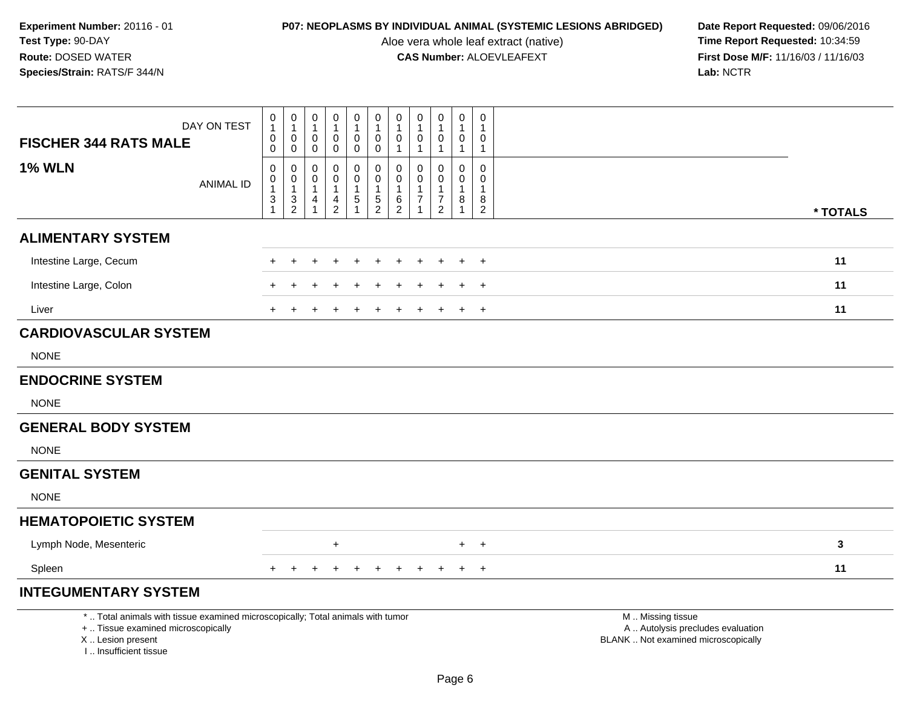Aloe vera whole leaf extract (native)<br>**CAS Number:** ALOEVLEAFEXT

| DAY ON TEST                                                                                                                                                         | 0<br>1                   | $\begin{smallmatrix}0\\1\end{smallmatrix}$ | 0<br>$\mathbf{1}$          | 0<br>1                     | $\pmb{0}$<br>1    | 0<br>$\mathbf{1}$ | $\pmb{0}$<br>$\mathbf{1}$ | 0                             | $\boldsymbol{0}$<br>$\mathbf 1$  | 0<br>1            | $\mathbf 0$<br>$\mathbf 1$  |                                                                                               |              |
|---------------------------------------------------------------------------------------------------------------------------------------------------------------------|--------------------------|--------------------------------------------|----------------------------|----------------------------|-------------------|-------------------|---------------------------|-------------------------------|----------------------------------|-------------------|-----------------------------|-----------------------------------------------------------------------------------------------|--------------|
| <b>FISCHER 344 RATS MALE</b>                                                                                                                                        | $\pmb{0}$<br>$\mathbf 0$ | $\mathbf 0$<br>$\mathbf 0$                 | $\mathbf 0$<br>$\mathbf 0$ | $\mathbf 0$<br>$\mathbf 0$ | 0<br>0            | 0<br>0            | 0<br>$\mathbf{1}$         | 0<br>$\mathbf{1}$             | 0<br>$\mathbf 1$                 | 0<br>$\mathbf{1}$ | $\mathbf 0$<br>$\mathbf{1}$ |                                                                                               |              |
| <b>1% WLN</b>                                                                                                                                                       | $\mathbf 0$<br>0         | $\mathbf 0$                                | 0<br>0                     | 0<br>$\Omega$              | 0<br>$\mathbf 0$  | 0<br>0            | 0<br>$\mathbf 0$          | $\Omega$<br>$\Omega$          | $\mathbf 0$<br>$\mathbf 0$       | 0<br>0            | $\mathbf 0$<br>$\Omega$     |                                                                                               |              |
| <b>ANIMAL ID</b>                                                                                                                                                    | $\mathbf{1}$<br>3        | $\begin{smallmatrix}0\\1\end{smallmatrix}$ | $\mathbf{1}$<br>4          | $\mathbf{1}$<br>4          | $\mathbf{1}$<br>5 | $\mathbf{1}$      | $\mathbf{1}$<br>6         | $\mathbf 1$<br>$\overline{7}$ | $\overline{1}$<br>$\overline{7}$ | $\mathbf{1}$<br>8 | $\mathbf{1}$<br>8           |                                                                                               |              |
|                                                                                                                                                                     |                          | $\frac{3}{2}$                              |                            | $\overline{2}$             |                   | $\frac{5}{2}$     | $\overline{2}$            |                               | 2                                | $\mathbf{1}$      | $\overline{2}$              |                                                                                               | * TOTALS     |
| <b>ALIMENTARY SYSTEM</b>                                                                                                                                            |                          |                                            |                            |                            |                   |                   |                           |                               |                                  |                   |                             |                                                                                               |              |
| Intestine Large, Cecum                                                                                                                                              |                          |                                            |                            |                            |                   |                   |                           |                               |                                  | $\ddot{}$         | $+$                         |                                                                                               | 11           |
| Intestine Large, Colon                                                                                                                                              |                          |                                            |                            |                            |                   |                   |                           |                               |                                  |                   | $\ddot{}$                   |                                                                                               | 11           |
| Liver                                                                                                                                                               |                          |                                            |                            |                            |                   |                   |                           |                               |                                  | $\ddot{}$         | $+$                         |                                                                                               | 11           |
| <b>CARDIOVASCULAR SYSTEM</b>                                                                                                                                        |                          |                                            |                            |                            |                   |                   |                           |                               |                                  |                   |                             |                                                                                               |              |
| <b>NONE</b>                                                                                                                                                         |                          |                                            |                            |                            |                   |                   |                           |                               |                                  |                   |                             |                                                                                               |              |
| <b>ENDOCRINE SYSTEM</b>                                                                                                                                             |                          |                                            |                            |                            |                   |                   |                           |                               |                                  |                   |                             |                                                                                               |              |
| <b>NONE</b>                                                                                                                                                         |                          |                                            |                            |                            |                   |                   |                           |                               |                                  |                   |                             |                                                                                               |              |
| <b>GENERAL BODY SYSTEM</b>                                                                                                                                          |                          |                                            |                            |                            |                   |                   |                           |                               |                                  |                   |                             |                                                                                               |              |
| <b>NONE</b>                                                                                                                                                         |                          |                                            |                            |                            |                   |                   |                           |                               |                                  |                   |                             |                                                                                               |              |
| <b>GENITAL SYSTEM</b>                                                                                                                                               |                          |                                            |                            |                            |                   |                   |                           |                               |                                  |                   |                             |                                                                                               |              |
| <b>NONE</b>                                                                                                                                                         |                          |                                            |                            |                            |                   |                   |                           |                               |                                  |                   |                             |                                                                                               |              |
| <b>HEMATOPOIETIC SYSTEM</b>                                                                                                                                         |                          |                                            |                            |                            |                   |                   |                           |                               |                                  |                   |                             |                                                                                               |              |
| Lymph Node, Mesenteric                                                                                                                                              |                          |                                            |                            | $\ddot{}$                  |                   |                   |                           |                               |                                  | $+$               | $+$                         |                                                                                               | $\mathbf{3}$ |
| Spleen                                                                                                                                                              |                          |                                            |                            |                            |                   |                   | $\pm$                     |                               |                                  | $\ddot{}$         | $+$                         |                                                                                               | 11           |
| <b>INTEGUMENTARY SYSTEM</b>                                                                                                                                         |                          |                                            |                            |                            |                   |                   |                           |                               |                                  |                   |                             |                                                                                               |              |
| *  Total animals with tissue examined microscopically; Total animals with tumor<br>+  Tissue examined microscopically<br>X  Lesion present<br>I Insufficient tissue |                          |                                            |                            |                            |                   |                   |                           |                               |                                  |                   |                             | M  Missing tissue<br>A  Autolysis precludes evaluation<br>BLANK  Not examined microscopically |              |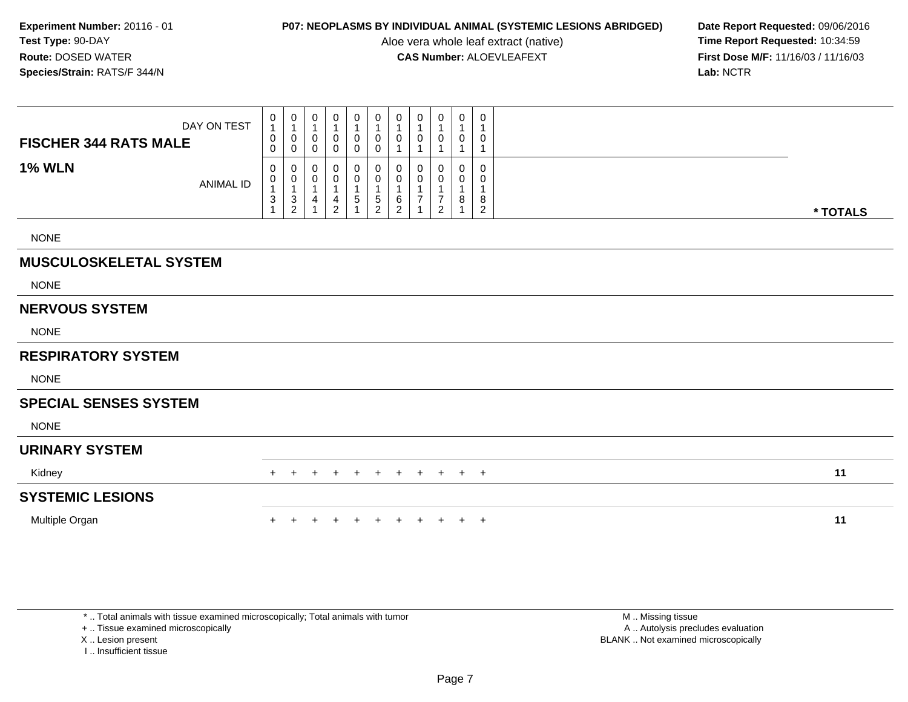Aloe vera whole leaf extract (native)<br>**CAS Number:** ALOEVLEAFEXT

**P07: NEOPLASMS BY INDIVIDUAL ANIMAL (SYSTEMIC LESIONS ABRIDGED) Date Report Requested: 09/06/2016<br>Aloe vera whole leaf extract (native) <b>Time Report Requested:** 10:34:59 **First Dose M/F:** 11/16/03 / 11/16/03<br>Lab: NCTR **Lab:** NCTR

| <b>FISCHER 344 RATS MALE</b>  | DAY ON TEST      | 0<br>$\mathbf{1}$<br>$\mathbf 0$<br>0 | $\pmb{0}$<br>$\overline{1}$<br>0<br>$\mathbf 0$ | 0<br>$\mathbf{1}$<br>0<br>0 | 0<br>1<br>0<br>0                   | 0<br>1<br>0<br>0 | $\pmb{0}$<br>$\mathbf{1}$<br>$\pmb{0}$<br>$\pmb{0}$ | 0<br>0                          | $\mathbf 0$<br>$\overline{1}$<br>0 | 0<br>$\mathbf{1}$<br>0                     | 0<br>1<br>0                      | 0<br>$\mathbf{1}$<br>0<br>$\mathbf{1}$        |          |
|-------------------------------|------------------|---------------------------------------|-------------------------------------------------|-----------------------------|------------------------------------|------------------|-----------------------------------------------------|---------------------------------|------------------------------------|--------------------------------------------|----------------------------------|-----------------------------------------------|----------|
| <b>1% WLN</b>                 | <b>ANIMAL ID</b> | 0<br>0<br>$\mathsf 3$                 | 0<br>$\pmb{0}$<br>$\mathbf{1}$<br>$\frac{3}{2}$ | 0<br>0<br>1<br>4<br>1       | 0<br>0<br>1<br>4<br>$\overline{c}$ | 0<br>0<br>5      | 0<br>$\pmb{0}$<br>1<br>$\frac{5}{2}$                | 0<br>$\pmb{0}$<br>$\frac{6}{2}$ | 0<br>0                             | 0<br>0<br>$\overline{7}$<br>$\overline{2}$ | 0<br>0<br>$\mathbf{1}$<br>8<br>1 | 0<br>0<br>$\mathbf{1}$<br>8<br>$\overline{2}$ | * TOTALS |
| <b>NONE</b>                   |                  |                                       |                                                 |                             |                                    |                  |                                                     |                                 |                                    |                                            |                                  |                                               |          |
| <b>MUSCULOSKELETAL SYSTEM</b> |                  |                                       |                                                 |                             |                                    |                  |                                                     |                                 |                                    |                                            |                                  |                                               |          |
| <b>NONE</b>                   |                  |                                       |                                                 |                             |                                    |                  |                                                     |                                 |                                    |                                            |                                  |                                               |          |
| <b>NERVOUS SYSTEM</b>         |                  |                                       |                                                 |                             |                                    |                  |                                                     |                                 |                                    |                                            |                                  |                                               |          |
| <b>NONE</b>                   |                  |                                       |                                                 |                             |                                    |                  |                                                     |                                 |                                    |                                            |                                  |                                               |          |
| <b>RESPIRATORY SYSTEM</b>     |                  |                                       |                                                 |                             |                                    |                  |                                                     |                                 |                                    |                                            |                                  |                                               |          |
| <b>NONE</b>                   |                  |                                       |                                                 |                             |                                    |                  |                                                     |                                 |                                    |                                            |                                  |                                               |          |
| <b>SPECIAL SENSES SYSTEM</b>  |                  |                                       |                                                 |                             |                                    |                  |                                                     |                                 |                                    |                                            |                                  |                                               |          |
| <b>NONE</b>                   |                  |                                       |                                                 |                             |                                    |                  |                                                     |                                 |                                    |                                            |                                  |                                               |          |
| <b>URINARY SYSTEM</b>         |                  |                                       |                                                 |                             |                                    |                  |                                                     |                                 |                                    |                                            |                                  |                                               |          |
| Kidney                        |                  |                                       |                                                 |                             |                                    |                  | $\pm$                                               | $\pm$                           | $+$                                | $+$                                        | $+$                              | $+$                                           | 11       |
| <b>SYSTEMIC LESIONS</b>       |                  |                                       |                                                 |                             |                                    |                  |                                                     |                                 |                                    |                                            |                                  |                                               |          |
| Multiple Organ                |                  |                                       |                                                 |                             |                                    |                  |                                                     |                                 |                                    |                                            | $\ddot{}$                        | $+$                                           | 11       |

\* .. Total animals with tissue examined microscopically; Total animals with tumor

+ .. Tissue examined microscopically

X .. Lesion present

I .. Insufficient tissue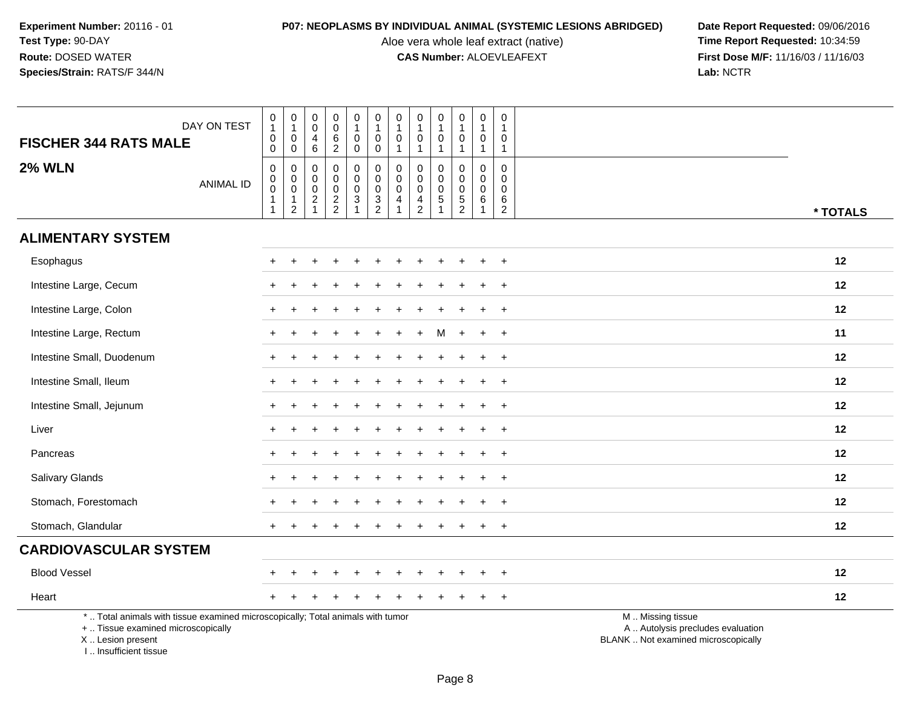Aloe vera whole leaf extract (native)<br>**CAS Number:** ALOEVLEAFEXT

| <b>FISCHER 344 RATS MALE</b>                                                     | DAY ON TEST                                                                     | $\pmb{0}$<br>$\mathbf{1}$<br>$\mathbf 0$<br>0                          | $\pmb{0}$<br>$\mathbf{1}$<br>$\pmb{0}$<br>$\mathbf 0$                               | $\mathbf 0$<br>$\mathbf 0$<br>$\overline{4}$<br>$\,6\,$                             | $\pmb{0}$<br>$\pmb{0}$<br>$\,6\,$<br>$\sqrt{2}$               | $\pmb{0}$<br>$\mathbf{1}$<br>$\mathbf 0$<br>$\mathbf 0$                 | $\pmb{0}$<br>$\mathbf{1}$<br>$\mathbf 0$<br>$\mathbf 0$ | $\pmb{0}$<br>$\mathbf{1}$<br>$\pmb{0}$<br>$\mathbf{1}$ | 0<br>$\mathbf{1}$<br>$\mathbf 0$<br>$\mathbf{1}$          | $\pmb{0}$<br>$\mathbf{1}$<br>0                     | $\mathsf{O}\xspace$<br>$\mathbf{1}$<br>$\mathbf 0$<br>$\mathbf{1}$ | $\mathsf 0$<br>$\overline{1}$<br>$\mathbf 0$<br>$\overline{1}$ | $\mathbf 0$<br>$\mathbf{1}$<br>0<br>$\mathbf{1}$                   |                                                                                               |
|----------------------------------------------------------------------------------|---------------------------------------------------------------------------------|------------------------------------------------------------------------|-------------------------------------------------------------------------------------|-------------------------------------------------------------------------------------|---------------------------------------------------------------|-------------------------------------------------------------------------|---------------------------------------------------------|--------------------------------------------------------|-----------------------------------------------------------|----------------------------------------------------|--------------------------------------------------------------------|----------------------------------------------------------------|--------------------------------------------------------------------|-----------------------------------------------------------------------------------------------|
| <b>2% WLN</b>                                                                    | <b>ANIMAL ID</b>                                                                | 0<br>$\mathbf 0$<br>$\overline{0}$<br>$\overline{1}$<br>$\overline{1}$ | $\mathbf 0$<br>$\mathbf 0$<br>$\ddot{\mathbf{0}}$<br>$\mathbf{1}$<br>$\overline{2}$ | $\mathbf 0$<br>$\mathbf 0$<br>$\mathsf{O}\xspace$<br>$\overline{c}$<br>$\mathbf{1}$ | $\mathbf 0$<br>$\mathbf 0$<br>$\overline{0}$<br>$\frac{2}{2}$ | 0<br>$\mathbf 0$<br>$\ddot{\mathbf{0}}$<br>$\mathbf{3}$<br>$\mathbf{1}$ | 0<br>0<br>$\overline{0}$<br>$\frac{3}{2}$               | 0<br>$\pmb{0}$<br>$\pmb{0}$<br>4<br>$\mathbf{1}$       | 0<br>0<br>$\mathbf 0$<br>$\overline{4}$<br>$\overline{2}$ | $\mathbf 0$<br>$\Omega$<br>$\pmb{0}$<br>$\sqrt{5}$ | $\mathbf 0$<br>$\mathbf 0$<br>$\ddot{\mathbf{0}}$<br>$\frac{5}{2}$ | $\mathbf 0$<br>$\mathbf 0$<br>$\mathbf 0$<br>6<br>$\mathbf{1}$ | $\mathbf 0$<br>$\overline{0}$<br>$\overline{0}$<br>6<br>$\sqrt{2}$ | * TOTALS                                                                                      |
| <b>ALIMENTARY SYSTEM</b>                                                         |                                                                                 |                                                                        |                                                                                     |                                                                                     |                                                               |                                                                         |                                                         |                                                        |                                                           |                                                    |                                                                    |                                                                |                                                                    |                                                                                               |
| Esophagus                                                                        |                                                                                 |                                                                        |                                                                                     |                                                                                     |                                                               |                                                                         |                                                         |                                                        |                                                           |                                                    |                                                                    |                                                                | $\ddot{}$                                                          | 12                                                                                            |
| Intestine Large, Cecum                                                           |                                                                                 |                                                                        |                                                                                     |                                                                                     |                                                               |                                                                         |                                                         |                                                        |                                                           |                                                    |                                                                    |                                                                |                                                                    | 12                                                                                            |
| Intestine Large, Colon                                                           |                                                                                 |                                                                        |                                                                                     |                                                                                     |                                                               |                                                                         |                                                         |                                                        |                                                           |                                                    |                                                                    |                                                                | $\ddot{}$                                                          | 12                                                                                            |
| Intestine Large, Rectum                                                          |                                                                                 |                                                                        |                                                                                     |                                                                                     |                                                               |                                                                         |                                                         |                                                        |                                                           | м                                                  | $\div$                                                             | $\div$                                                         | $+$                                                                | 11                                                                                            |
| Intestine Small, Duodenum                                                        |                                                                                 |                                                                        |                                                                                     |                                                                                     |                                                               |                                                                         |                                                         |                                                        |                                                           |                                                    |                                                                    |                                                                |                                                                    | 12                                                                                            |
| Intestine Small, Ileum                                                           |                                                                                 |                                                                        |                                                                                     |                                                                                     |                                                               |                                                                         |                                                         |                                                        |                                                           |                                                    |                                                                    |                                                                |                                                                    | 12                                                                                            |
| Intestine Small, Jejunum                                                         |                                                                                 |                                                                        |                                                                                     |                                                                                     |                                                               |                                                                         |                                                         |                                                        |                                                           |                                                    |                                                                    | ÷                                                              | $\overline{+}$                                                     | 12                                                                                            |
| Liver                                                                            |                                                                                 |                                                                        |                                                                                     |                                                                                     |                                                               |                                                                         |                                                         |                                                        |                                                           |                                                    |                                                                    |                                                                | $\ddot{}$                                                          | 12                                                                                            |
| Pancreas                                                                         |                                                                                 |                                                                        |                                                                                     |                                                                                     |                                                               |                                                                         |                                                         |                                                        |                                                           |                                                    |                                                                    |                                                                | $\ddot{}$                                                          | 12                                                                                            |
| Salivary Glands                                                                  |                                                                                 |                                                                        |                                                                                     |                                                                                     |                                                               |                                                                         |                                                         |                                                        |                                                           |                                                    |                                                                    |                                                                | $\ddot{}$                                                          | 12                                                                                            |
| Stomach, Forestomach                                                             |                                                                                 |                                                                        |                                                                                     |                                                                                     |                                                               |                                                                         |                                                         |                                                        |                                                           |                                                    |                                                                    |                                                                | $\ddot{}$                                                          | 12                                                                                            |
| Stomach, Glandular                                                               |                                                                                 |                                                                        |                                                                                     |                                                                                     |                                                               |                                                                         |                                                         |                                                        |                                                           |                                                    |                                                                    |                                                                | $+$                                                                | 12                                                                                            |
| <b>CARDIOVASCULAR SYSTEM</b>                                                     |                                                                                 |                                                                        |                                                                                     |                                                                                     |                                                               |                                                                         |                                                         |                                                        |                                                           |                                                    |                                                                    |                                                                |                                                                    |                                                                                               |
| <b>Blood Vessel</b>                                                              |                                                                                 |                                                                        |                                                                                     |                                                                                     |                                                               |                                                                         |                                                         |                                                        |                                                           |                                                    |                                                                    |                                                                | $\ddot{}$                                                          | 12                                                                                            |
| Heart                                                                            |                                                                                 |                                                                        |                                                                                     |                                                                                     |                                                               |                                                                         |                                                         |                                                        |                                                           |                                                    |                                                                    |                                                                | $+$                                                                | 12                                                                                            |
| +  Tissue examined microscopically<br>X  Lesion present<br>I Insufficient tissue | *  Total animals with tissue examined microscopically; Total animals with tumor |                                                                        |                                                                                     |                                                                                     |                                                               |                                                                         |                                                         |                                                        |                                                           |                                                    |                                                                    |                                                                |                                                                    | M  Missing tissue<br>A  Autolysis precludes evaluation<br>BLANK  Not examined microscopically |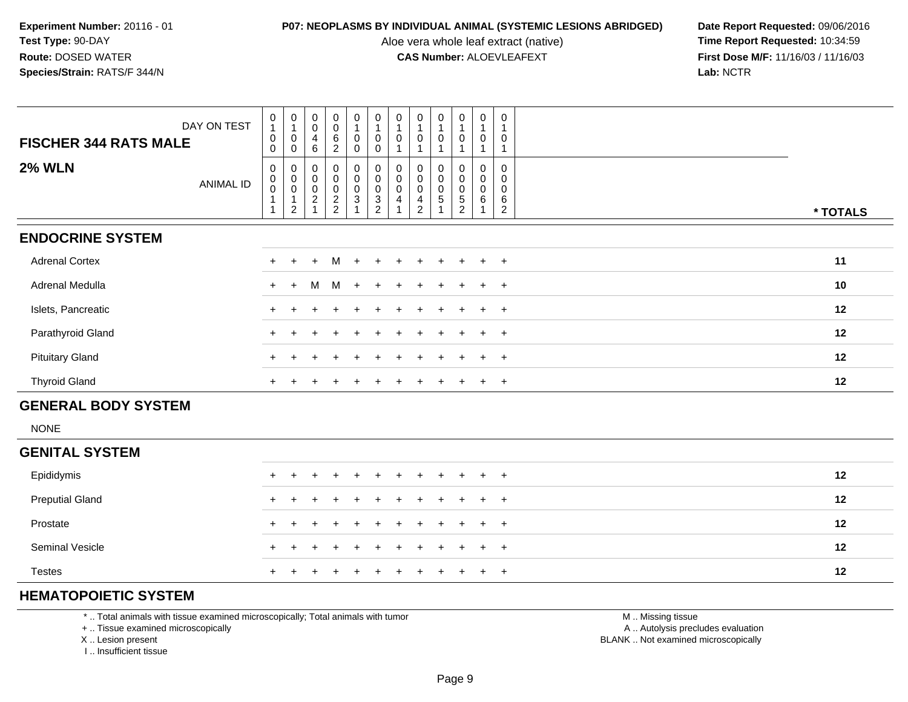Aloe vera whole leaf extract (native)<br>**CAS Number:** ALOEVLEAFEXT

**P07: NEOPLASMS BY INDIVIDUAL ANIMAL (SYSTEMIC LESIONS ABRIDGED) Date Report Requested: 09/06/2016<br>Aloe vera whole leaf extract (native) <b>Time Report Requested:** 10:34:59 **First Dose M/F:** 11/16/03 / 11/16/03<br>**Lab:** NCTR **Lab:** NCTR

| $\pmb{0}$<br>$\pmb{0}$<br>$\pmb{0}$<br>$\pmb{0}$<br>$\pmb{0}$<br>$\,6\,$<br>$\pmb{0}$<br>$\pmb{0}$<br>$\pmb{0}$<br>$\pmb{0}$<br>4<br>$\mathbf 0$<br><b>FISCHER 344 RATS MALE</b><br>6<br>$\overline{2}$<br>0<br>$\pmb{0}$<br>0<br>$\pmb{0}$<br><b>2% WLN</b><br>$\pmb{0}$<br>$\pmb{0}$<br>$\pmb{0}$<br>$\pmb{0}$<br>$\begin{smallmatrix}0\\0\end{smallmatrix}$<br>$\begin{smallmatrix} 0\\0 \end{smallmatrix}$<br>0<br>0<br>0<br>0<br>0<br>0<br>$\overline{0}$<br>$_{\rm 0}^{\rm 0}$<br>$\pmb{0}$<br>$\pmb{0}$<br>$\pmb{0}$<br>$\boldsymbol{0}$<br>$\pmb{0}$<br>0<br>$\pmb{0}$<br>0<br>ANIMAL ID<br>$\frac{0}{2}$<br>$\pmb{0}$<br>$\begin{array}{c} 0 \\ 2 \\ 1 \end{array}$<br>$_3^0$<br>$\begin{array}{c} 0 \\ 3 \\ 2 \end{array}$<br>$\pmb{0}$<br>$\pmb{0}$<br>0<br>$\pmb{0}$<br>0<br>5<br>$\mathbf 1$<br>$\sqrt{5}$<br>6<br>1<br>$\frac{4}{2}$<br>4<br>6<br>$\overline{2}$<br>$\overline{2}$<br>$\overline{ }$<br>2<br><b>ENDOCRINE SYSTEM</b><br><b>Adrenal Cortex</b><br>M<br>$+$<br>$+$<br>$+$<br>$+$<br>$\ddot{}$<br>$+$<br>$+$<br>$\pm$ | Islets, Pancreatic     |             |                                            |                                            |                    |                    |                                            |                                           |                                           |                                            | $\ddot{}$                                 | $\pm$                                     | $+$                                        |              | 12       |  |
|--------------------------------------------------------------------------------------------------------------------------------------------------------------------------------------------------------------------------------------------------------------------------------------------------------------------------------------------------------------------------------------------------------------------------------------------------------------------------------------------------------------------------------------------------------------------------------------------------------------------------------------------------------------------------------------------------------------------------------------------------------------------------------------------------------------------------------------------------------------------------------------------------------------------------------------------------------------------------------------------------------------------------------------------------|------------------------|-------------|--------------------------------------------|--------------------------------------------|--------------------|--------------------|--------------------------------------------|-------------------------------------------|-------------------------------------------|--------------------------------------------|-------------------------------------------|-------------------------------------------|--------------------------------------------|--------------|----------|--|
| Adrenal Medulla<br>M<br>M<br>$+$<br>$\ddot{}$<br>$+$<br>$+$<br>$+$                                                                                                                                                                                                                                                                                                                                                                                                                                                                                                                                                                                                                                                                                                                                                                                                                                                                                                                                                                               |                        |             |                                            |                                            |                    |                    |                                            |                                           |                                           |                                            |                                           |                                           |                                            |              |          |  |
| $+$                                                                                                                                                                                                                                                                                                                                                                                                                                                                                                                                                                                                                                                                                                                                                                                                                                                                                                                                                                                                                                              | <b>Pituitary Gland</b> |             |                                            |                                            |                    |                    |                                            |                                           |                                           |                                            |                                           |                                           | $+$                                        |              | 12       |  |
| Parathyroid Gland<br>$+$                                                                                                                                                                                                                                                                                                                                                                                                                                                                                                                                                                                                                                                                                                                                                                                                                                                                                                                                                                                                                         |                        |             |                                            |                                            |                    |                    |                                            |                                           |                                           |                                            |                                           |                                           |                                            |              |          |  |
| $+$                                                                                                                                                                                                                                                                                                                                                                                                                                                                                                                                                                                                                                                                                                                                                                                                                                                                                                                                                                                                                                              | <b>Thyroid Gland</b>   |             |                                            |                                            |                    |                    |                                            |                                           |                                           |                                            |                                           |                                           | $+$                                        | $+$          | 12       |  |
|                                                                                                                                                                                                                                                                                                                                                                                                                                                                                                                                                                                                                                                                                                                                                                                                                                                                                                                                                                                                                                                  |                        |             |                                            |                                            |                    |                    |                                            |                                           |                                           |                                            |                                           |                                           |                                            |              |          |  |
|                                                                                                                                                                                                                                                                                                                                                                                                                                                                                                                                                                                                                                                                                                                                                                                                                                                                                                                                                                                                                                                  |                        |             |                                            |                                            |                    |                    |                                            |                                           |                                           |                                            |                                           |                                           |                                            |              |          |  |
|                                                                                                                                                                                                                                                                                                                                                                                                                                                                                                                                                                                                                                                                                                                                                                                                                                                                                                                                                                                                                                                  |                        |             |                                            |                                            |                    |                    |                                            |                                           |                                           |                                            |                                           |                                           |                                            |              |          |  |
|                                                                                                                                                                                                                                                                                                                                                                                                                                                                                                                                                                                                                                                                                                                                                                                                                                                                                                                                                                                                                                                  |                        |             |                                            |                                            |                    |                    |                                            |                                           |                                           |                                            |                                           |                                           |                                            |              | 12       |  |
|                                                                                                                                                                                                                                                                                                                                                                                                                                                                                                                                                                                                                                                                                                                                                                                                                                                                                                                                                                                                                                                  |                        |             |                                            |                                            |                    |                    |                                            |                                           |                                           |                                            |                                           |                                           |                                            |              |          |  |
|                                                                                                                                                                                                                                                                                                                                                                                                                                                                                                                                                                                                                                                                                                                                                                                                                                                                                                                                                                                                                                                  |                        |             |                                            |                                            |                    |                    |                                            |                                           |                                           |                                            |                                           |                                           |                                            |              | 10       |  |
|                                                                                                                                                                                                                                                                                                                                                                                                                                                                                                                                                                                                                                                                                                                                                                                                                                                                                                                                                                                                                                                  |                        |             |                                            |                                            |                    |                    |                                            |                                           |                                           |                                            |                                           |                                           |                                            |              | 11       |  |
|                                                                                                                                                                                                                                                                                                                                                                                                                                                                                                                                                                                                                                                                                                                                                                                                                                                                                                                                                                                                                                                  |                        |             |                                            |                                            |                    |                    |                                            |                                           |                                           |                                            |                                           |                                           |                                            |              |          |  |
|                                                                                                                                                                                                                                                                                                                                                                                                                                                                                                                                                                                                                                                                                                                                                                                                                                                                                                                                                                                                                                                  |                        |             |                                            |                                            |                    |                    |                                            |                                           |                                           |                                            |                                           |                                           |                                            |              | * TOTALS |  |
| 0                                                                                                                                                                                                                                                                                                                                                                                                                                                                                                                                                                                                                                                                                                                                                                                                                                                                                                                                                                                                                                                |                        | DAY ON TEST | $\begin{smallmatrix}0\\1\end{smallmatrix}$ | $\begin{smallmatrix}0\\1\end{smallmatrix}$ | $_{\rm 0}^{\rm 0}$ | $_{\rm 0}^{\rm 0}$ | $\begin{smallmatrix}0\\1\end{smallmatrix}$ | $\begin{smallmatrix}0\1\end{smallmatrix}$ | $\begin{smallmatrix}0\1\end{smallmatrix}$ | $\begin{smallmatrix}0\\1\end{smallmatrix}$ | $\begin{smallmatrix}0\1\end{smallmatrix}$ | $\begin{smallmatrix}0\1\end{smallmatrix}$ | $\begin{smallmatrix}0\\1\end{smallmatrix}$ | $\mathbf{1}$ |          |  |

### Epididymis <sup>+</sup> <sup>+</sup> <sup>+</sup> <sup>+</sup> <sup>+</sup> <sup>+</sup> <sup>+</sup> <sup>+</sup> <sup>+</sup> <sup>+</sup> <sup>+</sup> <sup>+</sup> **<sup>12</sup>** Preputial Glandd  $+$  <sup>+</sup> <sup>+</sup> <sup>+</sup> <sup>+</sup> <sup>+</sup> <sup>+</sup> <sup>+</sup> <sup>+</sup> <sup>+</sup> <sup>+</sup> <sup>+</sup> **<sup>12</sup>** Prostate $e$  + <sup>+</sup> <sup>+</sup> <sup>+</sup> <sup>+</sup> <sup>+</sup> <sup>+</sup> <sup>+</sup> <sup>+</sup> <sup>+</sup> <sup>+</sup> <sup>+</sup> **<sup>12</sup>** Seminal Vesicle $e$  + <sup>+</sup> <sup>+</sup> <sup>+</sup> <sup>+</sup> <sup>+</sup> <sup>+</sup> <sup>+</sup> <sup>+</sup> <sup>+</sup> <sup>+</sup> <sup>+</sup> **<sup>12</sup>** Testes <sup>+</sup><sup>+</sup> <sup>+</sup> <sup>+</sup> <sup>+</sup> <sup>+</sup> <sup>+</sup> <sup>+</sup> <sup>+</sup> <sup>+</sup> <sup>+</sup> <sup>+</sup> **<sup>12</sup>**

# **HEMATOPOIETIC SYSTEM**

\* .. Total animals with tissue examined microscopically; Total animals with tumor

+ .. Tissue examined microscopically

X .. Lesion present

I .. Insufficient tissue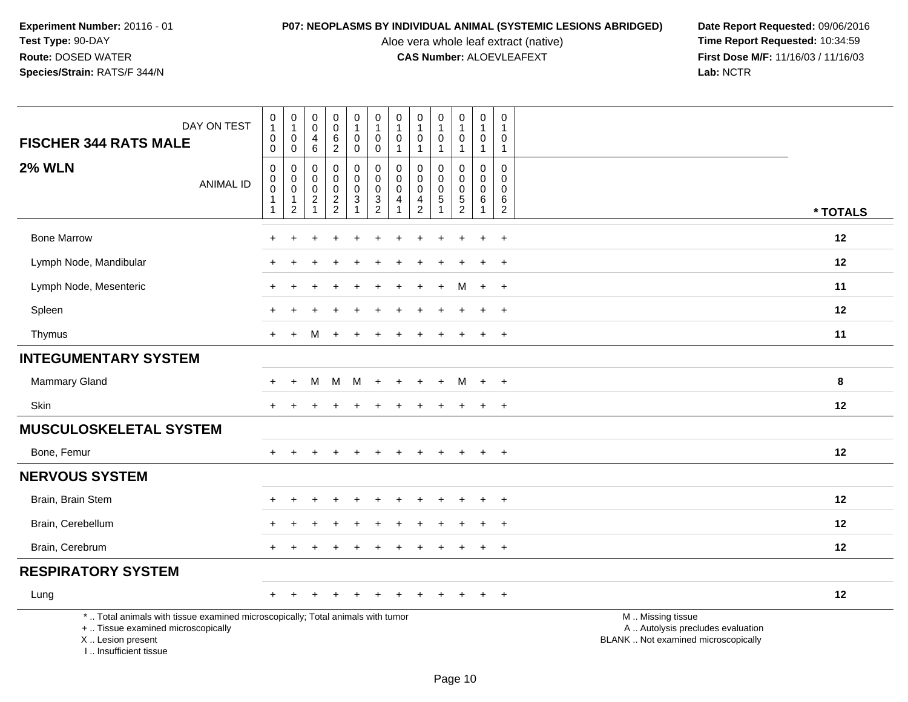Aloe vera whole leaf extract (native)<br>**CAS Number:** ALOEVLEAFEXT

| <b>FISCHER 344 RATS MALE</b>                                                                                                                                         | DAY ON TEST      | $\mathbf 0$<br>$\mathbf{1}$<br>$\pmb{0}$                 | $\mathbf 0$<br>$\mathbf{1}$<br>$\mathbf 0$                                   | $\pmb{0}$<br>$\mathbf 0$<br>$\overline{4}$                                       | $\pmb{0}$<br>$\ddot{\mathbf{0}}$<br>$\,6\,$                                | $\begin{smallmatrix}0\\1\end{smallmatrix}$<br>$\mathsf{O}\xspace$                                   | $\begin{smallmatrix}0\\1\end{smallmatrix}$<br>$\mathbf 0$                 | 0<br>1<br>$\mathbf 0$                   | $\pmb{0}$<br>$\mathbf{1}$<br>$\pmb{0}$                                   | $\pmb{0}$<br>$\mathbf{1}$<br>$\mathbf 0$               | $\pmb{0}$<br>$\mathbf{1}$<br>$\mathbf 0$                       | $\pmb{0}$<br>$\mathbf{1}$<br>$\mathbf 0$                                             | 0<br>$\overline{1}$<br>0                                                       |                                                                                               |
|----------------------------------------------------------------------------------------------------------------------------------------------------------------------|------------------|----------------------------------------------------------|------------------------------------------------------------------------------|----------------------------------------------------------------------------------|----------------------------------------------------------------------------|-----------------------------------------------------------------------------------------------------|---------------------------------------------------------------------------|-----------------------------------------|--------------------------------------------------------------------------|--------------------------------------------------------|----------------------------------------------------------------|--------------------------------------------------------------------------------------|--------------------------------------------------------------------------------|-----------------------------------------------------------------------------------------------|
| <b>2% WLN</b>                                                                                                                                                        | <b>ANIMAL ID</b> | 0<br>0<br>0<br>$\pmb{0}$<br>$\mathbf{1}$<br>$\mathbf{1}$ | $\mathbf 0$<br>0<br>$\mathbf 0$<br>$\mathbf 0$<br>$\mathbf{1}$<br>$\sqrt{2}$ | 6<br>$\mathbf 0$<br>$\pmb{0}$<br>$\mathbf 0$<br>$\overline{c}$<br>$\overline{1}$ | $\overline{2}$<br>$\mathbf 0$<br>$\mathbf 0$<br>$\pmb{0}$<br>$\frac{2}{2}$ | $\mathbf 0$<br>$\pmb{0}$<br>$\mathbf 0$<br>$\pmb{0}$<br>$\ensuremath{\mathsf{3}}$<br>$\overline{1}$ | $\mathbf 0$<br>$\mathbf 0$<br>$\mathbf 0$<br>$\mathbf 0$<br>$\frac{3}{2}$ | $\mathbf{1}$<br>0<br>0<br>$\Omega$<br>4 | $\mathbf{1}$<br>$\mathbf 0$<br>$\pmb{0}$<br>$\mathbf 0$<br>$\frac{4}{2}$ | $\mathbf{1}$<br>0<br>$\Omega$<br>$\mathbf 0$<br>5<br>1 | $\mathbf{1}$<br>0<br>$\mathbf 0$<br>$\pmb{0}$<br>$\frac{5}{2}$ | $\mathbf{1}$<br>$\mathbf 0$<br>$\mathbf 0$<br>$\mathbf 0$<br>$\,6\,$<br>$\mathbf{1}$ | $\mathbf{1}$<br>$\mathbf 0$<br>$\mathbf{0}$<br>$\Omega$<br>$\,6$<br>$\sqrt{2}$ | * TOTALS                                                                                      |
| <b>Bone Marrow</b>                                                                                                                                                   |                  |                                                          |                                                                              |                                                                                  |                                                                            |                                                                                                     |                                                                           |                                         |                                                                          |                                                        |                                                                |                                                                                      |                                                                                | 12                                                                                            |
|                                                                                                                                                                      |                  |                                                          |                                                                              |                                                                                  |                                                                            |                                                                                                     |                                                                           |                                         |                                                                          |                                                        |                                                                |                                                                                      | $\ddot{}$                                                                      |                                                                                               |
| Lymph Node, Mandibular                                                                                                                                               |                  |                                                          |                                                                              |                                                                                  |                                                                            |                                                                                                     |                                                                           |                                         |                                                                          |                                                        |                                                                |                                                                                      | $\overline{+}$                                                                 | 12                                                                                            |
| Lymph Node, Mesenteric                                                                                                                                               |                  |                                                          |                                                                              |                                                                                  |                                                                            |                                                                                                     |                                                                           |                                         |                                                                          | $\ddot{}$                                              | M                                                              | $+$                                                                                  | $+$                                                                            | 11                                                                                            |
| Spleen                                                                                                                                                               |                  |                                                          |                                                                              |                                                                                  |                                                                            |                                                                                                     |                                                                           |                                         |                                                                          |                                                        |                                                                |                                                                                      | $\overline{+}$                                                                 | 12                                                                                            |
| Thymus                                                                                                                                                               |                  |                                                          | $+$                                                                          | м                                                                                |                                                                            |                                                                                                     |                                                                           |                                         |                                                                          |                                                        |                                                                |                                                                                      | $+$                                                                            | 11                                                                                            |
| <b>INTEGUMENTARY SYSTEM</b>                                                                                                                                          |                  |                                                          |                                                                              |                                                                                  |                                                                            |                                                                                                     |                                                                           |                                         |                                                                          |                                                        |                                                                |                                                                                      |                                                                                |                                                                                               |
| <b>Mammary Gland</b>                                                                                                                                                 |                  | $\div$                                                   | $\overline{ }$                                                               | М                                                                                | M                                                                          | м                                                                                                   | $\div$                                                                    |                                         |                                                                          | $+$                                                    | M                                                              | $+$                                                                                  | $+$                                                                            | 8                                                                                             |
| Skin                                                                                                                                                                 |                  |                                                          |                                                                              |                                                                                  | ٠                                                                          |                                                                                                     |                                                                           |                                         |                                                                          | $\div$                                                 | $\pm$                                                          | $\pm$                                                                                | $+$                                                                            | 12                                                                                            |
| <b>MUSCULOSKELETAL SYSTEM</b>                                                                                                                                        |                  |                                                          |                                                                              |                                                                                  |                                                                            |                                                                                                     |                                                                           |                                         |                                                                          |                                                        |                                                                |                                                                                      |                                                                                |                                                                                               |
| Bone, Femur                                                                                                                                                          |                  |                                                          |                                                                              |                                                                                  |                                                                            |                                                                                                     |                                                                           |                                         |                                                                          |                                                        |                                                                |                                                                                      | $+$                                                                            | 12                                                                                            |
| <b>NERVOUS SYSTEM</b>                                                                                                                                                |                  |                                                          |                                                                              |                                                                                  |                                                                            |                                                                                                     |                                                                           |                                         |                                                                          |                                                        |                                                                |                                                                                      |                                                                                |                                                                                               |
| Brain, Brain Stem                                                                                                                                                    |                  |                                                          |                                                                              |                                                                                  |                                                                            |                                                                                                     |                                                                           |                                         |                                                                          |                                                        |                                                                |                                                                                      | $\ddot{}$                                                                      | 12                                                                                            |
| Brain, Cerebellum                                                                                                                                                    |                  |                                                          |                                                                              |                                                                                  |                                                                            |                                                                                                     |                                                                           |                                         |                                                                          |                                                        |                                                                |                                                                                      | $\ddot{}$                                                                      | 12                                                                                            |
| Brain, Cerebrum                                                                                                                                                      |                  |                                                          |                                                                              |                                                                                  |                                                                            |                                                                                                     |                                                                           |                                         |                                                                          |                                                        |                                                                |                                                                                      | $+$                                                                            | 12                                                                                            |
| <b>RESPIRATORY SYSTEM</b>                                                                                                                                            |                  |                                                          |                                                                              |                                                                                  |                                                                            |                                                                                                     |                                                                           |                                         |                                                                          |                                                        |                                                                |                                                                                      |                                                                                |                                                                                               |
| Lung                                                                                                                                                                 |                  |                                                          |                                                                              |                                                                                  |                                                                            |                                                                                                     |                                                                           |                                         |                                                                          |                                                        |                                                                |                                                                                      | $\ddot{}$                                                                      | 12                                                                                            |
| *  Total animals with tissue examined microscopically; Total animals with tumor<br>+  Tissue examined microscopically<br>X  Lesion present<br>I  Insufficient tissue |                  |                                                          |                                                                              |                                                                                  |                                                                            |                                                                                                     |                                                                           |                                         |                                                                          |                                                        |                                                                |                                                                                      |                                                                                | M  Missing tissue<br>A  Autolysis precludes evaluation<br>BLANK  Not examined microscopically |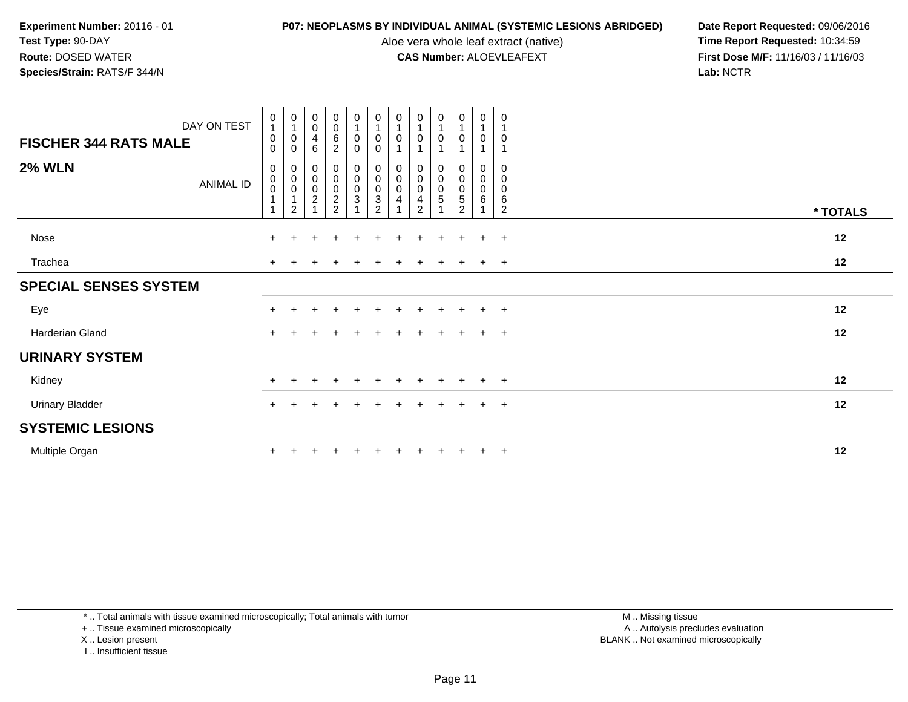Aloe vera whole leaf extract (native)<br>**CAS Number:** ALOEVLEAFEXT

**P07: NEOPLASMS BY INDIVIDUAL ANIMAL (SYSTEMIC LESIONS ABRIDGED) Date Report Requested: 09/06/2016<br>Aloe vera whole leaf extract (native) <b>Time Report Requested:** 10:34:59 **First Dose M/F:** 11/16/03 / 11/16/03<br>Lab: NCTR **Lab:** NCTR

| DAY ON TEST<br><b>FISCHER 344 RATS MALE</b> | $\pmb{0}$<br>$\overline{A}$<br>0<br>0 | $\begin{smallmatrix}0\\1\end{smallmatrix}$<br>$\begin{smallmatrix} 0\\0 \end{smallmatrix}$ | $_{\rm 0}^{\rm 0}$<br>$\overline{\mathbf{4}}$<br>$\,6\,$ | $\begin{smallmatrix}0\0\0\end{smallmatrix}$<br>$\overline{6}$<br>$\overline{c}$ | $\begin{smallmatrix}0\\1\end{smallmatrix}$<br>0<br>$\mathbf 0$ | $\begin{smallmatrix}0\\1\end{smallmatrix}$<br>$\pmb{0}$<br>$\mathbf 0$ | $\begin{smallmatrix}0\\1\end{smallmatrix}$<br>$\pmb{0}$ | $\begin{smallmatrix}0\\1\end{smallmatrix}$<br>$\pmb{0}$<br>1 | $\frac{0}{1}$<br>$\mathbf 0$                 | $\begin{smallmatrix}0\\1\end{smallmatrix}$<br>$\mathbf 0$ | $\begin{smallmatrix}0\\1\end{smallmatrix}$<br>$\mathsf{O}\xspace$<br>1 | 0<br>$\mathbf{1}$<br>0             |          |
|---------------------------------------------|---------------------------------------|--------------------------------------------------------------------------------------------|----------------------------------------------------------|---------------------------------------------------------------------------------|----------------------------------------------------------------|------------------------------------------------------------------------|---------------------------------------------------------|--------------------------------------------------------------|----------------------------------------------|-----------------------------------------------------------|------------------------------------------------------------------------|------------------------------------|----------|
| <b>2% WLN</b><br><b>ANIMAL ID</b>           | 0<br>$\pmb{0}$<br>$\pmb{0}$           | 00001                                                                                      | 00002                                                    | 00002                                                                           | 0<br>$\mathsf 0$<br>$\frac{0}{3}$                              | 0<br>$\begin{matrix}0\\0\\3\\2\end{matrix}$                            | 0<br>$\mathsf 0$<br>$\pmb{0}$<br>$\overline{4}$         | 0<br>$\overline{0}$<br>$\frac{4}{2}$                         | 0<br>$\mathbf 0$<br>$\mathsf{O}\xspace$<br>5 | $\boldsymbol{0}$<br>$\mathbf 0$<br>$\frac{0}{5}$          | 0<br>$\pmb{0}$<br>$\mathbf 0$<br>$\,6\,$                               | 0<br>0<br>0<br>6<br>$\overline{2}$ | * TOTALS |
| Nose                                        | $+$                                   | $\pm$                                                                                      |                                                          |                                                                                 |                                                                |                                                                        |                                                         | $\pm$                                                        | $\div$                                       | $\pm$                                                     | $+$                                                                    | $+$                                | 12       |
| Trachea                                     | $\pm$                                 |                                                                                            |                                                          |                                                                                 |                                                                |                                                                        |                                                         |                                                              |                                              |                                                           | $+$                                                                    | $+$                                | 12       |
| <b>SPECIAL SENSES SYSTEM</b>                |                                       |                                                                                            |                                                          |                                                                                 |                                                                |                                                                        |                                                         |                                                              |                                              |                                                           |                                                                        |                                    |          |
| Eye                                         | $\pm$                                 |                                                                                            |                                                          |                                                                                 | $\ddot{}$                                                      | $\pm$                                                                  |                                                         |                                                              | $\div$                                       | $+$                                                       | $+$                                                                    | $+$                                | 12       |
| Harderian Gland                             | $\pm$                                 |                                                                                            |                                                          |                                                                                 |                                                                |                                                                        |                                                         |                                                              |                                              |                                                           | $+$                                                                    | $+$                                | 12       |
| <b>URINARY SYSTEM</b>                       |                                       |                                                                                            |                                                          |                                                                                 |                                                                |                                                                        |                                                         |                                                              |                                              |                                                           |                                                                        |                                    |          |
| Kidney                                      | $\pm$                                 |                                                                                            |                                                          |                                                                                 |                                                                |                                                                        |                                                         |                                                              | $\div$                                       |                                                           | $+$                                                                    | $+$                                | 12       |
| <b>Urinary Bladder</b>                      | $\ddot{}$                             |                                                                                            |                                                          |                                                                                 |                                                                |                                                                        |                                                         |                                                              |                                              |                                                           | $+$                                                                    | $+$                                | 12       |
| <b>SYSTEMIC LESIONS</b>                     |                                       |                                                                                            |                                                          |                                                                                 |                                                                |                                                                        |                                                         |                                                              |                                              |                                                           |                                                                        |                                    |          |
| Multiple Organ                              | $\pm$                                 |                                                                                            |                                                          |                                                                                 |                                                                |                                                                        |                                                         |                                                              |                                              |                                                           | $+$                                                                    | $+$                                | 12       |

\* .. Total animals with tissue examined microscopically; Total animals with tumor

+ .. Tissue examined microscopically

X .. Lesion present

I .. Insufficient tissue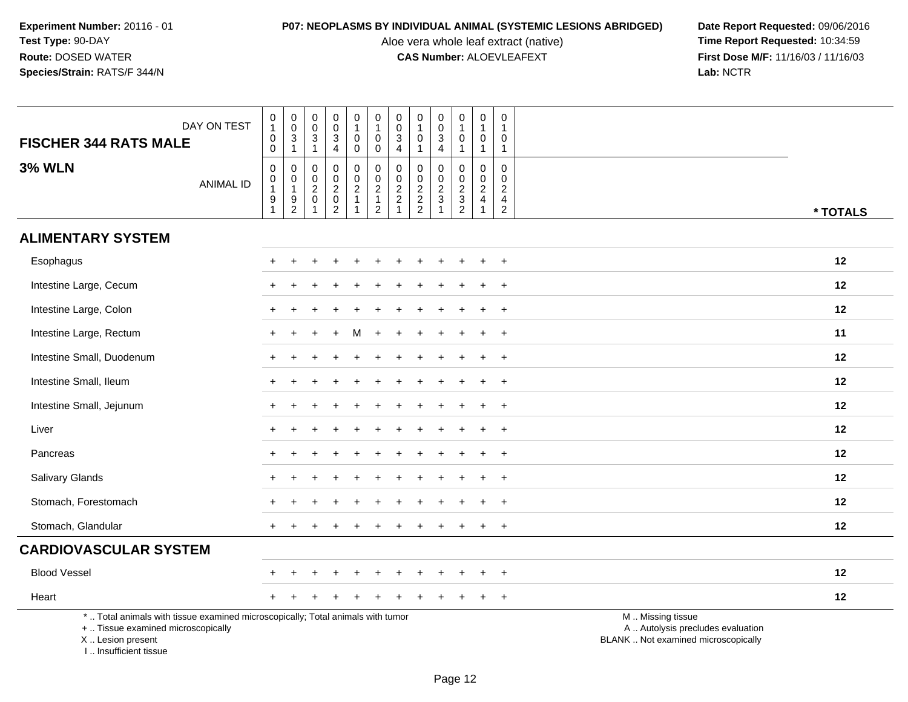Aloe vera whole leaf extract (native)<br>**CAS Number:** ALOEVLEAFEXT

| <b>FISCHER 344 RATS MALE</b>                                                                                                                                        | DAY ON TEST      | $\,0\,$<br>$\mathbf{1}$<br>$\pmb{0}$<br>$\mathbf 0$                                             | $\pmb{0}$<br>$\frac{0}{3}$                        | $\pmb{0}$<br>$\pmb{0}$<br>$\mathbf 3$<br>$\overline{1}$             | $\pmb{0}$<br>$\mathsf{O}\xspace$<br>$\sqrt{3}$<br>$\overline{4}$              | 0<br>$\mathbf{1}$<br>$\mathbf 0$<br>0   | $\pmb{0}$<br>$\mathbf{1}$<br>$\mathsf{O}\xspace$<br>$\mathbf 0$ | $\mathsf 0$<br>$\mathsf{O}\xspace$<br>3<br>$\overline{4}$                    | $\pmb{0}$<br>$\mathbf{1}$<br>0<br>1       | $\pmb{0}$<br>$\frac{0}{3}$<br>$\overline{4}$      | $\pmb{0}$<br>$\mathbf{1}$<br>0<br>$\overline{1}$ | $\pmb{0}$<br>$\overline{1}$<br>$\mathbf 0$<br>$\mathbf{1}$                     | 0<br>1<br>0<br>$\mathbf{1}$                               |                                                                                               |
|---------------------------------------------------------------------------------------------------------------------------------------------------------------------|------------------|-------------------------------------------------------------------------------------------------|---------------------------------------------------|---------------------------------------------------------------------|-------------------------------------------------------------------------------|-----------------------------------------|-----------------------------------------------------------------|------------------------------------------------------------------------------|-------------------------------------------|---------------------------------------------------|--------------------------------------------------|--------------------------------------------------------------------------------|-----------------------------------------------------------|-----------------------------------------------------------------------------------------------|
| <b>3% WLN</b>                                                                                                                                                       | <b>ANIMAL ID</b> | $\pmb{0}$<br>$\begin{smallmatrix}0\1\end{smallmatrix}$<br>$\begin{array}{c} 9 \\ 1 \end{array}$ | 0<br>$\pmb{0}$<br>$\overline{1}$<br>$\frac{9}{2}$ | 0<br>$\mathbf 0$<br>$\overline{2}$<br>$\mathbf 0$<br>$\overline{1}$ | $\mathbf 0$<br>$\mathbf 0$<br>$\overline{2}$<br>$\mathbf 0$<br>$\overline{2}$ | 0<br>$\mathbf 0$<br>$\overline{2}$<br>1 | $\pmb{0}$<br>$\frac{0}{2}$<br>$\mathbf{1}$<br>$\overline{2}$    | 0<br>$\mathsf{O}\xspace$<br>$\overline{2}$<br>$\overline{c}$<br>$\mathbf{1}$ | 0<br>0<br>$\overline{2}$<br>$\frac{2}{2}$ | 0<br>$\pmb{0}$<br>$\frac{2}{3}$<br>$\overline{1}$ | 0<br>0<br>$\overline{2}$<br>$\frac{3}{2}$        | $\mathbf 0$<br>$\mathbf 0$<br>$\overline{2}$<br>$\overline{4}$<br>$\mathbf{1}$ | 0<br>$\mathbf 0$<br>$\overline{2}$<br>4<br>$\overline{c}$ | * TOTALS                                                                                      |
| <b>ALIMENTARY SYSTEM</b>                                                                                                                                            |                  |                                                                                                 |                                                   |                                                                     |                                                                               |                                         |                                                                 |                                                                              |                                           |                                                   |                                                  |                                                                                |                                                           |                                                                                               |
| Esophagus                                                                                                                                                           |                  |                                                                                                 |                                                   |                                                                     |                                                                               |                                         |                                                                 |                                                                              |                                           |                                                   |                                                  |                                                                                | $\overline{ }$                                            | 12                                                                                            |
| Intestine Large, Cecum                                                                                                                                              |                  |                                                                                                 |                                                   |                                                                     |                                                                               |                                         |                                                                 |                                                                              |                                           |                                                   |                                                  |                                                                                | $\ddot{}$                                                 | 12                                                                                            |
| Intestine Large, Colon                                                                                                                                              |                  |                                                                                                 |                                                   |                                                                     |                                                                               |                                         |                                                                 |                                                                              |                                           |                                                   |                                                  |                                                                                | $\ddot{}$                                                 | 12                                                                                            |
| Intestine Large, Rectum                                                                                                                                             |                  |                                                                                                 |                                                   |                                                                     |                                                                               | M                                       |                                                                 |                                                                              |                                           |                                                   |                                                  |                                                                                | $\ddot{}$                                                 | 11                                                                                            |
| Intestine Small, Duodenum                                                                                                                                           |                  |                                                                                                 |                                                   |                                                                     |                                                                               |                                         |                                                                 |                                                                              |                                           |                                                   |                                                  |                                                                                | $\ddot{}$                                                 | 12                                                                                            |
| Intestine Small, Ileum                                                                                                                                              |                  |                                                                                                 |                                                   |                                                                     |                                                                               |                                         |                                                                 |                                                                              |                                           |                                                   |                                                  |                                                                                |                                                           | 12                                                                                            |
| Intestine Small, Jejunum                                                                                                                                            |                  |                                                                                                 |                                                   |                                                                     |                                                                               |                                         |                                                                 |                                                                              |                                           |                                                   |                                                  | $\ddot{}$                                                                      | $\ddot{}$                                                 | 12                                                                                            |
| Liver                                                                                                                                                               |                  |                                                                                                 |                                                   |                                                                     |                                                                               |                                         |                                                                 |                                                                              |                                           |                                                   |                                                  |                                                                                | $\ddot{}$                                                 | 12                                                                                            |
| Pancreas                                                                                                                                                            |                  |                                                                                                 |                                                   |                                                                     |                                                                               |                                         |                                                                 |                                                                              |                                           |                                                   |                                                  |                                                                                | $\ddot{}$                                                 | 12                                                                                            |
| Salivary Glands                                                                                                                                                     |                  |                                                                                                 |                                                   |                                                                     |                                                                               |                                         |                                                                 |                                                                              |                                           |                                                   |                                                  |                                                                                | $\ddot{}$                                                 | 12                                                                                            |
| Stomach, Forestomach                                                                                                                                                |                  |                                                                                                 |                                                   |                                                                     |                                                                               |                                         |                                                                 |                                                                              |                                           |                                                   |                                                  |                                                                                | $\ddot{}$                                                 | 12                                                                                            |
| Stomach, Glandular                                                                                                                                                  |                  |                                                                                                 |                                                   |                                                                     |                                                                               |                                         |                                                                 |                                                                              |                                           |                                                   |                                                  |                                                                                | $\ddot{}$                                                 | 12                                                                                            |
| <b>CARDIOVASCULAR SYSTEM</b>                                                                                                                                        |                  |                                                                                                 |                                                   |                                                                     |                                                                               |                                         |                                                                 |                                                                              |                                           |                                                   |                                                  |                                                                                |                                                           |                                                                                               |
| <b>Blood Vessel</b>                                                                                                                                                 |                  |                                                                                                 |                                                   |                                                                     |                                                                               |                                         |                                                                 |                                                                              |                                           |                                                   |                                                  |                                                                                | $\ddot{}$                                                 | 12                                                                                            |
| Heart                                                                                                                                                               |                  |                                                                                                 |                                                   |                                                                     |                                                                               |                                         |                                                                 |                                                                              |                                           |                                                   |                                                  |                                                                                | $\ddot{}$                                                 | 12                                                                                            |
| *  Total animals with tissue examined microscopically; Total animals with tumor<br>+  Tissue examined microscopically<br>X  Lesion present<br>I Insufficient tissue |                  |                                                                                                 |                                                   |                                                                     |                                                                               |                                         |                                                                 |                                                                              |                                           |                                                   |                                                  |                                                                                |                                                           | M  Missing tissue<br>A  Autolysis precludes evaluation<br>BLANK  Not examined microscopically |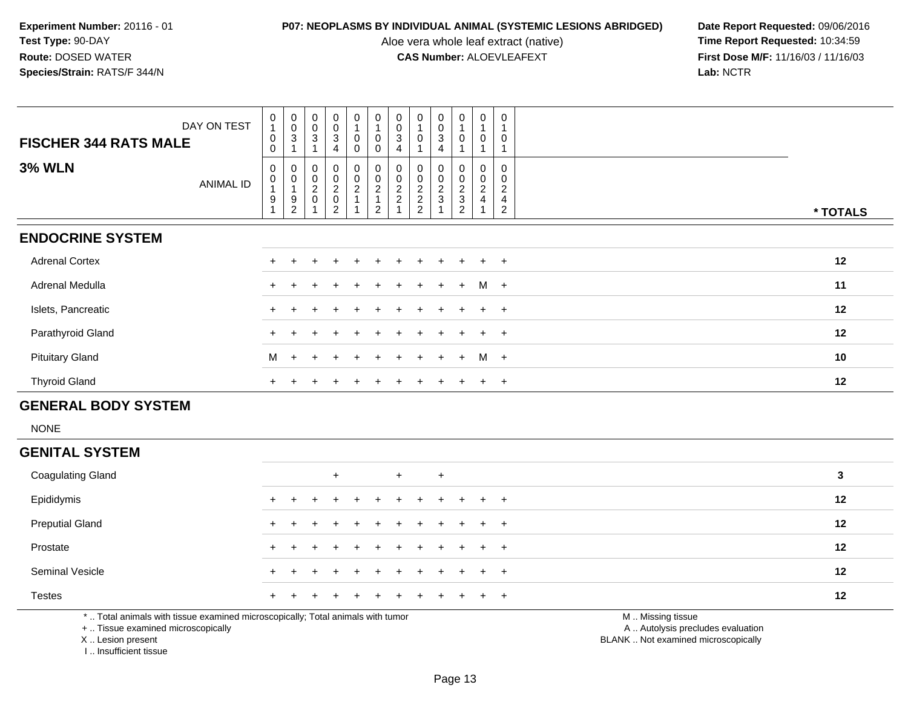Aloe vera whole leaf extract (native)<br>**CAS Number:** ALOEVLEAFEXT

**P07: NEOPLASMS BY INDIVIDUAL ANIMAL (SYSTEMIC LESIONS ABRIDGED) Date Report Requested: 09/06/2016<br>Aloe vera whole leaf extract (native) <b>Time Report Requested:** 10:34:59 **First Dose M/F:** 11/16/03 / 11/16/03<br>Lab: NCTR **Lab:** NCTR

| DAY ON TEST<br><b>FISCHER 344 RATS MALE</b> | $\mathbf 0$<br>$\overline{1}$<br>$\pmb{0}$<br>$\mathbf 0$ | $\begin{smallmatrix} 0\\0 \end{smallmatrix}$<br>$\ensuremath{\mathsf{3}}$ | $_{\rm 0}^{\rm 0}$<br>$\ensuremath{\mathsf{3}}$ | $\begin{smallmatrix}0\0\0\end{smallmatrix}$<br>$\ensuremath{\mathsf{3}}$<br>4 | $\frac{0}{4}$<br>0<br>0 | $\begin{smallmatrix}0\\1\end{smallmatrix}$<br>$\pmb{0}$<br>$\mathbf 0$ | $_{\rm 0}^{\rm 0}$<br>$\mathbf{3}$<br>4 | $\begin{smallmatrix}0\\1\end{smallmatrix}$<br>$\pmb{0}$ | $_0^0$<br>3<br>4                | $\begin{smallmatrix}0\\1\end{smallmatrix}$<br>$\pmb{0}$                       | 0<br>$\overline{A}$<br>0                                             | $\mathbf 0$<br>0                                          |          |  |
|---------------------------------------------|-----------------------------------------------------------|---------------------------------------------------------------------------|-------------------------------------------------|-------------------------------------------------------------------------------|-------------------------|------------------------------------------------------------------------|-----------------------------------------|---------------------------------------------------------|---------------------------------|-------------------------------------------------------------------------------|----------------------------------------------------------------------|-----------------------------------------------------------|----------|--|
| <b>3% WLN</b><br><b>ANIMAL ID</b>           | 0<br>$\pmb{0}$<br>$\boldsymbol{9}$                        | 0<br>$\pmb{0}$<br>9<br>2                                                  | 0<br>$\pmb{0}$<br>$\frac{2}{0}$                 | $_0^0$<br>$^2_{\rm 0}$<br>$\overline{2}$                                      | 0<br>0<br>$\frac{2}{4}$ | 0002<br>$\overline{2}$                                                 | 0<br>$\pmb{0}$<br>$\frac{2}{2}$         | 0<br>$\frac{0}{2}$<br>$\overline{2}$                    | 0<br>$\pmb{0}$<br>$\frac{2}{3}$ | $\begin{smallmatrix}0\\0\end{smallmatrix}$<br>$\frac{2}{3}$<br>$\overline{2}$ | 0<br>$\boldsymbol{0}$<br>$\boldsymbol{2}$<br>$\overline{\mathbf{4}}$ | $\mathbf 0$<br>0<br>$\overline{c}$<br>4<br>$\overline{2}$ | * TOTALS |  |
| <b>ENDOCRINE SYSTEM</b>                     |                                                           |                                                                           |                                                 |                                                                               |                         |                                                                        |                                         |                                                         |                                 |                                                                               |                                                                      |                                                           |          |  |
| <b>Adrenal Cortex</b>                       | $+$                                                       |                                                                           |                                                 |                                                                               | ÷                       |                                                                        |                                         |                                                         | $\pm$                           |                                                                               | $+$                                                                  | $+$                                                       | 12       |  |
| Adrenal Medulla                             | $+$                                                       |                                                                           |                                                 |                                                                               | $\pm$                   |                                                                        | $\pm$                                   | $+$                                                     | $\pm$                           | $+$                                                                           | M                                                                    | $+$                                                       | 11       |  |
| Islets, Pancreatic                          | $+$                                                       |                                                                           |                                                 |                                                                               |                         |                                                                        |                                         |                                                         |                                 |                                                                               | $+$                                                                  | $+$                                                       | 12       |  |
| Parathyroid Gland                           |                                                           |                                                                           |                                                 |                                                                               | $+$                     |                                                                        | $\ddot{}$                               | $+$                                                     | $\overline{+}$                  | $+$                                                                           | $+$                                                                  | $+$                                                       | 12       |  |
| <b>Pituitary Gland</b>                      | M                                                         | $\ddot{}$                                                                 |                                                 |                                                                               | $+$                     | $+$                                                                    | $+$                                     | $+$                                                     | $+$                             | $+$                                                                           | M                                                                    | $+$                                                       | 10       |  |
| <b>Thyroid Gland</b>                        | $+$                                                       |                                                                           |                                                 |                                                                               | ÷                       |                                                                        |                                         |                                                         | $\div$                          |                                                                               | $+$                                                                  | $+$                                                       | 12       |  |

## **GENERAL BODY SYSTEM**

NONE

## **GENITAL SYSTEM**

| <b>Coagulating Gland</b>                                                                                    |     |         | $+$                   |  | $+$ | $+$ |  |                        | 3  |  |
|-------------------------------------------------------------------------------------------------------------|-----|---------|-----------------------|--|-----|-----|--|------------------------|----|--|
| Epididymis                                                                                                  |     | $+$ $+$ | + + + + + + + + + +   |  |     |     |  |                        | 12 |  |
| <b>Preputial Gland</b>                                                                                      |     |         | + + + + + + + + + + + |  |     |     |  |                        | 12 |  |
| Prostate                                                                                                    | $+$ |         | + + + + + + + + + + + |  |     |     |  |                        | 12 |  |
| <b>Seminal Vesicle</b>                                                                                      |     |         | + + + + + + + + + + + |  |     |     |  |                        | 12 |  |
| <b>Testes</b>                                                                                               |     |         | + + + + + + + + + + + |  |     |     |  |                        | 12 |  |
| $\star$ . The localization of the theory is considered as increased as the Tatal pattern because the second |     |         |                       |  |     |     |  | $M = M_{\text{total}}$ |    |  |

\* .. Total animals with tissue examined microscopically; Total animals with tumor

+ .. Tissue examined microscopically

X .. Lesion present

I .. Insufficient tissue

M .. Missing tissue

y the contract of the contract of the contract of the contract of the contract of the contract of the contract of  $A$ . Autolysis precludes evaluation

Lesion present BLANK .. Not examined microscopically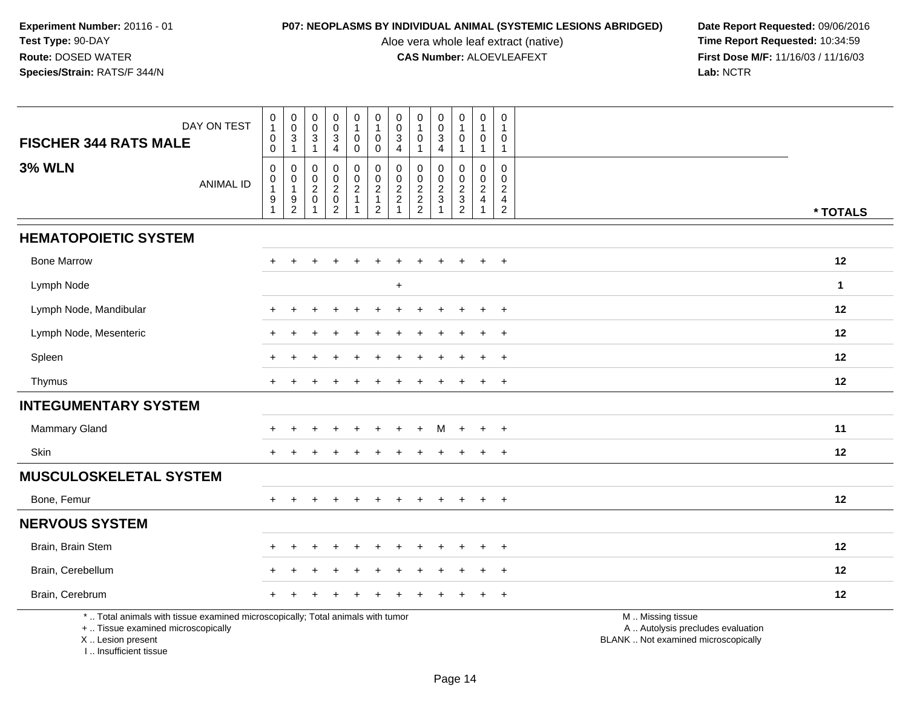Aloe vera whole leaf extract (native)<br>**CAS Number:** ALOEVLEAFEXT

**P07: NEOPLASMS BY INDIVIDUAL ANIMAL (SYSTEMIC LESIONS ABRIDGED)** Date Report Requested: 09/06/2016<br>Aloe vera whole leaf extract (native) **Time Report Requested:** 10:34:59 **First Dose M/F:** 11/16/03 / 11/16/03<br>Lab: NCTR **Lab:** NCTR

| DAY ON TEST                                                                                                                                | $\mathbf 0$<br>$\mathbf{1}$                  | $\pmb{0}$<br>$\pmb{0}$                                    | 0<br>$\mathbf 0$                   | $\mathbf 0$<br>$\pmb{0}$                                                    | $\mathbf 0$<br>$\mathbf{1}$                                       | $\pmb{0}$<br>$\mathbf{1}$                                                      | $\boldsymbol{0}$<br>$\pmb{0}$                  | $\pmb{0}$<br>$\mathbf{1}$       | $\pmb{0}$<br>$\pmb{0}$                  | $\pmb{0}$<br>$\mathbf{1}$         | $\mathbf 0$<br>$\mathbf{1}$                            | 0                                                                             |                                                                                               |
|--------------------------------------------------------------------------------------------------------------------------------------------|----------------------------------------------|-----------------------------------------------------------|------------------------------------|-----------------------------------------------------------------------------|-------------------------------------------------------------------|--------------------------------------------------------------------------------|------------------------------------------------|---------------------------------|-----------------------------------------|-----------------------------------|--------------------------------------------------------|-------------------------------------------------------------------------------|-----------------------------------------------------------------------------------------------|
| <b>FISCHER 344 RATS MALE</b>                                                                                                               | $\mathbf 0$<br>$\mathbf 0$                   | $\mathbf{3}$<br>$\mathbf{1}$                              | 3<br>$\mathbf{1}$                  | 3<br>4                                                                      | $\mathbf 0$<br>0                                                  | 0<br>0                                                                         | $\mathbf{3}$<br>$\overline{4}$                 | $\mathbf 0$<br>$\mathbf{1}$     | 3<br>4                                  | 0<br>$\mathbf{1}$                 | 0<br>$\mathbf{1}$                                      | 0<br>$\overline{1}$                                                           |                                                                                               |
| <b>3% WLN</b><br><b>ANIMAL ID</b>                                                                                                          | $\mathbf 0$<br>0<br>1<br>9<br>$\overline{1}$ | $\mathbf 0$<br>$\pmb{0}$<br>$\mathbf{1}$<br>$\frac{9}{2}$ | 0<br>0<br>$\overline{c}$<br>0<br>1 | 0<br>$\mathsf{O}\xspace$<br>$\overline{a}$<br>$\mathbf 0$<br>$\overline{2}$ | 0<br>$\mathbf 0$<br>$\overline{c}$<br>$\mathbf{1}$<br>$\mathbf 1$ | $\mathbf 0$<br>$\pmb{0}$<br>$\overline{c}$<br>$\mathbf{1}$<br>$\boldsymbol{2}$ | 0<br>$\pmb{0}$<br>$\sqrt{2}$<br>$\overline{c}$ | 0<br>$\pmb{0}$<br>$\frac{2}{2}$ | 0<br>$\mathbf 0$<br>$\overline{c}$<br>3 | 0<br>$\mathbf 0$<br>$\frac{2}{3}$ | $\mathbf 0$<br>$\mathbf 0$<br>$\overline{2}$<br>4<br>1 | $\mathbf 0$<br>$\Omega$<br>$\overline{2}$<br>$\overline{4}$<br>$\overline{2}$ | * TOTALS                                                                                      |
|                                                                                                                                            |                                              |                                                           |                                    |                                                                             |                                                                   |                                                                                |                                                |                                 |                                         |                                   |                                                        |                                                                               |                                                                                               |
| <b>HEMATOPOIETIC SYSTEM</b>                                                                                                                |                                              |                                                           |                                    |                                                                             |                                                                   |                                                                                |                                                |                                 |                                         |                                   |                                                        |                                                                               |                                                                                               |
| <b>Bone Marrow</b>                                                                                                                         |                                              |                                                           |                                    |                                                                             |                                                                   |                                                                                |                                                |                                 |                                         |                                   |                                                        | $\div$                                                                        | 12                                                                                            |
| Lymph Node                                                                                                                                 |                                              |                                                           |                                    |                                                                             |                                                                   |                                                                                | $\ddot{}$                                      |                                 |                                         |                                   |                                                        |                                                                               | $\mathbf{1}$                                                                                  |
| Lymph Node, Mandibular                                                                                                                     |                                              |                                                           |                                    |                                                                             |                                                                   |                                                                                |                                                |                                 |                                         |                                   |                                                        |                                                                               | 12                                                                                            |
| Lymph Node, Mesenteric                                                                                                                     |                                              |                                                           |                                    |                                                                             |                                                                   |                                                                                |                                                |                                 |                                         |                                   |                                                        | $\div$                                                                        | 12                                                                                            |
| Spleen                                                                                                                                     |                                              |                                                           |                                    |                                                                             |                                                                   |                                                                                |                                                |                                 |                                         |                                   |                                                        | $\ddot{}$                                                                     | 12                                                                                            |
| Thymus                                                                                                                                     |                                              |                                                           |                                    |                                                                             |                                                                   |                                                                                |                                                |                                 |                                         |                                   |                                                        |                                                                               | 12                                                                                            |
| <b>INTEGUMENTARY SYSTEM</b>                                                                                                                |                                              |                                                           |                                    |                                                                             |                                                                   |                                                                                |                                                |                                 |                                         |                                   |                                                        |                                                                               |                                                                                               |
| Mammary Gland                                                                                                                              |                                              |                                                           |                                    |                                                                             |                                                                   |                                                                                |                                                | ÷.                              | M                                       | $+$                               | $+$                                                    | $+$                                                                           | 11                                                                                            |
| Skin                                                                                                                                       |                                              |                                                           |                                    |                                                                             |                                                                   |                                                                                |                                                |                                 |                                         |                                   |                                                        | $\ddot{}$                                                                     | 12                                                                                            |
| <b>MUSCULOSKELETAL SYSTEM</b>                                                                                                              |                                              |                                                           |                                    |                                                                             |                                                                   |                                                                                |                                                |                                 |                                         |                                   |                                                        |                                                                               |                                                                                               |
| Bone, Femur                                                                                                                                | $+$                                          |                                                           |                                    |                                                                             | $\div$                                                            |                                                                                |                                                |                                 | $\ddot{}$                               | $+$                               | $+$                                                    | $\ddot{}$                                                                     | 12                                                                                            |
| <b>NERVOUS SYSTEM</b>                                                                                                                      |                                              |                                                           |                                    |                                                                             |                                                                   |                                                                                |                                                |                                 |                                         |                                   |                                                        |                                                                               |                                                                                               |
| Brain, Brain Stem                                                                                                                          |                                              |                                                           |                                    |                                                                             |                                                                   |                                                                                |                                                |                                 |                                         |                                   |                                                        |                                                                               | 12                                                                                            |
| Brain, Cerebellum                                                                                                                          |                                              |                                                           |                                    |                                                                             |                                                                   |                                                                                |                                                |                                 |                                         |                                   |                                                        | $\ddot{}$                                                                     | 12                                                                                            |
| Brain, Cerebrum                                                                                                                            |                                              |                                                           |                                    |                                                                             |                                                                   |                                                                                |                                                |                                 |                                         |                                   |                                                        | $\ddot{}$                                                                     | 12                                                                                            |
| *  Total animals with tissue examined microscopically; Total animals with tumor<br>+  Tissue examined microscopically<br>X  Lesion present |                                              |                                                           |                                    |                                                                             |                                                                   |                                                                                |                                                |                                 |                                         |                                   |                                                        |                                                                               | M  Missing tissue<br>A  Autolysis precludes evaluation<br>BLANK  Not examined microscopically |

I .. Insufficient tissue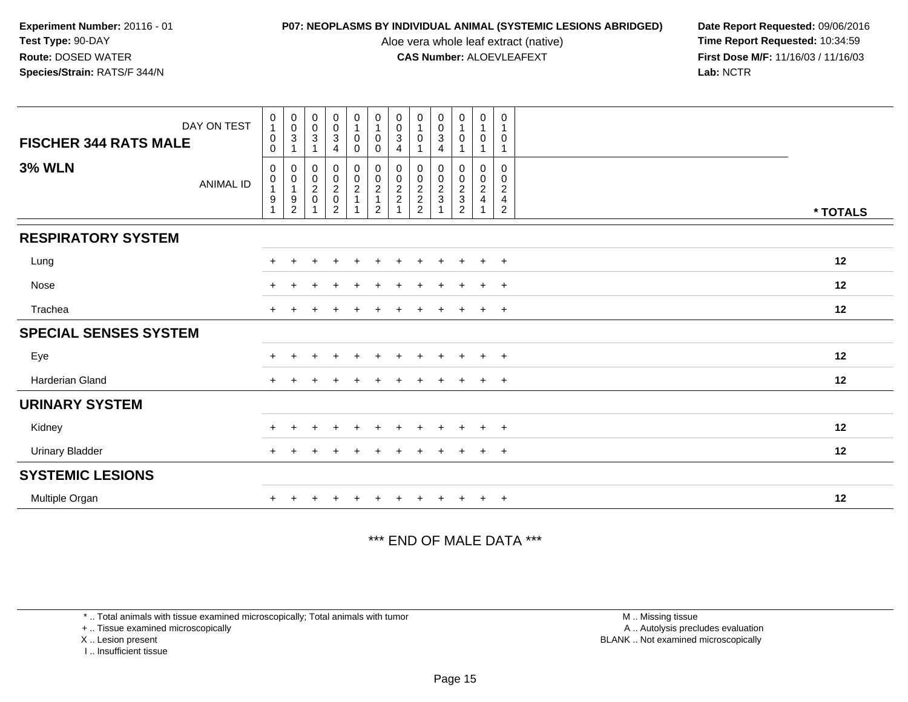Aloe vera whole leaf extract (native)<br>**CAS Number:** ALOEVLEAFEXT

**P07: NEOPLASMS BY INDIVIDUAL ANIMAL (SYSTEMIC LESIONS ABRIDGED) Date Report Requested: 09/06/2016<br>Aloe vera whole leaf extract (native) <b>Time Report Requested:** 10:34:59 **First Dose M/F:** 11/16/03 / 11/16/03<br>Lab: NCTR **Lab:** NCTR

| DAY ON TEST<br><b>FISCHER 344 RATS MALE</b> | $\begin{smallmatrix}0\\1\end{smallmatrix}$<br>$\pmb{0}$<br>$\mathbf 0$           | $\begin{smallmatrix} 0\\0 \end{smallmatrix}$<br>$\mathbf{3}$         | $\begin{smallmatrix} 0\\0 \end{smallmatrix}$<br>$\sqrt{3}$ | $_{\rm 0}^{\rm 0}$<br>$\overline{3}$<br>4 | $\begin{smallmatrix}0\\1\end{smallmatrix}$<br>$\pmb{0}$<br>$\mathbf 0$ | $\begin{smallmatrix}0\\1\end{smallmatrix}$<br>$\mathbf 0$<br>$\pmb{0}$ | $_{\rm 0}^{\rm 0}$<br>3<br>4                    | $\begin{smallmatrix}0\1\end{smallmatrix}$<br>0 | $\begin{smallmatrix} 0\\0\\3 \end{smallmatrix}$<br>4 | $\pmb{0}$<br>$\overline{1}$<br>0                     | $\begin{smallmatrix}0\\1\end{smallmatrix}$<br>$\mathbf 0$<br>$\overline{1}$ | 0<br>$\mathbf{1}$<br>0<br>$\mathbf{1}$                       |          |
|---------------------------------------------|----------------------------------------------------------------------------------|----------------------------------------------------------------------|------------------------------------------------------------|-------------------------------------------|------------------------------------------------------------------------|------------------------------------------------------------------------|-------------------------------------------------|------------------------------------------------|------------------------------------------------------|------------------------------------------------------|-----------------------------------------------------------------------------|--------------------------------------------------------------|----------|
| <b>3% WLN</b><br><b>ANIMAL ID</b>           | $\pmb{0}$<br>$\begin{smallmatrix}0\\1\end{smallmatrix}$<br>$\boldsymbol{9}$<br>1 | 0<br>$\pmb{0}$<br>$\mathbf{1}$<br>$\boldsymbol{9}$<br>$\overline{2}$ | 0<br>$\frac{0}{2}$<br>$\overline{1}$                       | 0002020                                   | $\begin{array}{c} 0 \\ 0 \\ 2 \\ 1 \end{array}$                        | $\begin{array}{c} 0 \\ 0 \\ 2 \\ 1 \end{array}$<br>$\overline{2}$      | 0<br>$\begin{array}{c} 0 \\ 2 \\ 2 \end{array}$ | 0<br>$\frac{0}{2}$<br>2<br>2                   | 0<br>$\pmb{0}$<br>$\frac{2}{3}$                      | 0<br>$\begin{array}{c} 0 \\ 2 \\ 3 \\ 2 \end{array}$ | $\pmb{0}$<br>$\frac{0}{2}$                                                  | 0<br>0<br>$\overline{c}$<br>$\overline{4}$<br>$\overline{2}$ | * TOTALS |
| <b>RESPIRATORY SYSTEM</b>                   |                                                                                  |                                                                      |                                                            |                                           |                                                                        |                                                                        |                                                 |                                                |                                                      |                                                      |                                                                             |                                                              |          |
| Lung                                        | $\pm$                                                                            |                                                                      |                                                            | ٠                                         | +                                                                      |                                                                        |                                                 |                                                |                                                      | $\pm$                                                | $\ddot{}$                                                                   | $+$                                                          | 12       |
| Nose                                        |                                                                                  |                                                                      |                                                            |                                           |                                                                        |                                                                        |                                                 |                                                |                                                      |                                                      |                                                                             | $\overline{+}$                                               | 12       |
| Trachea                                     | $+$                                                                              |                                                                      |                                                            |                                           |                                                                        |                                                                        |                                                 |                                                |                                                      |                                                      | $\pm$                                                                       | $+$                                                          | 12       |
| <b>SPECIAL SENSES SYSTEM</b>                |                                                                                  |                                                                      |                                                            |                                           |                                                                        |                                                                        |                                                 |                                                |                                                      |                                                      |                                                                             |                                                              |          |
| Eye                                         |                                                                                  |                                                                      |                                                            | $\ddot{}$                                 | $\ddot{}$                                                              | $\ddot{}$                                                              | ÷                                               |                                                | $\ddot{}$                                            | $+$                                                  | $+$                                                                         | $+$                                                          | 12       |
| <b>Harderian Gland</b>                      |                                                                                  |                                                                      |                                                            |                                           |                                                                        |                                                                        |                                                 |                                                |                                                      |                                                      |                                                                             | $+$                                                          | 12       |
| <b>URINARY SYSTEM</b>                       |                                                                                  |                                                                      |                                                            |                                           |                                                                        |                                                                        |                                                 |                                                |                                                      |                                                      |                                                                             |                                                              |          |
| Kidney                                      |                                                                                  |                                                                      |                                                            | $\pm$                                     |                                                                        |                                                                        |                                                 |                                                | $\ddot{}$                                            | $\overline{+}$                                       | $+$                                                                         | $+$                                                          | 12       |
| <b>Urinary Bladder</b>                      |                                                                                  |                                                                      |                                                            |                                           |                                                                        |                                                                        |                                                 |                                                | $\pm$                                                | $\pm$                                                | $+$                                                                         | $+$                                                          | 12       |
| <b>SYSTEMIC LESIONS</b>                     |                                                                                  |                                                                      |                                                            |                                           |                                                                        |                                                                        |                                                 |                                                |                                                      |                                                      |                                                                             |                                                              |          |
| Multiple Organ                              |                                                                                  |                                                                      |                                                            |                                           |                                                                        |                                                                        |                                                 |                                                |                                                      |                                                      | $+$                                                                         | $+$                                                          | 12       |

\*\*\* END OF MALE DATA \*\*\*

\* .. Total animals with tissue examined microscopically; Total animals with tumor

+ .. Tissue examined microscopically

X .. Lesion present

I .. Insufficient tissue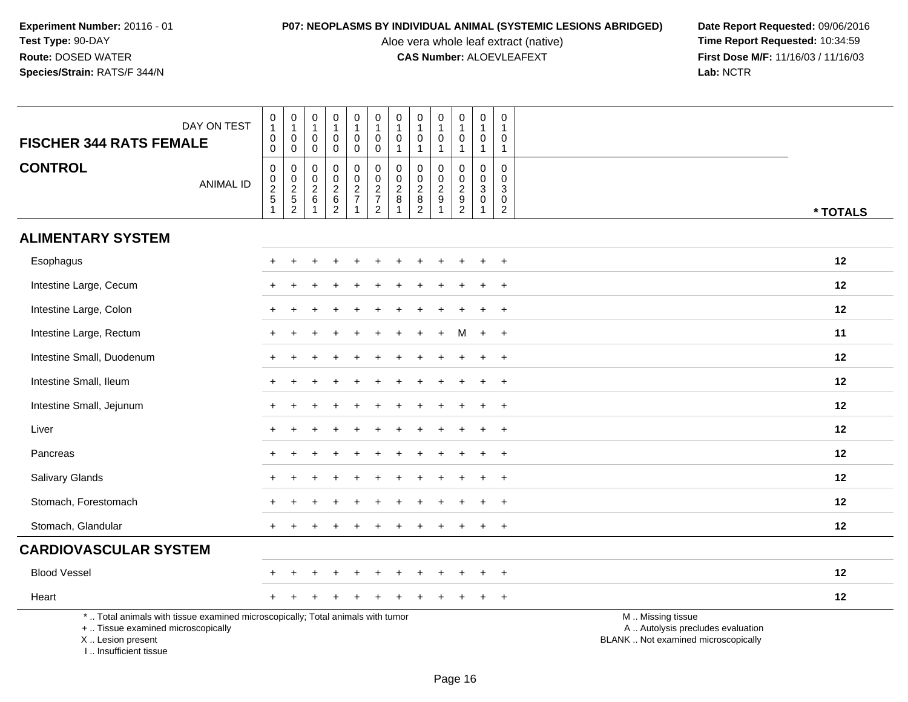Aloe vera whole leaf extract (native)<br>**CAS Number:** ALOEVLEAFEXT

| <b>FISCHER 344 RATS FEMALE</b>                                                   | DAY ON TEST                                                                     | $\pmb{0}$<br>$\mathbf{1}$<br>$\pmb{0}$<br>0 | $\pmb{0}$<br>$\mathbf{1}$<br>$\mathsf 0$<br>$\mathbf 0$ | $\mathbf 0$<br>$\overline{1}$<br>$\mathbf 0$<br>$\mathbf 0$        | $\pmb{0}$<br>$\overline{1}$<br>$\mathbf 0$<br>$\mathbf 0$ | $\mathbf 0$<br>$\mathbf{1}$<br>$\mathbf 0$<br>0 | $\pmb{0}$<br>$\overline{1}$<br>$\boldsymbol{0}$<br>$\mathbf 0$ | $\mathbf 0$<br>$\mathbf{1}$<br>$\mathbf 0$<br>$\mathbf{1}$ | 0<br>$\mathbf{1}$<br>$\mathsf{O}\xspace$<br>$\mathbf{1}$                             | $\pmb{0}$<br>$\mathbf{1}$<br>$\mathbf 0$<br>$\mathbf{1}$ | $\pmb{0}$<br>$\mathbf{1}$<br>$\pmb{0}$<br>$\overline{1}$ | $\mathbf 0$<br>$\overline{1}$<br>$\mathbf 0$<br>$\mathbf{1}$                | 0<br>0<br>$\mathbf{1}$                     |                                                                                               |
|----------------------------------------------------------------------------------|---------------------------------------------------------------------------------|---------------------------------------------|---------------------------------------------------------|--------------------------------------------------------------------|-----------------------------------------------------------|-------------------------------------------------|----------------------------------------------------------------|------------------------------------------------------------|--------------------------------------------------------------------------------------|----------------------------------------------------------|----------------------------------------------------------|-----------------------------------------------------------------------------|--------------------------------------------|-----------------------------------------------------------------------------------------------|
| <b>CONTROL</b>                                                                   | <b>ANIMAL ID</b>                                                                | $\pmb{0}$<br>0, 2, 5, 1                     | 0<br>$0$<br>$2$<br>$5$<br>$2$                           | $\mathbf 0$<br>$\boldsymbol{0}$<br>$\frac{2}{6}$<br>$\overline{1}$ | $\mathbf 0$<br>$\mathbf 0$<br>$\frac{2}{6}$               | 0<br>$\mathbf 0$<br>$\frac{2}{7}$               | 0<br>$\begin{array}{c} 0 \\ 2 \\ 7 \\ 2 \end{array}$           | $\mathbf 0$<br>$\mathbf 0$<br>$\overline{2}$<br>8          | $\mathbf 0$<br>0<br>$\overline{a}$<br>$\begin{smallmatrix} 8 \\ 2 \end{smallmatrix}$ | $\mathbf 0$<br>$\pmb{0}$<br>$\frac{2}{9}$<br>1           | 0<br>$\mathbf 0$<br>$\frac{2}{9}$                        | $\mathbf 0$<br>$\mathbf 0$<br>$\mathbf{3}$<br>$\mathbf 0$<br>$\overline{1}$ | $\mathbf 0$<br>0<br>3<br>0<br>$\mathbf{2}$ | * TOTALS                                                                                      |
| <b>ALIMENTARY SYSTEM</b>                                                         |                                                                                 |                                             |                                                         |                                                                    |                                                           |                                                 |                                                                |                                                            |                                                                                      |                                                          |                                                          |                                                                             |                                            |                                                                                               |
| Esophagus                                                                        |                                                                                 |                                             |                                                         |                                                                    |                                                           |                                                 |                                                                |                                                            |                                                                                      |                                                          |                                                          |                                                                             |                                            | 12                                                                                            |
| Intestine Large, Cecum                                                           |                                                                                 |                                             |                                                         |                                                                    |                                                           |                                                 |                                                                |                                                            |                                                                                      |                                                          |                                                          |                                                                             |                                            | 12                                                                                            |
| Intestine Large, Colon                                                           |                                                                                 |                                             |                                                         |                                                                    |                                                           |                                                 |                                                                |                                                            |                                                                                      |                                                          |                                                          |                                                                             |                                            | 12                                                                                            |
| Intestine Large, Rectum                                                          |                                                                                 |                                             |                                                         |                                                                    |                                                           |                                                 |                                                                |                                                            |                                                                                      |                                                          | м                                                        | $\ddot{}$                                                                   | $\ddot{}$                                  | 11                                                                                            |
| Intestine Small, Duodenum                                                        |                                                                                 |                                             |                                                         |                                                                    |                                                           |                                                 |                                                                |                                                            |                                                                                      |                                                          |                                                          |                                                                             |                                            | 12                                                                                            |
| Intestine Small, Ileum                                                           |                                                                                 |                                             |                                                         |                                                                    |                                                           |                                                 |                                                                |                                                            |                                                                                      |                                                          |                                                          |                                                                             | $\ddot{}$                                  | 12                                                                                            |
| Intestine Small, Jejunum                                                         |                                                                                 |                                             |                                                         |                                                                    |                                                           |                                                 |                                                                |                                                            |                                                                                      |                                                          |                                                          | $\ddot{}$                                                                   | $\overline{+}$                             | 12                                                                                            |
| Liver                                                                            |                                                                                 |                                             |                                                         |                                                                    |                                                           |                                                 |                                                                |                                                            |                                                                                      |                                                          |                                                          |                                                                             | $\div$                                     | 12                                                                                            |
| Pancreas                                                                         |                                                                                 |                                             |                                                         |                                                                    |                                                           |                                                 |                                                                |                                                            |                                                                                      |                                                          |                                                          |                                                                             | $\ddot{}$                                  | 12                                                                                            |
| Salivary Glands                                                                  |                                                                                 |                                             |                                                         |                                                                    |                                                           |                                                 |                                                                |                                                            |                                                                                      |                                                          |                                                          |                                                                             | $\ddot{}$                                  | 12                                                                                            |
| Stomach, Forestomach                                                             |                                                                                 |                                             |                                                         |                                                                    |                                                           |                                                 |                                                                |                                                            |                                                                                      |                                                          |                                                          |                                                                             | $\div$                                     | 12                                                                                            |
| Stomach, Glandular                                                               |                                                                                 |                                             |                                                         |                                                                    |                                                           |                                                 |                                                                |                                                            |                                                                                      |                                                          |                                                          |                                                                             | $\ddot{}$                                  | 12                                                                                            |
| <b>CARDIOVASCULAR SYSTEM</b>                                                     |                                                                                 |                                             |                                                         |                                                                    |                                                           |                                                 |                                                                |                                                            |                                                                                      |                                                          |                                                          |                                                                             |                                            |                                                                                               |
| <b>Blood Vessel</b>                                                              |                                                                                 |                                             |                                                         |                                                                    |                                                           |                                                 |                                                                |                                                            |                                                                                      |                                                          |                                                          |                                                                             | $\ddot{}$                                  | 12                                                                                            |
| Heart                                                                            |                                                                                 |                                             |                                                         |                                                                    |                                                           |                                                 |                                                                |                                                            |                                                                                      |                                                          |                                                          |                                                                             | $\ddot{}$                                  | 12                                                                                            |
| +  Tissue examined microscopically<br>X  Lesion present<br>I Insufficient tissue | *  Total animals with tissue examined microscopically; Total animals with tumor |                                             |                                                         |                                                                    |                                                           |                                                 |                                                                |                                                            |                                                                                      |                                                          |                                                          |                                                                             |                                            | M  Missing tissue<br>A  Autolysis precludes evaluation<br>BLANK  Not examined microscopically |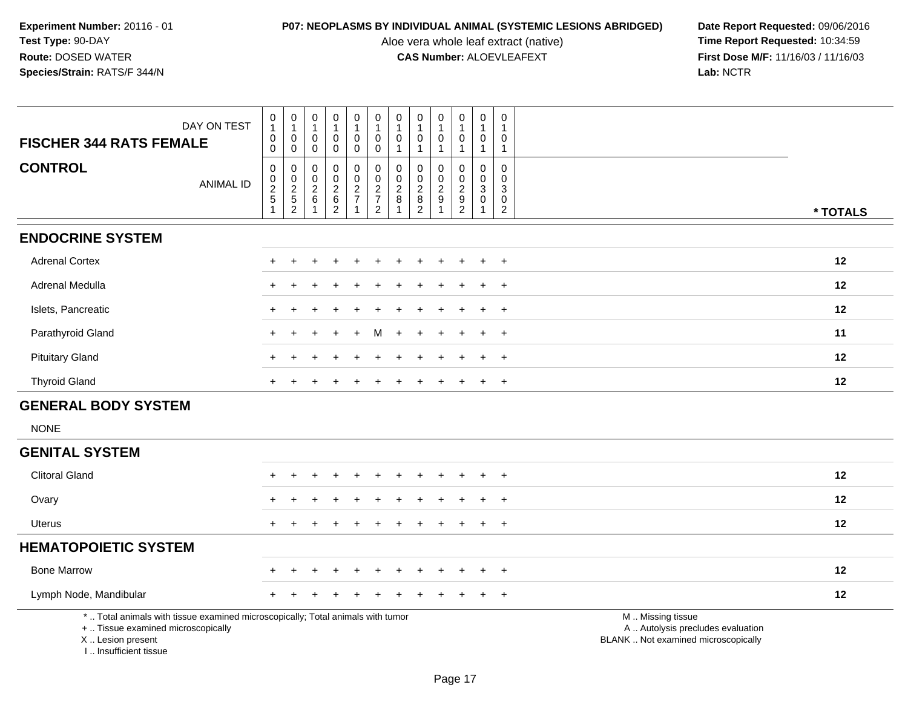I .. Insufficient tissue

Aloe vera whole leaf extract (native)<br>**CAS Number:** ALOEVLEAFEXT

| <b>FISCHER 344 RATS FEMALE</b>                          | DAY ON TEST                                                                     | $\pmb{0}$<br>$\mathbf{1}$<br>$\pmb{0}$<br>$\mathbf 0$                     | $\mathbf 0$<br>$\mathbf{1}$<br>$\mathbf 0$<br>$\mathbf 0$                                   | $\mathbf 0$<br>$\mathbf{1}$<br>$\mathbf 0$<br>$\mathbf 0$ | 0<br>$\mathbf{1}$<br>$\mathbf 0$<br>$\mathbf 0$                 | $\pmb{0}$<br>$\mathbf{1}$<br>$\mathbf 0$<br>$\pmb{0}$        | $\mathbf 0$<br>$\mathbf{1}$<br>$\mathbf 0$<br>$\mathbf 0$              | $\begin{smallmatrix}0\\1\end{smallmatrix}$<br>$\mathbf 0$<br>$\overline{1}$ | 0<br>$\mathbf{1}$<br>$\mathbf 0$<br>$\mathbf{1}$            | 0<br>$\mathbf{1}$<br>$\Omega$<br>$\mathbf{1}$            | $\pmb{0}$<br>$\mathbf{1}$<br>$\mathbf 0$<br>1 | $\pmb{0}$<br>$\mathbf{1}$<br>$\mathbf 0$<br>$\mathbf{1}$ | $\pmb{0}$<br>$\mathbf 1$<br>0<br>$\mathbf{1}$                                     |                                                                                               |
|---------------------------------------------------------|---------------------------------------------------------------------------------|---------------------------------------------------------------------------|---------------------------------------------------------------------------------------------|-----------------------------------------------------------|-----------------------------------------------------------------|--------------------------------------------------------------|------------------------------------------------------------------------|-----------------------------------------------------------------------------|-------------------------------------------------------------|----------------------------------------------------------|-----------------------------------------------|----------------------------------------------------------|-----------------------------------------------------------------------------------|-----------------------------------------------------------------------------------------------|
| <b>CONTROL</b>                                          | <b>ANIMAL ID</b>                                                                | $\mathbf 0$<br>$\begin{array}{c} 0 \\ 2 \\ 5 \end{array}$<br>$\mathbf{1}$ | $\mathbf 0$<br>$\begin{smallmatrix} 0\\2 \end{smallmatrix}$<br>$\sqrt{5}$<br>$\overline{c}$ | $\mathbf 0$<br>$\mathbf 0$<br>$\sqrt{2}$<br>6             | 0<br>$\mathbf 0$<br>$\overline{c}$<br>$\,6\,$<br>$\overline{c}$ | $\mathbf 0$<br>$\pmb{0}$<br>$\overline{2}$<br>$\overline{7}$ | 0<br>$\mathbf 0$<br>$\overline{2}$<br>$\overline{7}$<br>$\overline{2}$ | $\mathbf 0$<br>$\ddot{\mathbf{0}}$<br>$\overline{2}$<br>$\, 8$<br>-1        | 0<br>$\mathbf 0$<br>$\sqrt{2}$<br>$\bf 8$<br>$\overline{c}$ | $\Omega$<br>$\mathbf 0$<br>$\overline{c}$<br>$9\,$<br>-1 | 0<br>0<br>$\overline{2}$<br>$\frac{9}{2}$     | $\mathbf 0$<br>$\mathbf 0$<br>3<br>$\mathbf 0$<br>-1     | $\mathbf 0$<br>$\mathbf 0$<br>$\sqrt{3}$<br>$\mathsf{O}\xspace$<br>$\overline{2}$ | * TOTALS                                                                                      |
| <b>ENDOCRINE SYSTEM</b>                                 |                                                                                 |                                                                           |                                                                                             |                                                           |                                                                 |                                                              |                                                                        |                                                                             |                                                             |                                                          |                                               |                                                          |                                                                                   |                                                                                               |
| <b>Adrenal Cortex</b>                                   |                                                                                 | $\ddot{}$                                                                 |                                                                                             |                                                           |                                                                 |                                                              |                                                                        |                                                                             |                                                             |                                                          |                                               | $+$                                                      | $^{+}$                                                                            | 12                                                                                            |
| Adrenal Medulla                                         |                                                                                 |                                                                           |                                                                                             |                                                           |                                                                 |                                                              |                                                                        |                                                                             |                                                             |                                                          |                                               |                                                          | $\overline{+}$                                                                    | 12                                                                                            |
| Islets, Pancreatic                                      |                                                                                 |                                                                           |                                                                                             |                                                           |                                                                 |                                                              |                                                                        |                                                                             |                                                             |                                                          |                                               |                                                          | $\ddot{}$                                                                         | 12                                                                                            |
| Parathyroid Gland                                       |                                                                                 | ÷.                                                                        |                                                                                             |                                                           |                                                                 |                                                              |                                                                        |                                                                             |                                                             |                                                          |                                               | $\div$                                                   | $+$                                                                               | 11                                                                                            |
| <b>Pituitary Gland</b>                                  |                                                                                 |                                                                           |                                                                                             |                                                           |                                                                 |                                                              |                                                                        |                                                                             |                                                             |                                                          |                                               |                                                          | $+$                                                                               | 12                                                                                            |
| <b>Thyroid Gland</b>                                    |                                                                                 |                                                                           |                                                                                             |                                                           |                                                                 |                                                              |                                                                        |                                                                             |                                                             |                                                          |                                               |                                                          | $\overline{+}$                                                                    | 12                                                                                            |
| <b>GENERAL BODY SYSTEM</b>                              |                                                                                 |                                                                           |                                                                                             |                                                           |                                                                 |                                                              |                                                                        |                                                                             |                                                             |                                                          |                                               |                                                          |                                                                                   |                                                                                               |
| <b>NONE</b>                                             |                                                                                 |                                                                           |                                                                                             |                                                           |                                                                 |                                                              |                                                                        |                                                                             |                                                             |                                                          |                                               |                                                          |                                                                                   |                                                                                               |
| <b>GENITAL SYSTEM</b>                                   |                                                                                 |                                                                           |                                                                                             |                                                           |                                                                 |                                                              |                                                                        |                                                                             |                                                             |                                                          |                                               |                                                          |                                                                                   |                                                                                               |
| <b>Clitoral Gland</b>                                   |                                                                                 |                                                                           |                                                                                             |                                                           |                                                                 |                                                              |                                                                        |                                                                             |                                                             |                                                          |                                               |                                                          | $\ddot{}$                                                                         | 12                                                                                            |
| Ovary                                                   |                                                                                 |                                                                           |                                                                                             |                                                           |                                                                 |                                                              |                                                                        |                                                                             |                                                             |                                                          |                                               | $\ddot{}$                                                | $\overline{+}$                                                                    | 12                                                                                            |
| Uterus                                                  |                                                                                 |                                                                           |                                                                                             |                                                           |                                                                 |                                                              |                                                                        |                                                                             |                                                             |                                                          |                                               | $\div$                                                   | $\overline{+}$                                                                    | 12                                                                                            |
| <b>HEMATOPOIETIC SYSTEM</b>                             |                                                                                 |                                                                           |                                                                                             |                                                           |                                                                 |                                                              |                                                                        |                                                                             |                                                             |                                                          |                                               |                                                          |                                                                                   |                                                                                               |
| <b>Bone Marrow</b>                                      |                                                                                 |                                                                           |                                                                                             |                                                           |                                                                 |                                                              |                                                                        |                                                                             |                                                             |                                                          |                                               | $\pm$                                                    | $^{+}$                                                                            | 12                                                                                            |
| Lymph Node, Mandibular                                  |                                                                                 |                                                                           |                                                                                             |                                                           |                                                                 |                                                              |                                                                        |                                                                             |                                                             |                                                          |                                               |                                                          | $\overline{+}$                                                                    | 12                                                                                            |
| +  Tissue examined microscopically<br>X  Lesion present | *  Total animals with tissue examined microscopically; Total animals with tumor |                                                                           |                                                                                             |                                                           |                                                                 |                                                              |                                                                        |                                                                             |                                                             |                                                          |                                               |                                                          |                                                                                   | M  Missing tissue<br>A  Autolysis precludes evaluation<br>BLANK  Not examined microscopically |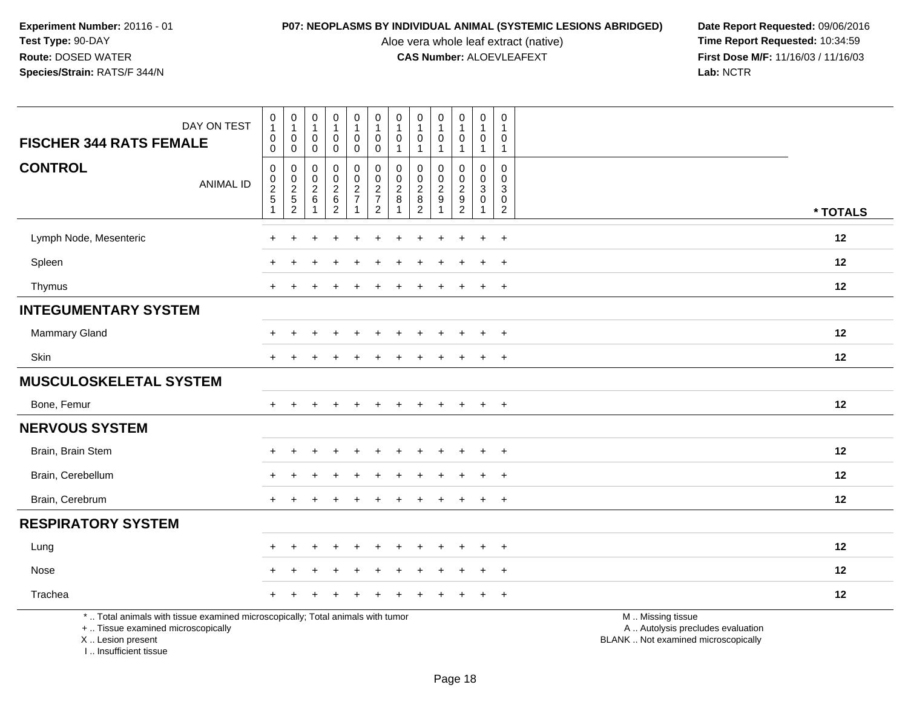Aloe vera whole leaf extract (native)<br>**CAS Number:** ALOEVLEAFEXT

**P07: NEOPLASMS BY INDIVIDUAL ANIMAL (SYSTEMIC LESIONS ABRIDGED) Date Report Requested: 09/06/2016<br>Aloe vera whole leaf extract (native) <b>Time Report Requested:** 10:34:59 **First Dose M/F:** 11/16/03 / 11/16/03<br>Lab: NCTR **Lab:** NCTR

| DAY ON TEST<br><b>FISCHER 344 RATS FEMALE</b>                                                                         | $\pmb{0}$<br>$\mathbf{1}$<br>$\mathbf 0$<br>$\mathbf 0$                          | $\pmb{0}$<br>$\mathbf{1}$<br>0<br>0         | $\pmb{0}$<br>$\overline{1}$<br>$\mathbf 0$<br>$\mathbf 0$ | $\pmb{0}$<br>$\mathbf{1}$<br>$\pmb{0}$<br>$\mathbf 0$ | $\pmb{0}$<br>$\mathbf{1}$<br>$\pmb{0}$<br>$\mathbf 0$ | $\mathsf{O}\xspace$<br>$\mathbf{1}$<br>$\pmb{0}$<br>$\mathbf 0$ | $\pmb{0}$<br>1<br>0<br>$\mathbf{1}$ | $\pmb{0}$<br>$\mathbf{1}$<br>$\pmb{0}$<br>$\mathbf{1}$ | $\pmb{0}$<br>$\overline{1}$<br>0<br>$\overline{1}$ | $\pmb{0}$<br>$\mathbf{1}$<br>$\mathbf 0$<br>$\mathbf{1}$ | 0<br>1<br>0<br>$\mathbf{1}$             | 0<br>$\overline{1}$<br>$\mathbf 0$<br>$\mathbf{1}$                         |                                                        |
|-----------------------------------------------------------------------------------------------------------------------|----------------------------------------------------------------------------------|---------------------------------------------|-----------------------------------------------------------|-------------------------------------------------------|-------------------------------------------------------|-----------------------------------------------------------------|-------------------------------------|--------------------------------------------------------|----------------------------------------------------|----------------------------------------------------------|-----------------------------------------|----------------------------------------------------------------------------|--------------------------------------------------------|
| <b>CONTROL</b><br><b>ANIMAL ID</b>                                                                                    | $\mathsf{O}\xspace$<br>$\mathsf{O}\xspace$<br>$\overline{2}$<br>$\,$ 5 $\,$<br>1 | $\mathbf 0$<br>$\mathbf 0$<br>$\frac{2}{2}$ | $\mathbf 0$<br>$\mathsf{O}$<br>$\overline{2}$<br>$\,6\,$  | 0<br>$\mathbf 0$<br>$\frac{2}{6}$<br>$\overline{2}$   | $\pmb{0}$<br>$\mathsf{O}\xspace$<br>$\frac{2}{7}$     | $\mathbf 0$<br>$\mathbf 0$<br>$\frac{2}{7}$<br>$\overline{2}$   | 0<br>0<br>$\overline{c}$<br>$\,8\,$ | $\mathbf 0$<br>$\mathbf 0$<br>$\frac{2}{8}$            | 0<br>$\mathbf 0$<br>$\frac{2}{9}$                  | 0<br>$\mathbf 0$<br>$\frac{2}{9}$                        | 0<br>$\overline{0}$<br>3<br>$\mathbf 0$ | $\mathbf 0$<br>$\mathbf{0}$<br>$\sqrt{3}$<br>$\mathbf 0$<br>$\overline{2}$ | * TOTALS                                               |
| Lymph Node, Mesenteric                                                                                                | $\ddot{}$                                                                        | $\ddot{}$                                   | ÷                                                         | $\ddot{}$                                             | $\ddot{}$                                             | $\ddot{}$                                                       | $\ddot{}$                           | $\overline{ }$                                         | $\ddot{}$                                          | $\ddot{}$                                                | $\ddot{}$                               | $\ddot{}$                                                                  | 12                                                     |
| Spleen                                                                                                                |                                                                                  |                                             |                                                           |                                                       |                                                       |                                                                 |                                     |                                                        |                                                    |                                                          |                                         | $\ddot{}$                                                                  | 12                                                     |
| Thymus                                                                                                                | $+$                                                                              |                                             |                                                           |                                                       |                                                       |                                                                 |                                     |                                                        |                                                    |                                                          | $+$                                     | $\ddot{}$                                                                  | 12                                                     |
| <b>INTEGUMENTARY SYSTEM</b>                                                                                           |                                                                                  |                                             |                                                           |                                                       |                                                       |                                                                 |                                     |                                                        |                                                    |                                                          |                                         |                                                                            |                                                        |
| Mammary Gland                                                                                                         |                                                                                  |                                             |                                                           |                                                       |                                                       |                                                                 |                                     |                                                        |                                                    |                                                          |                                         | $\ddot{}$                                                                  | 12                                                     |
| Skin                                                                                                                  | $\pm$                                                                            |                                             |                                                           |                                                       |                                                       |                                                                 |                                     |                                                        |                                                    |                                                          |                                         | $\ddot{}$                                                                  | 12                                                     |
| <b>MUSCULOSKELETAL SYSTEM</b>                                                                                         |                                                                                  |                                             |                                                           |                                                       |                                                       |                                                                 |                                     |                                                        |                                                    |                                                          |                                         |                                                                            |                                                        |
| Bone, Femur                                                                                                           | $\ddot{}$                                                                        |                                             |                                                           |                                                       |                                                       |                                                                 |                                     |                                                        |                                                    |                                                          | $\ddot{}$                               | $\ddot{}$                                                                  | 12                                                     |
| <b>NERVOUS SYSTEM</b>                                                                                                 |                                                                                  |                                             |                                                           |                                                       |                                                       |                                                                 |                                     |                                                        |                                                    |                                                          |                                         |                                                                            |                                                        |
| Brain, Brain Stem                                                                                                     |                                                                                  |                                             |                                                           |                                                       |                                                       |                                                                 |                                     |                                                        |                                                    |                                                          |                                         | $\ddot{}$                                                                  | 12                                                     |
| Brain, Cerebellum                                                                                                     | $\div$                                                                           |                                             |                                                           |                                                       |                                                       |                                                                 |                                     |                                                        |                                                    |                                                          |                                         |                                                                            | 12                                                     |
| Brain, Cerebrum                                                                                                       | $+$                                                                              |                                             |                                                           |                                                       |                                                       |                                                                 |                                     |                                                        |                                                    |                                                          | $\ddot{}$                               | $\ddot{}$                                                                  | 12                                                     |
| <b>RESPIRATORY SYSTEM</b>                                                                                             |                                                                                  |                                             |                                                           |                                                       |                                                       |                                                                 |                                     |                                                        |                                                    |                                                          |                                         |                                                                            |                                                        |
| Lung                                                                                                                  | $\pm$                                                                            |                                             |                                                           |                                                       |                                                       |                                                                 |                                     |                                                        |                                                    |                                                          | $\div$                                  | $\ddot{}$                                                                  | 12                                                     |
| Nose                                                                                                                  | $\ddot{}$                                                                        |                                             |                                                           |                                                       |                                                       |                                                                 |                                     |                                                        |                                                    |                                                          | $\div$                                  | $\ddot{}$                                                                  | 12                                                     |
| Trachea                                                                                                               | $\ddot{}$                                                                        |                                             |                                                           |                                                       |                                                       |                                                                 |                                     |                                                        |                                                    |                                                          |                                         | $\ddot{}$                                                                  | 12                                                     |
| *  Total animals with tissue examined microscopically; Total animals with tumor<br>+  Tissue examined microscopically |                                                                                  |                                             |                                                           |                                                       |                                                       |                                                                 |                                     |                                                        |                                                    |                                                          |                                         |                                                                            | M  Missing tissue<br>A  Autolysis precludes evaluation |

X .. Lesion present

I .. Insufficient tissue

Lesion present BLANK .. Not examined microscopically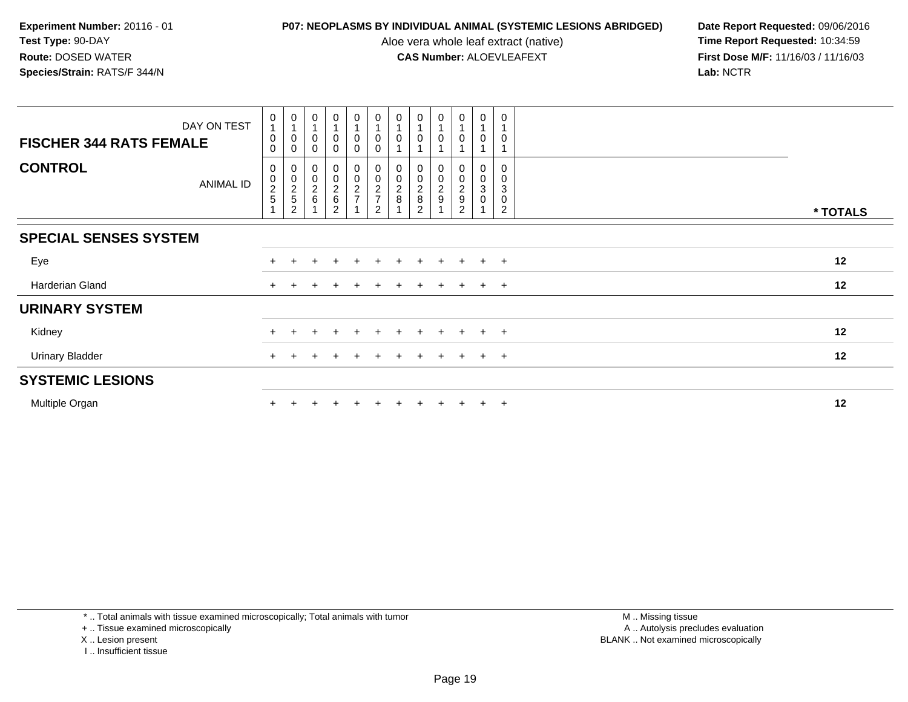Aloe vera whole leaf extract (native)<br>**CAS Number:** ALOEVLEAFEXT

| DAY ON TEST<br><b>FISCHER 344 RATS FEMALE</b> | $\mathbf 0$<br>$\mathbf{1}$<br>$\boldsymbol{0}$<br>$\Omega$ | $\frac{0}{4}$<br>0<br>$\mathbf 0$                                              | 0<br>$\overline{A}$<br>0<br>0   | $\pmb{0}$<br>$\pmb{0}$<br>$\mathbf 0$ | $\frac{0}{1}$<br>0<br>$\mathbf 0$ | $\begin{smallmatrix}0\\1\end{smallmatrix}$<br>$\pmb{0}$<br>$\mathbf 0$ | 0<br>$\pmb{0}$                                                         | $\begin{smallmatrix}0\\1\end{smallmatrix}$<br>0                                                        | 0<br>0                            | $\begin{smallmatrix}0\\1\end{smallmatrix}$<br>$\mathbf 0$         | $\pmb{0}$<br>$\overline{1}$<br>0                         | 0<br>0                          |          |
|-----------------------------------------------|-------------------------------------------------------------|--------------------------------------------------------------------------------|---------------------------------|---------------------------------------|-----------------------------------|------------------------------------------------------------------------|------------------------------------------------------------------------|--------------------------------------------------------------------------------------------------------|-----------------------------------|-------------------------------------------------------------------|----------------------------------------------------------|---------------------------------|----------|
| <b>CONTROL</b><br>ANIMAL ID                   | 0<br>$\pmb{0}$<br>$\frac{2}{5}$                             | $\begin{smallmatrix}0\0\0\end{smallmatrix}$<br>$\frac{2}{5}$<br>$\overline{2}$ | 0<br>$\pmb{0}$<br>$\frac{2}{6}$ | 00026<br>$\overline{2}$               | 00027                             | 00027<br>$\overline{2}$                                                | $\boldsymbol{0}$<br>$\pmb{0}$<br>$\begin{array}{c} 2 \\ 8 \end{array}$ | $\begin{smallmatrix}0\0\0\end{smallmatrix}$<br>$\begin{array}{c} 2 \\ 8 \end{array}$<br>$\overline{2}$ | 0<br>$\mathsf 0$<br>$\frac{2}{9}$ | $\begin{smallmatrix}0\0\0\end{smallmatrix}$<br>$\frac{2}{9}$<br>2 | 0<br>$\pmb{0}$<br>$\ensuremath{\mathsf{3}}$<br>$\pmb{0}$ | 0<br>$\mathbf 0$<br>3<br>0<br>2 | * TOTALS |
| <b>SPECIAL SENSES SYSTEM</b>                  |                                                             |                                                                                |                                 |                                       |                                   |                                                                        |                                                                        |                                                                                                        |                                   |                                                                   |                                                          |                                 |          |
| Eye                                           |                                                             |                                                                                |                                 |                                       |                                   |                                                                        |                                                                        |                                                                                                        |                                   |                                                                   |                                                          | $\overline{+}$                  | 12       |
| Harderian Gland                               | $+$                                                         |                                                                                |                                 |                                       |                                   |                                                                        |                                                                        |                                                                                                        | $\ddot{}$                         | $\ddot{}$                                                         | $+$                                                      | $+$                             | 12       |
| <b>URINARY SYSTEM</b>                         |                                                             |                                                                                |                                 |                                       |                                   |                                                                        |                                                                        |                                                                                                        |                                   |                                                                   |                                                          |                                 |          |
| Kidney                                        |                                                             |                                                                                |                                 |                                       |                                   |                                                                        |                                                                        |                                                                                                        |                                   |                                                                   | $+$                                                      | $+$                             | 12       |
| <b>Urinary Bladder</b>                        |                                                             |                                                                                |                                 |                                       |                                   |                                                                        |                                                                        |                                                                                                        | $\pm$                             | $\pm$                                                             | $+$                                                      | $+$                             | 12       |
| <b>SYSTEMIC LESIONS</b>                       |                                                             |                                                                                |                                 |                                       |                                   |                                                                        |                                                                        |                                                                                                        |                                   |                                                                   |                                                          |                                 |          |
| Multiple Organ                                |                                                             |                                                                                |                                 |                                       |                                   |                                                                        |                                                                        |                                                                                                        | $\pm$                             |                                                                   | $+$                                                      | $\overline{+}$                  | 12       |

- X .. Lesion present
- I .. Insufficient tissue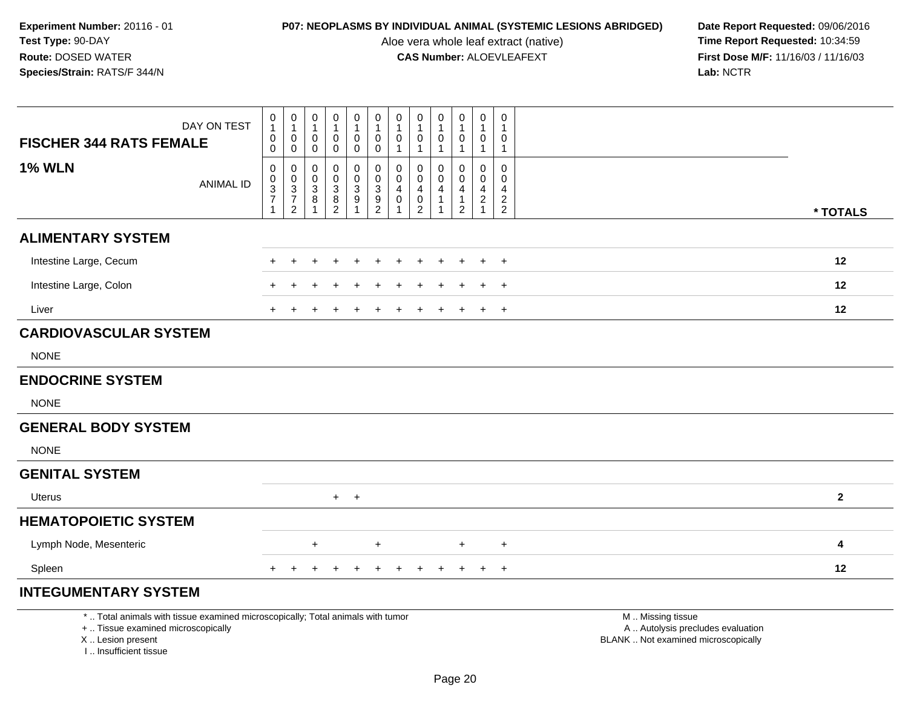Aloe vera whole leaf extract (native)<br>**CAS Number:** ALOEVLEAFEXT

| <b>FISCHER 344 RATS FEMALE</b>                                                                                                                                     | DAY ON TEST      | 0<br>1<br>0                                | $\mathbf 0$<br>$\mathbf{1}$<br>$\mathbf 0$ | 0<br>$\mathbf 1$<br>$\mathbf 0$             | $\mathbf 0$<br>$\mathbf{1}$<br>$\mathbf 0$  | 0<br>$\mathbf{1}$<br>0          | $\pmb{0}$<br>$\mathbf{1}$<br>$\mathbf 0$ | 0<br>$\mathbf{1}$<br>$\mathbf 0$ | 0<br>1<br>$\mathbf 0$         | 0<br>$\mathbf 0$        | $\mathbf 0$<br>$\mathbf{1}$<br>$\mathbf 0$ | $\mathbf 0$<br>$\mathbf{1}$<br>$\mathbf 0$ | $\mathbf 0$<br>1<br>0 |                                                                                               |
|--------------------------------------------------------------------------------------------------------------------------------------------------------------------|------------------|--------------------------------------------|--------------------------------------------|---------------------------------------------|---------------------------------------------|---------------------------------|------------------------------------------|----------------------------------|-------------------------------|-------------------------|--------------------------------------------|--------------------------------------------|-----------------------|-----------------------------------------------------------------------------------------------|
|                                                                                                                                                                    |                  | 0                                          | $\mathbf 0$                                | 0                                           | 0                                           | 0                               | $\mathbf 0$                              | $\mathbf{1}$                     | $\mathbf{1}$                  |                         | $\mathbf{1}$                               | $\mathbf{1}$                               | 1                     |                                                                                               |
| <b>1% WLN</b>                                                                                                                                                      |                  | $\pmb{0}$                                  | 0                                          | $\Omega$<br>0                               | $\mathbf 0$                                 | 0                               | $\mathbf 0$<br>$\pmb{0}$                 | 0<br>0                           | $\Omega$<br>0                 | $\Omega$<br>$\mathbf 0$ | $\Omega$<br>$\mathbf 0$                    | $\Omega$<br>$\mathbf 0$                    | $\Omega$<br>0         |                                                                                               |
|                                                                                                                                                                    | <b>ANIMAL ID</b> | $\begin{array}{c} 0 \\ 3 \\ 7 \end{array}$ | $\begin{array}{c} 0 \\ 3 \\ 7 \end{array}$ | $\ensuremath{\mathsf{3}}$<br>$\overline{8}$ | $\begin{smallmatrix}0\3\8\end{smallmatrix}$ | $\frac{0}{3}$<br>$\overline{9}$ | $\overline{3}$<br>$\overline{9}$         | 4<br>$\pmb{0}$                   | $\overline{4}$<br>$\mathbf 0$ | 4                       | 4<br>$\overline{1}$                        | $\overline{4}$<br>$\boldsymbol{2}$         | 4<br>$\sqrt{2}$       |                                                                                               |
|                                                                                                                                                                    |                  | $\mathbf{1}$                               | $\overline{2}$                             |                                             | $\overline{2}$                              |                                 | $\overline{c}$                           |                                  | $\overline{2}$                |                         | $\overline{2}$                             | $\mathbf{1}$                               | $\overline{2}$        | * TOTALS                                                                                      |
| <b>ALIMENTARY SYSTEM</b>                                                                                                                                           |                  |                                            |                                            |                                             |                                             |                                 |                                          |                                  |                               |                         |                                            |                                            |                       |                                                                                               |
| Intestine Large, Cecum                                                                                                                                             |                  |                                            |                                            |                                             |                                             |                                 |                                          |                                  |                               |                         |                                            |                                            | $+$                   | 12                                                                                            |
| Intestine Large, Colon                                                                                                                                             |                  |                                            |                                            |                                             |                                             |                                 |                                          |                                  |                               |                         |                                            |                                            |                       | 12                                                                                            |
| Liver                                                                                                                                                              |                  |                                            |                                            |                                             |                                             |                                 |                                          |                                  |                               |                         |                                            | $+$                                        | $+$                   | 12                                                                                            |
| <b>CARDIOVASCULAR SYSTEM</b>                                                                                                                                       |                  |                                            |                                            |                                             |                                             |                                 |                                          |                                  |                               |                         |                                            |                                            |                       |                                                                                               |
| <b>NONE</b>                                                                                                                                                        |                  |                                            |                                            |                                             |                                             |                                 |                                          |                                  |                               |                         |                                            |                                            |                       |                                                                                               |
| <b>ENDOCRINE SYSTEM</b>                                                                                                                                            |                  |                                            |                                            |                                             |                                             |                                 |                                          |                                  |                               |                         |                                            |                                            |                       |                                                                                               |
| <b>NONE</b>                                                                                                                                                        |                  |                                            |                                            |                                             |                                             |                                 |                                          |                                  |                               |                         |                                            |                                            |                       |                                                                                               |
| <b>GENERAL BODY SYSTEM</b>                                                                                                                                         |                  |                                            |                                            |                                             |                                             |                                 |                                          |                                  |                               |                         |                                            |                                            |                       |                                                                                               |
| <b>NONE</b>                                                                                                                                                        |                  |                                            |                                            |                                             |                                             |                                 |                                          |                                  |                               |                         |                                            |                                            |                       |                                                                                               |
| <b>GENITAL SYSTEM</b>                                                                                                                                              |                  |                                            |                                            |                                             |                                             |                                 |                                          |                                  |                               |                         |                                            |                                            |                       |                                                                                               |
| Uterus                                                                                                                                                             |                  |                                            |                                            |                                             | $+$                                         | $+$                             |                                          |                                  |                               |                         |                                            |                                            |                       | $\overline{\mathbf{2}}$                                                                       |
| <b>HEMATOPOIETIC SYSTEM</b>                                                                                                                                        |                  |                                            |                                            |                                             |                                             |                                 |                                          |                                  |                               |                         |                                            |                                            |                       |                                                                                               |
| Lymph Node, Mesenteric                                                                                                                                             |                  |                                            |                                            | $\ddot{}$                                   |                                             |                                 | $\ddot{}$                                |                                  |                               |                         | $\ddot{}$                                  |                                            | $\ddot{}$             | 4                                                                                             |
| Spleen                                                                                                                                                             |                  |                                            |                                            |                                             |                                             |                                 |                                          |                                  |                               |                         |                                            | $\ddot{}$                                  | $+$                   | 12                                                                                            |
| <b>INTEGUMENTARY SYSTEM</b>                                                                                                                                        |                  |                                            |                                            |                                             |                                             |                                 |                                          |                                  |                               |                         |                                            |                                            |                       |                                                                                               |
| *  Total animals with tissue examined microscopically; Total animals with tumor<br>+  Tissue examined microscopically<br>X Lesion present<br>I Insufficient tissue |                  |                                            |                                            |                                             |                                             |                                 |                                          |                                  |                               |                         |                                            |                                            |                       | M  Missing tissue<br>A  Autolysis precludes evaluation<br>BLANK  Not examined microscopically |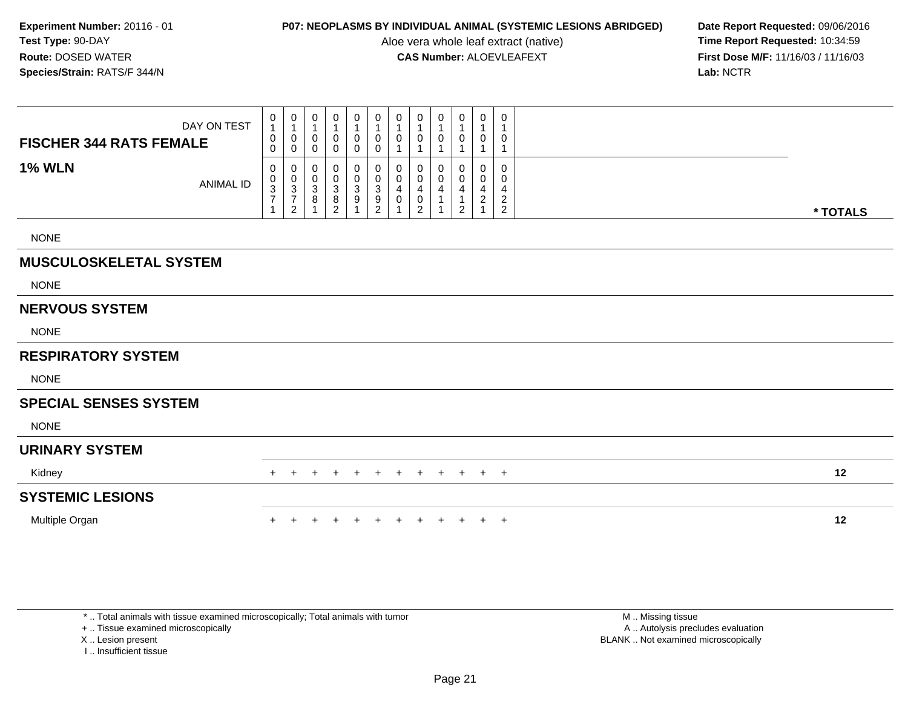Aloe vera whole leaf extract (native)<br>**CAS Number:** ALOEVLEAFEXT

**P07: NEOPLASMS BY INDIVIDUAL ANIMAL (SYSTEMIC LESIONS ABRIDGED) Date Report Requested: 09/06/2016<br>Aloe vera whole leaf extract (native) <b>Time Report Requested:** 10:34:59 **First Dose M/F:** 11/16/03 / 11/16/03<br>Lab: NCTR **Lab:** NCTR

| <b>FISCHER 344 RATS FEMALE</b> | DAY ON TEST      | 0<br>$\mathbf{1}$<br>0  | $\mathbf 0$<br>$\overline{1}$<br>$\pmb{0}$                | 0<br>$\mathbf{1}$<br>0                        | 0<br>1<br>0                         | 0<br>$\mathbf{1}$<br>$\mathbf 0$                 | $\mathbf 0$<br>$\mathbf{1}$<br>$\pmb{0}$ | 0<br>$\mathbf 1$<br>0                     | $\mathbf 0$<br>$\mathbf{1}$<br>0 | 0<br>$\mathbf{1}$<br>0 | 0<br>1<br>0         | 0<br>$\mathbf{1}$<br>$\pmb{0}$   | 0<br>1<br>0                      |          |
|--------------------------------|------------------|-------------------------|-----------------------------------------------------------|-----------------------------------------------|-------------------------------------|--------------------------------------------------|------------------------------------------|-------------------------------------------|----------------------------------|------------------------|---------------------|----------------------------------|----------------------------------|----------|
|                                |                  | 0                       | $\mathbf 0$                                               | $\mathbf 0$                                   | 0                                   | $\pmb{0}$                                        | $\pmb{0}$                                |                                           |                                  | $\overline{1}$         |                     | $\mathbf{1}$                     |                                  |          |
| <b>1% WLN</b>                  | <b>ANIMAL ID</b> | 0<br>0<br>$\frac{3}{7}$ | $\mathbf 0$<br>$\begin{array}{c} 0 \\ 3 \\ 7 \end{array}$ | 0<br>$\mathbf 0$<br>$\ensuremath{\mathsf{3}}$ | 0<br>0<br>$\ensuremath{\mathsf{3}}$ | 0<br>$\begin{smallmatrix}0\3\9\end{smallmatrix}$ | $\pmb{0}$<br>$\mathsf 0$                 | 0<br>$\pmb{0}$<br>$\overline{\mathbf{4}}$ | 0<br>$\mathbf 0$<br>4            | 0<br>0<br>4            | 0<br>0<br>4         | 0<br>0<br>$\overline{4}$         | 0<br>0<br>4                      |          |
|                                |                  | $\mathbf{1}$            | $\sqrt{2}$                                                | 8<br>$\mathbf{1}$                             | 8<br>$\boldsymbol{2}$               |                                                  | $\frac{3}{9}$                            | $\pmb{0}$                                 | $\pmb{0}$<br>$\overline{2}$      | 1                      | 1<br>$\overline{c}$ | $\boldsymbol{2}$<br>$\mathbf{1}$ | $\overline{c}$<br>$\overline{2}$ | * TOTALS |
| <b>NONE</b>                    |                  |                         |                                                           |                                               |                                     |                                                  |                                          |                                           |                                  |                        |                     |                                  |                                  |          |
| <b>MUSCULOSKELETAL SYSTEM</b>  |                  |                         |                                                           |                                               |                                     |                                                  |                                          |                                           |                                  |                        |                     |                                  |                                  |          |
| <b>NONE</b>                    |                  |                         |                                                           |                                               |                                     |                                                  |                                          |                                           |                                  |                        |                     |                                  |                                  |          |
| <b>NERVOUS SYSTEM</b>          |                  |                         |                                                           |                                               |                                     |                                                  |                                          |                                           |                                  |                        |                     |                                  |                                  |          |
| <b>NONE</b>                    |                  |                         |                                                           |                                               |                                     |                                                  |                                          |                                           |                                  |                        |                     |                                  |                                  |          |
| <b>RESPIRATORY SYSTEM</b>      |                  |                         |                                                           |                                               |                                     |                                                  |                                          |                                           |                                  |                        |                     |                                  |                                  |          |
| <b>NONE</b>                    |                  |                         |                                                           |                                               |                                     |                                                  |                                          |                                           |                                  |                        |                     |                                  |                                  |          |
| <b>SPECIAL SENSES SYSTEM</b>   |                  |                         |                                                           |                                               |                                     |                                                  |                                          |                                           |                                  |                        |                     |                                  |                                  |          |
| <b>NONE</b>                    |                  |                         |                                                           |                                               |                                     |                                                  |                                          |                                           |                                  |                        |                     |                                  |                                  |          |
| <b>URINARY SYSTEM</b>          |                  |                         |                                                           |                                               |                                     |                                                  |                                          |                                           |                                  |                        |                     |                                  |                                  |          |
| Kidney                         |                  |                         |                                                           |                                               |                                     |                                                  |                                          |                                           |                                  | $\pm$                  | $\overline{+}$      | $+$                              | $+$                              | 12       |
| <b>SYSTEMIC LESIONS</b>        |                  |                         |                                                           |                                               |                                     |                                                  |                                          |                                           |                                  |                        |                     |                                  |                                  |          |
| Multiple Organ                 |                  |                         |                                                           |                                               |                                     |                                                  |                                          |                                           |                                  |                        |                     | $+$                              | $+$                              | 12       |

\* .. Total animals with tissue examined microscopically; Total animals with tumor

+ .. Tissue examined microscopically

X .. Lesion present

I .. Insufficient tissue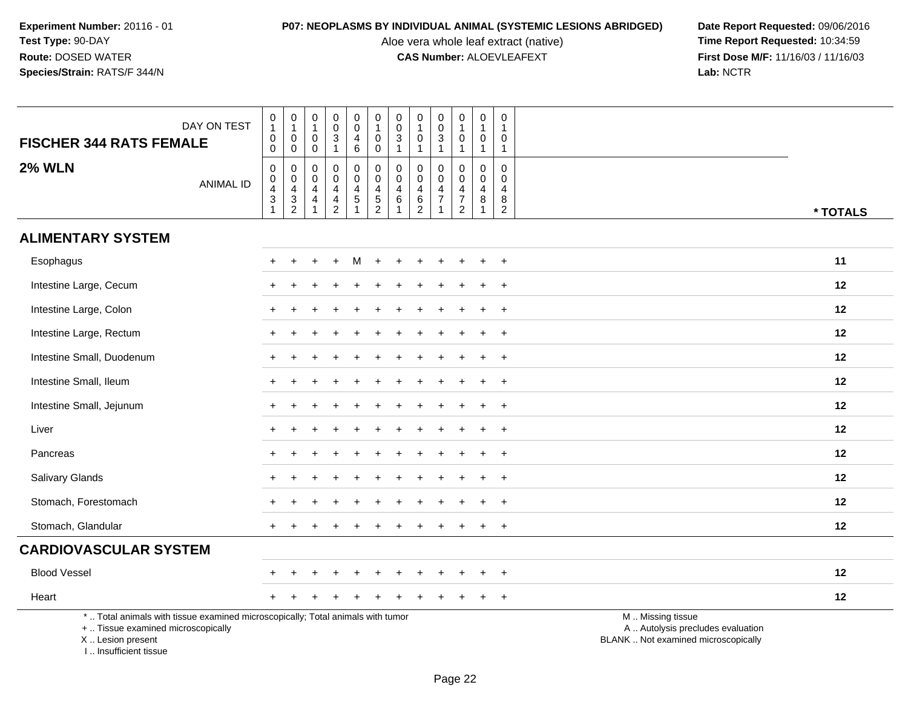Aloe vera whole leaf extract (native)<br>**CAS Number:** ALOEVLEAFEXT

| <b>FISCHER 344 RATS FEMALE</b>                                                   | DAY ON TEST                                                                     | $\pmb{0}$<br>$\mathbf{1}$<br>$\pmb{0}$<br>$\mathbf 0$                        | $\pmb{0}$<br>$\overline{1}$<br>$\pmb{0}$<br>$\mathbf 0$       | 0<br>$\mathbf{1}$<br>0<br>$\mathbf 0$ | $\pmb{0}$<br>$\mathbf 0$<br>$\mathfrak{S}$<br>$\mathbf{1}$                   | $\pmb{0}$<br>$\ddot{\mathbf{0}}$<br>4<br>6        | $\pmb{0}$<br>$\overline{1}$<br>$\mathbf 0$<br>0             | $\pmb{0}$<br>$\overline{0}$<br>$\mathbf{3}$<br>$\mathbf{1}$ | $\pmb{0}$<br>$\overline{1}$<br>$\mathbf 0$<br>$\overline{1}$              | $\mathbf 0$<br>$\boldsymbol{0}$<br>$\mathbf{3}$<br>$\overline{1}$ | $\pmb{0}$<br>$\mathbf{1}$<br>$\pmb{0}$<br>$\mathbf{1}$                 | $\boldsymbol{0}$<br>$\mathbf{1}$<br>$\mathbf 0$<br>$\mathbf{1}$        | 0<br>1<br>0<br>$\mathbf{1}$                         |                                                                                               |
|----------------------------------------------------------------------------------|---------------------------------------------------------------------------------|------------------------------------------------------------------------------|---------------------------------------------------------------|---------------------------------------|------------------------------------------------------------------------------|---------------------------------------------------|-------------------------------------------------------------|-------------------------------------------------------------|---------------------------------------------------------------------------|-------------------------------------------------------------------|------------------------------------------------------------------------|------------------------------------------------------------------------|-----------------------------------------------------|-----------------------------------------------------------------------------------------------|
| <b>2% WLN</b>                                                                    | <b>ANIMAL ID</b>                                                                | 0<br>$\pmb{0}$<br>$\overline{\mathcal{A}}$<br>$\ensuremath{\mathsf{3}}$<br>1 | $\mathbf 0$<br>$\mathbf 0$<br>$\overline{4}$<br>$\frac{3}{2}$ | 0<br>0<br>4<br>$\overline{4}$         | $\mathbf 0$<br>$\mathbf 0$<br>4<br>$\overline{\mathbf{4}}$<br>$\overline{2}$ | 0<br>$\mathsf{O}$<br>$\overline{4}$<br>$\sqrt{5}$ | 0<br>$\mathsf{O}\xspace$<br>$\overline{4}$<br>$\frac{5}{2}$ | 0<br>$\pmb{0}$<br>4<br>$\,6$<br>$\mathbf 1$                 | $\mathbf 0$<br>$\mathbf 0$<br>$\overline{4}$<br>$\,6\,$<br>$\overline{2}$ | $\mathbf 0$<br>$\boldsymbol{0}$<br>4<br>$\overline{7}$<br>1       | 0<br>$\mathbf 0$<br>$\overline{4}$<br>$\overline{7}$<br>$\overline{2}$ | $\mathbf 0$<br>$\pmb{0}$<br>$\overline{4}$<br>$\, 8$<br>$\overline{1}$ | $\mathbf 0$<br>$\Omega$<br>4<br>8<br>$\overline{2}$ | * TOTALS                                                                                      |
| <b>ALIMENTARY SYSTEM</b>                                                         |                                                                                 |                                                                              |                                                               |                                       |                                                                              |                                                   |                                                             |                                                             |                                                                           |                                                                   |                                                                        |                                                                        |                                                     |                                                                                               |
| Esophagus                                                                        |                                                                                 |                                                                              |                                                               |                                       |                                                                              |                                                   |                                                             |                                                             |                                                                           |                                                                   |                                                                        |                                                                        |                                                     | 11                                                                                            |
| Intestine Large, Cecum                                                           |                                                                                 |                                                                              |                                                               |                                       |                                                                              |                                                   |                                                             |                                                             |                                                                           |                                                                   |                                                                        |                                                                        | $\ddot{}$                                           | 12                                                                                            |
| Intestine Large, Colon                                                           |                                                                                 |                                                                              |                                                               |                                       |                                                                              |                                                   |                                                             |                                                             |                                                                           |                                                                   |                                                                        |                                                                        | $\div$                                              | 12                                                                                            |
| Intestine Large, Rectum                                                          |                                                                                 |                                                                              |                                                               |                                       |                                                                              |                                                   |                                                             |                                                             |                                                                           |                                                                   |                                                                        |                                                                        | $\ddot{}$                                           | 12                                                                                            |
| Intestine Small, Duodenum                                                        |                                                                                 |                                                                              |                                                               |                                       |                                                                              |                                                   |                                                             |                                                             |                                                                           |                                                                   |                                                                        |                                                                        | ÷                                                   | 12                                                                                            |
| Intestine Small, Ileum                                                           |                                                                                 |                                                                              |                                                               |                                       |                                                                              |                                                   |                                                             |                                                             |                                                                           |                                                                   |                                                                        |                                                                        | $\ddot{}$                                           | 12                                                                                            |
| Intestine Small, Jejunum                                                         |                                                                                 | $\pm$                                                                        |                                                               |                                       |                                                                              |                                                   |                                                             |                                                             |                                                                           |                                                                   |                                                                        | ÷                                                                      | $\overline{+}$                                      | 12                                                                                            |
| Liver                                                                            |                                                                                 |                                                                              |                                                               |                                       |                                                                              |                                                   |                                                             |                                                             |                                                                           |                                                                   |                                                                        |                                                                        | $\ddot{}$                                           | 12                                                                                            |
| Pancreas                                                                         |                                                                                 |                                                                              |                                                               |                                       |                                                                              |                                                   |                                                             |                                                             |                                                                           |                                                                   |                                                                        |                                                                        | $\ddot{}$                                           | 12                                                                                            |
| Salivary Glands                                                                  |                                                                                 | $+$                                                                          |                                                               |                                       |                                                                              |                                                   |                                                             |                                                             |                                                                           |                                                                   |                                                                        |                                                                        | $\ddot{}$                                           | 12                                                                                            |
| Stomach, Forestomach                                                             |                                                                                 |                                                                              |                                                               |                                       |                                                                              |                                                   |                                                             |                                                             |                                                                           |                                                                   |                                                                        |                                                                        | $\div$                                              | 12                                                                                            |
| Stomach, Glandular                                                               |                                                                                 |                                                                              |                                                               |                                       |                                                                              |                                                   |                                                             |                                                             |                                                                           |                                                                   |                                                                        |                                                                        | $\ddot{}$                                           | 12                                                                                            |
| <b>CARDIOVASCULAR SYSTEM</b>                                                     |                                                                                 |                                                                              |                                                               |                                       |                                                                              |                                                   |                                                             |                                                             |                                                                           |                                                                   |                                                                        |                                                                        |                                                     |                                                                                               |
| <b>Blood Vessel</b>                                                              |                                                                                 |                                                                              |                                                               |                                       |                                                                              |                                                   |                                                             |                                                             |                                                                           |                                                                   |                                                                        |                                                                        | $\ddot{}$                                           | 12                                                                                            |
| Heart                                                                            |                                                                                 |                                                                              |                                                               |                                       |                                                                              |                                                   |                                                             |                                                             |                                                                           |                                                                   |                                                                        |                                                                        | $\ddot{}$                                           | 12                                                                                            |
| +  Tissue examined microscopically<br>X  Lesion present<br>I Insufficient tissue | *  Total animals with tissue examined microscopically; Total animals with tumor |                                                                              |                                                               |                                       |                                                                              |                                                   |                                                             |                                                             |                                                                           |                                                                   |                                                                        |                                                                        |                                                     | M  Missing tissue<br>A  Autolysis precludes evaluation<br>BLANK  Not examined microscopically |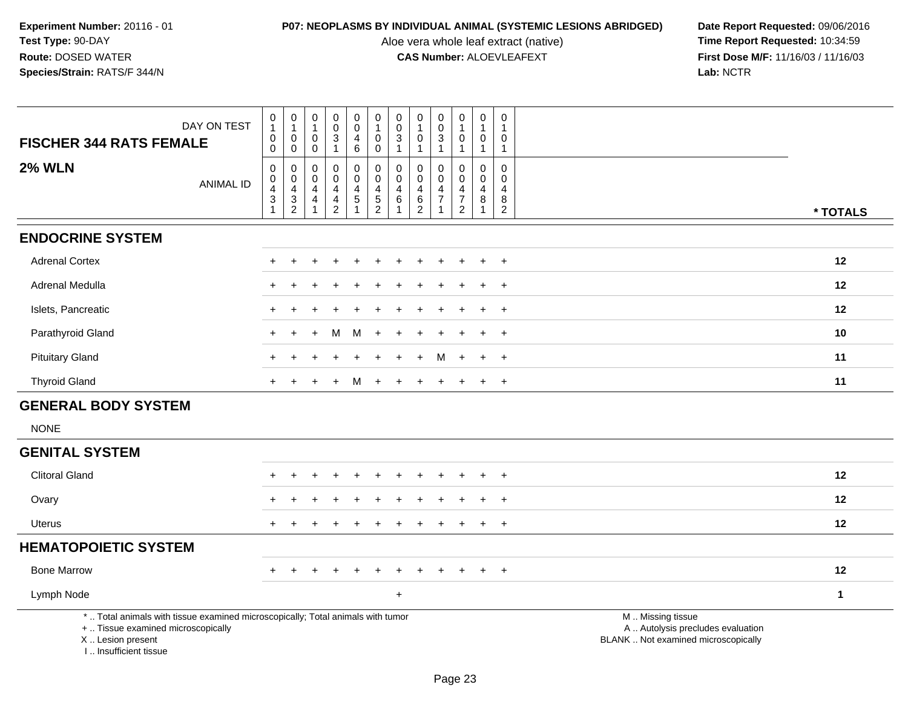Aloe vera whole leaf extract (native)<br>**CAS Number:** ALOEVLEAFEXT

| <b>FISCHER 344 RATS FEMALE</b>                                                                                                                                      | DAY ON TEST      | $\pmb{0}$<br>$\mathbf{1}$<br>$\pmb{0}$<br>$\mathbf 0$           | $\begin{smallmatrix}0\\1\end{smallmatrix}$<br>$\mathsf{O}\xspace$<br>$\mathbf 0$ | $\pmb{0}$<br>$\mathbf{1}$<br>0<br>$\mathbf 0$      | $\pmb{0}$<br>$\mathbf 0$<br>$\sqrt{3}$<br>$\mathbf{1}$                | $_{\rm 0}^{\rm 0}$<br>$\overline{4}$<br>$\,6\,$                             | $\begin{smallmatrix}0\\1\end{smallmatrix}$<br>$\pmb{0}$<br>$\mathbf 0$ | $\begin{smallmatrix} 0\\0 \end{smallmatrix}$<br>$\overline{3}$<br>$\overline{1}$ | 0<br>$\mathbf 0$<br>$\mathbf{1}$               | $\pmb{0}$<br>$\pmb{0}$<br>$\overline{3}$<br>$\mathbf{1}$ | $\pmb{0}$<br>$\mathbf{1}$<br>$\mathbf 0$<br>$\mathbf{1}$                      | $\begin{smallmatrix}0\\1\end{smallmatrix}$<br>$\boldsymbol{0}$<br>$\mathbf{1}$ | 0<br>$\mathbf{1}$<br>0<br>$\mathbf{1}$                    |                                                                                               |
|---------------------------------------------------------------------------------------------------------------------------------------------------------------------|------------------|-----------------------------------------------------------------|----------------------------------------------------------------------------------|----------------------------------------------------|-----------------------------------------------------------------------|-----------------------------------------------------------------------------|------------------------------------------------------------------------|----------------------------------------------------------------------------------|------------------------------------------------|----------------------------------------------------------|-------------------------------------------------------------------------------|--------------------------------------------------------------------------------|-----------------------------------------------------------|-----------------------------------------------------------------------------------------------|
| <b>2% WLN</b>                                                                                                                                                       | <b>ANIMAL ID</b> | 0<br>$\pmb{0}$<br>$\overline{4}$<br>$\mathsf 3$<br>$\mathbf{1}$ | $\mathbf 0$<br>$\begin{array}{c} 0 \\ 4 \\ 3 \\ 2 \end{array}$                   | 0<br>$\mathsf{O}\xspace$<br>4<br>4<br>$\mathbf{1}$ | 0<br>0<br>$\overline{4}$<br>$\overline{\mathbf{r}}$<br>$\overline{2}$ | 0<br>$\mathsf{O}\xspace$<br>$\overline{4}$<br>$\,$ 5 $\,$<br>$\overline{1}$ | 0<br>$\mathbf 0$<br>$\overline{4}$<br>$\frac{5}{2}$                    | $\mathbf 0$<br>$\mathbf 0$<br>$\overline{a}$<br>$\,6\,$<br>$\overline{1}$        | 0<br>$\pmb{0}$<br>4<br>$\,6$<br>$\overline{c}$ | $\mathbf 0$<br>$\mathbf 0$<br>4<br>$\overline{7}$<br>1   | $\Omega$<br>$\mathbf 0$<br>$\overline{4}$<br>$\overline{7}$<br>$\overline{2}$ | 0<br>$\mathsf{O}\xspace$<br>$\overline{4}$<br>$\bf 8$<br>$\mathbf{1}$          | $\Omega$<br>$\mathbf 0$<br>4<br>$\bf 8$<br>$\overline{2}$ | * TOTALS                                                                                      |
| <b>ENDOCRINE SYSTEM</b>                                                                                                                                             |                  |                                                                 |                                                                                  |                                                    |                                                                       |                                                                             |                                                                        |                                                                                  |                                                |                                                          |                                                                               |                                                                                |                                                           |                                                                                               |
| <b>Adrenal Cortex</b>                                                                                                                                               |                  |                                                                 |                                                                                  |                                                    |                                                                       |                                                                             |                                                                        |                                                                                  |                                                |                                                          |                                                                               |                                                                                | $\ddot{}$                                                 | 12                                                                                            |
| Adrenal Medulla                                                                                                                                                     |                  |                                                                 |                                                                                  |                                                    |                                                                       |                                                                             |                                                                        |                                                                                  |                                                |                                                          |                                                                               |                                                                                | $\overline{1}$                                            | 12                                                                                            |
| Islets, Pancreatic                                                                                                                                                  |                  |                                                                 |                                                                                  |                                                    |                                                                       |                                                                             |                                                                        |                                                                                  |                                                |                                                          |                                                                               |                                                                                | $\overline{ }$                                            | 12                                                                                            |
| Parathyroid Gland                                                                                                                                                   |                  |                                                                 |                                                                                  |                                                    | м                                                                     | м                                                                           | $\div$                                                                 |                                                                                  |                                                |                                                          |                                                                               |                                                                                | $\overline{ }$                                            | 10                                                                                            |
| <b>Pituitary Gland</b>                                                                                                                                              |                  |                                                                 |                                                                                  |                                                    |                                                                       |                                                                             |                                                                        |                                                                                  |                                                |                                                          |                                                                               | $\ddot{}$                                                                      | $\div$                                                    | 11                                                                                            |
| <b>Thyroid Gland</b>                                                                                                                                                |                  | $+$                                                             | $\pm$                                                                            | $\div$                                             | ÷                                                                     | м                                                                           | $+$                                                                    | $\ddot{}$                                                                        |                                                |                                                          | $\pm$                                                                         | $+$                                                                            | $+$                                                       | 11                                                                                            |
| <b>GENERAL BODY SYSTEM</b>                                                                                                                                          |                  |                                                                 |                                                                                  |                                                    |                                                                       |                                                                             |                                                                        |                                                                                  |                                                |                                                          |                                                                               |                                                                                |                                                           |                                                                                               |
| <b>NONE</b>                                                                                                                                                         |                  |                                                                 |                                                                                  |                                                    |                                                                       |                                                                             |                                                                        |                                                                                  |                                                |                                                          |                                                                               |                                                                                |                                                           |                                                                                               |
| <b>GENITAL SYSTEM</b>                                                                                                                                               |                  |                                                                 |                                                                                  |                                                    |                                                                       |                                                                             |                                                                        |                                                                                  |                                                |                                                          |                                                                               |                                                                                |                                                           |                                                                                               |
| <b>Clitoral Gland</b>                                                                                                                                               |                  |                                                                 |                                                                                  |                                                    |                                                                       |                                                                             |                                                                        |                                                                                  |                                                |                                                          |                                                                               |                                                                                | $\overline{1}$                                            | 12                                                                                            |
| Ovary                                                                                                                                                               |                  |                                                                 |                                                                                  |                                                    |                                                                       |                                                                             |                                                                        |                                                                                  |                                                |                                                          |                                                                               |                                                                                | $\overline{1}$                                            | 12                                                                                            |
| <b>Uterus</b>                                                                                                                                                       |                  | $\div$                                                          |                                                                                  |                                                    |                                                                       |                                                                             |                                                                        |                                                                                  |                                                |                                                          |                                                                               | $\pm$                                                                          | $+$                                                       | 12                                                                                            |
| <b>HEMATOPOIETIC SYSTEM</b>                                                                                                                                         |                  |                                                                 |                                                                                  |                                                    |                                                                       |                                                                             |                                                                        |                                                                                  |                                                |                                                          |                                                                               |                                                                                |                                                           |                                                                                               |
| <b>Bone Marrow</b>                                                                                                                                                  |                  | $\div$                                                          |                                                                                  | ÷                                                  |                                                                       |                                                                             |                                                                        |                                                                                  |                                                |                                                          | $\ddot{}$                                                                     | $+$                                                                            | $+$                                                       | 12                                                                                            |
| Lymph Node                                                                                                                                                          |                  |                                                                 |                                                                                  |                                                    |                                                                       |                                                                             |                                                                        | $\ddot{}$                                                                        |                                                |                                                          |                                                                               |                                                                                |                                                           | $\mathbf{1}$                                                                                  |
| *  Total animals with tissue examined microscopically; Total animals with tumor<br>+  Tissue examined microscopically<br>X  Lesion present<br>I Insufficient tissue |                  |                                                                 |                                                                                  |                                                    |                                                                       |                                                                             |                                                                        |                                                                                  |                                                |                                                          |                                                                               |                                                                                |                                                           | M  Missing tissue<br>A  Autolysis precludes evaluation<br>BLANK  Not examined microscopically |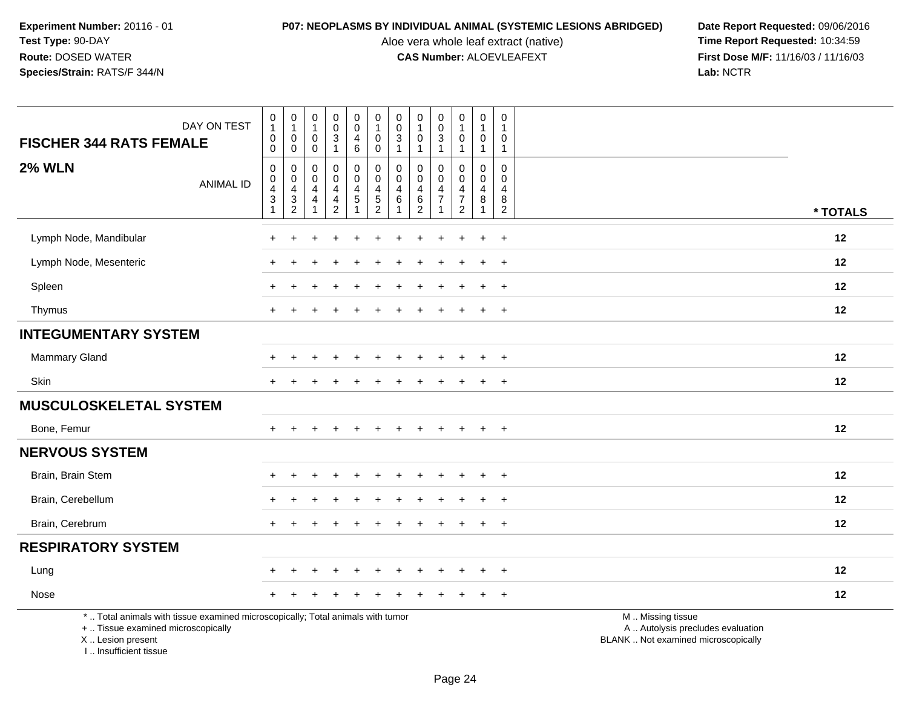Aloe vera whole leaf extract (native)<br>**CAS Number:** ALOEVLEAFEXT

**P07: NEOPLASMS BY INDIVIDUAL ANIMAL (SYSTEMIC LESIONS ABRIDGED)** Date Report Requested: 09/06/2016<br>Aloe vera whole leaf extract (native) **Time Report Requested:** 10:34:59 **First Dose M/F:** 11/16/03 / 11/16/03<br>Lab: NCTR **Lab:** NCTR

|                                                                                                                                            | DAY ON TEST      | $\begin{smallmatrix}0\\1\end{smallmatrix}$                                                         | $\pmb{0}$<br>1                     | $\pmb{0}$<br>$\mathbf{1}$                       | $\pmb{0}$<br>$\pmb{0}$                                                           | 0<br>$\mathbf 0$           | $\begin{smallmatrix}0\\1\end{smallmatrix}$                    | $\pmb{0}$<br>$\boldsymbol{0}$                  | 0<br>$\mathbf{1}$                                             | 0<br>$\mathsf{O}\xspace$             | $\pmb{0}$<br>$\mathbf{1}$                                   | $\pmb{0}$<br>$\mathbf 1$                | $\boldsymbol{0}$<br>$\overline{1}$                                  |                                                                                               |
|--------------------------------------------------------------------------------------------------------------------------------------------|------------------|----------------------------------------------------------------------------------------------------|------------------------------------|-------------------------------------------------|----------------------------------------------------------------------------------|----------------------------|---------------------------------------------------------------|------------------------------------------------|---------------------------------------------------------------|--------------------------------------|-------------------------------------------------------------|-----------------------------------------|---------------------------------------------------------------------|-----------------------------------------------------------------------------------------------|
| <b>FISCHER 344 RATS FEMALE</b>                                                                                                             |                  | $\mathbf 0$<br>$\mathbf 0$                                                                         | $\mathbf 0$<br>$\mathbf 0$         | $\mathbf 0$<br>0                                | $\mathbf{3}$<br>$\mathbf{1}$                                                     | 4<br>6                     | $\mathbf 0$<br>$\mathbf 0$                                    | $\mathbf{3}$<br>$\mathbf{1}$                   | $\Omega$<br>$\mathbf{1}$                                      | 3<br>1                               | $\mathbf 0$<br>$\mathbf{1}$                                 | 0<br>$\mathbf{1}$                       | $\mathbf 0$<br>$\overline{1}$                                       |                                                                                               |
| <b>2% WLN</b>                                                                                                                              | <b>ANIMAL ID</b> | $\mathbf 0$<br>$\mathbf 0$<br>$\overline{\mathbf{4}}$<br>$\ensuremath{\mathsf{3}}$<br>$\mathbf{1}$ | 0<br>0<br>4<br>3<br>$\overline{c}$ | 0<br>0<br>$\overline{4}$<br>4<br>$\overline{1}$ | $\mathbf 0$<br>$\mathbf 0$<br>$\overline{4}$<br>$\overline{4}$<br>$\overline{2}$ | 0<br>$\mathbf 0$<br>4<br>5 | $\mathbf 0$<br>$\mathbf 0$<br>$\overline{4}$<br>$\frac{5}{2}$ | 0<br>$\mathbf{0}$<br>$\overline{4}$<br>$\,6\,$ | 0<br>$\mathbf 0$<br>$\overline{4}$<br>$\,6$<br>$\overline{2}$ | 0<br>$\Omega$<br>4<br>$\overline{7}$ | 0<br>$\mathbf 0$<br>4<br>$\boldsymbol{7}$<br>$\overline{2}$ | $\Omega$<br>$\mathbf 0$<br>4<br>$\bf 8$ | $\mathbf 0$<br>$\mathbf 0$<br>$\overline{4}$<br>8<br>$\overline{2}$ | * TOTALS                                                                                      |
| Lymph Node, Mandibular                                                                                                                     |                  |                                                                                                    |                                    |                                                 |                                                                                  |                            |                                                               |                                                |                                                               |                                      |                                                             | $\ddot{}$                               | $\ddot{}$                                                           | 12                                                                                            |
|                                                                                                                                            |                  |                                                                                                    |                                    |                                                 |                                                                                  |                            |                                                               |                                                |                                                               |                                      |                                                             |                                         |                                                                     |                                                                                               |
| Lymph Node, Mesenteric                                                                                                                     |                  |                                                                                                    |                                    |                                                 |                                                                                  |                            |                                                               |                                                |                                                               |                                      |                                                             |                                         | $\ddot{}$                                                           | 12                                                                                            |
| Spleen                                                                                                                                     |                  |                                                                                                    |                                    |                                                 |                                                                                  |                            |                                                               |                                                |                                                               |                                      |                                                             |                                         | $\ddot{}$                                                           | 12                                                                                            |
| Thymus                                                                                                                                     |                  | $\ddot{}$                                                                                          |                                    |                                                 |                                                                                  |                            |                                                               |                                                |                                                               |                                      | $\pm$                                                       | $\ddot{}$                               | $+$                                                                 | 12                                                                                            |
| <b>INTEGUMENTARY SYSTEM</b>                                                                                                                |                  |                                                                                                    |                                    |                                                 |                                                                                  |                            |                                                               |                                                |                                                               |                                      |                                                             |                                         |                                                                     |                                                                                               |
| Mammary Gland                                                                                                                              |                  |                                                                                                    |                                    |                                                 |                                                                                  |                            |                                                               |                                                |                                                               |                                      |                                                             | $\div$                                  | $\ddot{}$                                                           | 12                                                                                            |
| Skin                                                                                                                                       |                  |                                                                                                    |                                    |                                                 |                                                                                  |                            |                                                               |                                                |                                                               |                                      |                                                             | $\ddot{}$                               | $\ddot{}$                                                           | 12                                                                                            |
| <b>MUSCULOSKELETAL SYSTEM</b>                                                                                                              |                  |                                                                                                    |                                    |                                                 |                                                                                  |                            |                                                               |                                                |                                                               |                                      |                                                             |                                         |                                                                     |                                                                                               |
| Bone, Femur                                                                                                                                |                  |                                                                                                    |                                    |                                                 | $\ddot{}$                                                                        | $\ddot{}$                  |                                                               | ÷                                              |                                                               | $\ddot{}$                            | $\ddot{}$                                                   | $+$                                     | $+$                                                                 | 12                                                                                            |
| <b>NERVOUS SYSTEM</b>                                                                                                                      |                  |                                                                                                    |                                    |                                                 |                                                                                  |                            |                                                               |                                                |                                                               |                                      |                                                             |                                         |                                                                     |                                                                                               |
| Brain, Brain Stem                                                                                                                          |                  |                                                                                                    |                                    |                                                 |                                                                                  |                            |                                                               |                                                |                                                               |                                      |                                                             |                                         | $\ddot{}$                                                           | 12                                                                                            |
| Brain, Cerebellum                                                                                                                          |                  |                                                                                                    |                                    |                                                 |                                                                                  |                            |                                                               |                                                |                                                               |                                      |                                                             | $\overline{ }$                          | $+$                                                                 | 12                                                                                            |
| Brain, Cerebrum                                                                                                                            |                  |                                                                                                    |                                    |                                                 |                                                                                  |                            |                                                               |                                                |                                                               |                                      |                                                             |                                         | $\ddot{}$                                                           | 12                                                                                            |
| <b>RESPIRATORY SYSTEM</b>                                                                                                                  |                  |                                                                                                    |                                    |                                                 |                                                                                  |                            |                                                               |                                                |                                                               |                                      |                                                             |                                         |                                                                     |                                                                                               |
| Lung                                                                                                                                       |                  |                                                                                                    |                                    |                                                 |                                                                                  |                            |                                                               |                                                |                                                               |                                      |                                                             | $\ddot{}$                               | $+$                                                                 | 12                                                                                            |
| Nose                                                                                                                                       |                  |                                                                                                    |                                    |                                                 |                                                                                  |                            |                                                               |                                                |                                                               |                                      |                                                             |                                         | $\ddot{}$                                                           | 12                                                                                            |
| *  Total animals with tissue examined microscopically; Total animals with tumor<br>+  Tissue examined microscopically<br>X  Lesion present |                  |                                                                                                    |                                    |                                                 |                                                                                  |                            |                                                               |                                                |                                                               |                                      |                                                             |                                         |                                                                     | M  Missing tissue<br>A  Autolysis precludes evaluation<br>BLANK  Not examined microscopically |

I .. Insufficient tissue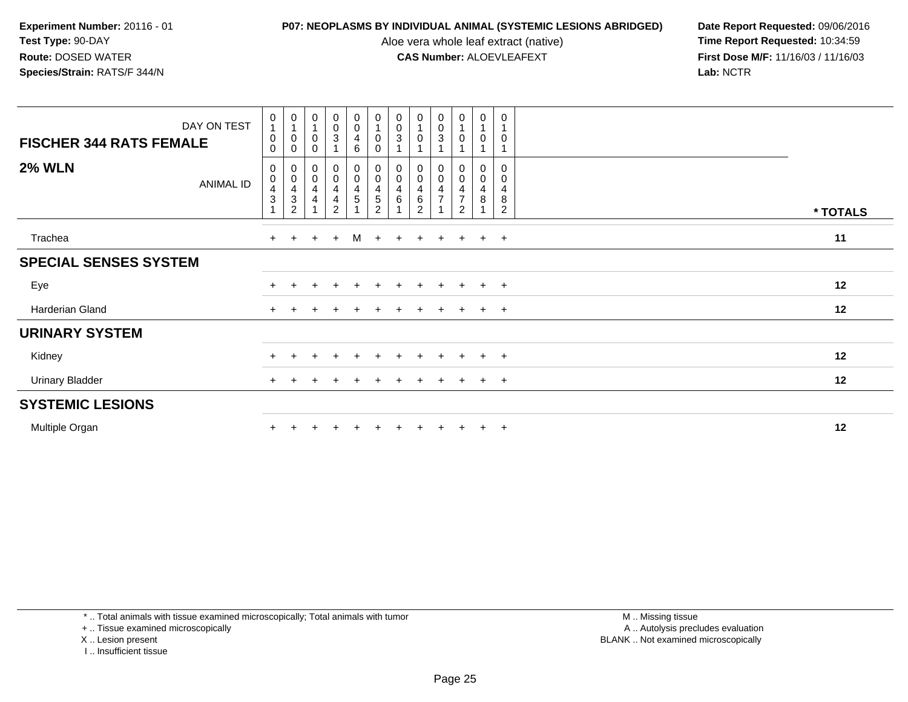Aloe vera whole leaf extract (native)<br>**CAS Number:** ALOEVLEAFEXT

**P07: NEOPLASMS BY INDIVIDUAL ANIMAL (SYSTEMIC LESIONS ABRIDGED) Date Report Requested: 09/06/2016<br>Aloe vera whole leaf extract (native) <b>Time Report Requested:** 10:34:59 **First Dose M/F:** 11/16/03 / 11/16/03<br>Lab: NCTR **Lab:** NCTR

| <b>FISCHER 344 RATS FEMALE</b> | DAY ON TEST | $\mathbf 0$<br>$\mathbf{1}$<br>0<br>$\mathbf 0$           | $\begin{smallmatrix}0\\1\end{smallmatrix}$<br>0<br>0 | $\pmb{0}$<br>$\overline{1}$<br>$\pmb{0}$<br>$\Omega$ | $\begin{smallmatrix} 0\\0\\3 \end{smallmatrix}$ | $_{\rm 0}^{\rm 0}$<br>$\overline{4}$<br>6             | 0<br>$\overline{1}$<br>$\pmb{0}$<br>$\mathbf 0$                                                          | $\begin{smallmatrix}0\\0\\3\end{smallmatrix}$                                         | $\begin{smallmatrix}0\\1\end{smallmatrix}$<br>$\pmb{0}$                         | $\mathbf 0$<br>$\pmb{0}$<br>$\mathbf{3}$        | $\begin{smallmatrix}0\\1\end{smallmatrix}$<br>$\pmb{0}$                         | $\boldsymbol{0}$<br>$\,0\,$                                                | $\mathbf 0$<br>$\mathbf 0$                   |          |
|--------------------------------|-------------|-----------------------------------------------------------|------------------------------------------------------|------------------------------------------------------|-------------------------------------------------|-------------------------------------------------------|----------------------------------------------------------------------------------------------------------|---------------------------------------------------------------------------------------|---------------------------------------------------------------------------------|-------------------------------------------------|---------------------------------------------------------------------------------|----------------------------------------------------------------------------|----------------------------------------------|----------|
| <b>2% WLN</b>                  | ANIMAL ID   | 0<br>$\pmb{0}$<br>$\overline{\mathbf{4}}$<br>$\mathbf{3}$ | 0<br>$\mathsf 0$<br>$\frac{4}{3}$<br>$\overline{c}$  | 0<br>$\pmb{0}$<br>$\overline{\mathbf{4}}$<br>4       | $_0^0$<br>4<br>4<br>$\overline{2}$              | $_{\rm 0}^{\rm 0}$<br>$\frac{4}{5}$<br>$\overline{A}$ | $\begin{smallmatrix} 0\\0 \end{smallmatrix}$<br>$\overline{\mathbf{4}}$<br>$\,$ 5 $\,$<br>$\overline{2}$ | $\begin{smallmatrix} 0\\0 \end{smallmatrix}$<br>$\begin{array}{c} 4 \\ 6 \end{array}$ | $\begin{smallmatrix} 0\\0 \end{smallmatrix}$<br>$\frac{4}{6}$<br>$\overline{2}$ | 0<br>$\mathsf{O}\xspace$<br>4<br>$\overline{7}$ | 0<br>$\mathbf 0$<br>$\overline{\mathbf{4}}$<br>$\overline{7}$<br>$\overline{2}$ | $\boldsymbol{0}$<br>$\boldsymbol{0}$<br>$\overline{\mathbf{r}}$<br>$\bf 8$ | $\mathbf 0$<br>0<br>4<br>8<br>$\overline{2}$ | * TOTALS |
| Trachea                        |             | $+$                                                       | $\ddot{}$                                            | $\ddot{}$                                            | $+$                                             | M                                                     | $+$                                                                                                      | $+$                                                                                   | $\ddot{}$                                                                       | $\ddot{}$                                       | $+$                                                                             | $+$                                                                        | $+$                                          | 11       |
| <b>SPECIAL SENSES SYSTEM</b>   |             |                                                           |                                                      |                                                      |                                                 |                                                       |                                                                                                          |                                                                                       |                                                                                 |                                                 |                                                                                 |                                                                            |                                              |          |
| Eye                            |             |                                                           |                                                      |                                                      | $\ddot{}$                                       | $+$                                                   | $\pm$                                                                                                    | $+$                                                                                   | $\ddot{}$                                                                       | $\overline{+}$                                  | $+$                                                                             | $+$                                                                        | $+$                                          | 12       |
| Harderian Gland                |             | $+$                                                       |                                                      |                                                      |                                                 |                                                       |                                                                                                          |                                                                                       |                                                                                 |                                                 | $+$                                                                             | $+$                                                                        | $\overline{+}$                               | 12       |
| <b>URINARY SYSTEM</b>          |             |                                                           |                                                      |                                                      |                                                 |                                                       |                                                                                                          |                                                                                       |                                                                                 |                                                 |                                                                                 |                                                                            |                                              |          |
| Kidney                         |             |                                                           |                                                      | ÷                                                    | $\ddot{}$                                       | $+$                                                   | $\pm$                                                                                                    | $\ddot{}$                                                                             | $\ddot{}$                                                                       | $\overline{+}$                                  | $+$                                                                             | $+$                                                                        | $+$                                          | 12       |
| <b>Urinary Bladder</b>         |             | $+$                                                       |                                                      |                                                      |                                                 |                                                       |                                                                                                          |                                                                                       | $\div$                                                                          | $\div$                                          | $+$                                                                             | $+$                                                                        | $+$                                          | 12       |
| <b>SYSTEMIC LESIONS</b>        |             |                                                           |                                                      |                                                      |                                                 |                                                       |                                                                                                          |                                                                                       |                                                                                 |                                                 |                                                                                 |                                                                            |                                              |          |
| Multiple Organ                 |             |                                                           |                                                      |                                                      |                                                 |                                                       |                                                                                                          |                                                                                       |                                                                                 |                                                 |                                                                                 | $+$                                                                        | $\overline{+}$                               | 12       |

\* .. Total animals with tissue examined microscopically; Total animals with tumor

+ .. Tissue examined microscopically

X .. Lesion present

I .. Insufficient tissue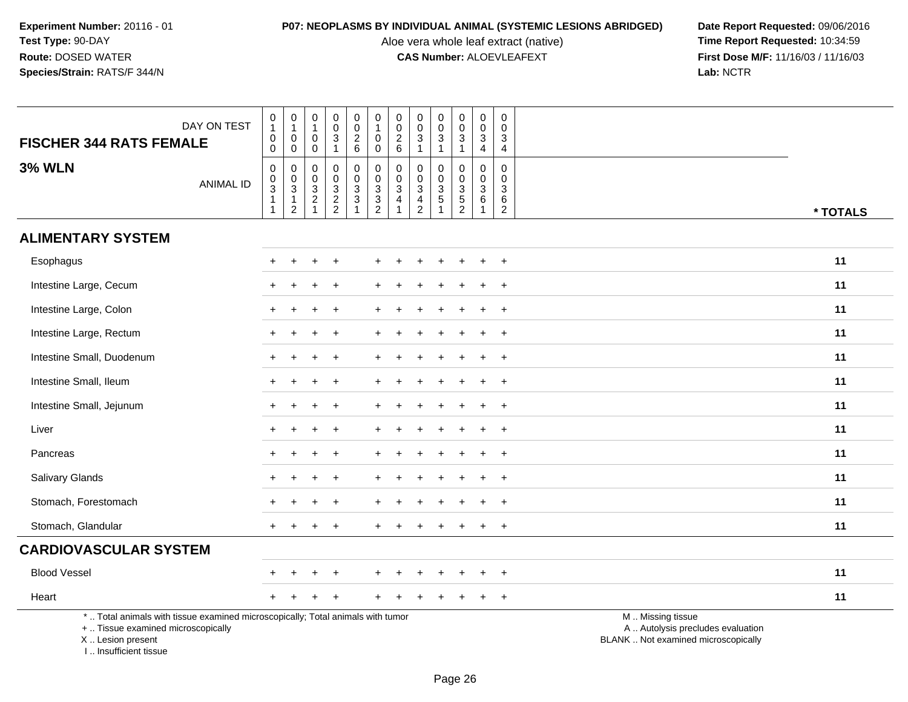Aloe vera whole leaf extract (native)<br>**CAS Number:** ALOEVLEAFEXT

| <b>FISCHER 344 RATS FEMALE</b>                                                   | DAY ON TEST                                                                     | $\pmb{0}$<br>$\mathbf{1}$<br>$\mathbf 0$<br>0           | $\pmb{0}$<br>$\mathbf{1}$<br>$\pmb{0}$<br>$\mathbf 0$                | $\pmb{0}$<br>$\mathbf{1}$<br>$\mathbf 0$<br>$\mathbf 0$                | $\pmb{0}$<br>$\pmb{0}$<br>$\sqrt{3}$<br>$\overline{1}$                | $\pmb{0}$<br>$\mathsf 0$<br>$\frac{2}{6}$                          | $\,0\,$<br>$\mathbf{1}$<br>$\mathbf 0$<br>0 | $\pmb{0}$<br>$\pmb{0}$<br>$\frac{2}{6}$                                    | $\pmb{0}$<br>$\mathbf 0$<br>$\mathbf{3}$<br>$\mathbf{1}$                          | $\pmb{0}$<br>$\pmb{0}$<br>$\mathbf{3}$                     | $\mathsf{O}\xspace$<br>$\mathsf{O}\xspace$<br>$\mathsf 3$<br>$\mathbf{1}$ | $\mathsf{O}\xspace$<br>$\mathbf 0$<br>$\mathbf 3$<br>$\overline{4}$ | $\boldsymbol{0}$<br>$\mathbf 0$<br>$\mathbf{3}$<br>$\overline{4}$ |                                                                                               |
|----------------------------------------------------------------------------------|---------------------------------------------------------------------------------|---------------------------------------------------------|----------------------------------------------------------------------|------------------------------------------------------------------------|-----------------------------------------------------------------------|--------------------------------------------------------------------|---------------------------------------------|----------------------------------------------------------------------------|-----------------------------------------------------------------------------------|------------------------------------------------------------|---------------------------------------------------------------------------|---------------------------------------------------------------------|-------------------------------------------------------------------|-----------------------------------------------------------------------------------------------|
| <b>3% WLN</b>                                                                    | <b>ANIMAL ID</b>                                                                | 0<br>$_{3}^{\rm 0}$<br>$\overline{1}$<br>$\overline{1}$ | 0<br>$\mathbf 0$<br>$\overline{3}$<br>$\mathbf{1}$<br>$\overline{2}$ | $\mathbf 0$<br>$\mathbf 0$<br>$\sqrt{3}$<br>$\sqrt{2}$<br>$\mathbf{1}$ | $\mathbf 0$<br>$\mathsf{O}\xspace$<br>$\overline{3}$<br>$\frac{2}{2}$ | 0<br>$\mathbf 0$<br>$\overline{3}$<br>$\mathbf{3}$<br>$\mathbf{1}$ | 0<br>0<br>$\overline{3}$<br>$\frac{3}{2}$   | 0<br>$\mathsf{O}\xspace$<br>$\ensuremath{\mathsf{3}}$<br>4<br>$\mathbf{1}$ | 0<br>$\mathbf 0$<br>$\ensuremath{\mathsf{3}}$<br>$\overline{4}$<br>$\overline{2}$ | $\mathbf 0$<br>$\mathbf 0$<br>$\overline{3}$<br>$\sqrt{5}$ | $\mathbf 0$<br>$\mathbf 0$<br>$\overline{3}$<br>$\frac{5}{2}$             | $\mathbf 0$<br>$\mathbf 0$<br>$\overline{3}$<br>6<br>$\mathbf{1}$   | $\mathbf 0$<br>$\overline{0}$<br>3<br>6<br>$\sqrt{2}$             | * TOTALS                                                                                      |
| <b>ALIMENTARY SYSTEM</b>                                                         |                                                                                 |                                                         |                                                                      |                                                                        |                                                                       |                                                                    |                                             |                                                                            |                                                                                   |                                                            |                                                                           |                                                                     |                                                                   |                                                                                               |
| Esophagus                                                                        |                                                                                 |                                                         |                                                                      |                                                                        |                                                                       |                                                                    |                                             |                                                                            |                                                                                   |                                                            |                                                                           |                                                                     | $\ddot{}$                                                         | 11                                                                                            |
| Intestine Large, Cecum                                                           |                                                                                 |                                                         |                                                                      |                                                                        |                                                                       |                                                                    |                                             |                                                                            |                                                                                   |                                                            |                                                                           |                                                                     | $\ddot{}$                                                         | 11                                                                                            |
| Intestine Large, Colon                                                           |                                                                                 |                                                         |                                                                      |                                                                        |                                                                       |                                                                    |                                             |                                                                            |                                                                                   |                                                            |                                                                           |                                                                     | $\ddot{}$                                                         | 11                                                                                            |
| Intestine Large, Rectum                                                          |                                                                                 |                                                         |                                                                      |                                                                        | $\div$                                                                |                                                                    |                                             |                                                                            |                                                                                   |                                                            |                                                                           | $\div$                                                              | $+$                                                               | 11                                                                                            |
| Intestine Small, Duodenum                                                        |                                                                                 |                                                         |                                                                      |                                                                        |                                                                       |                                                                    |                                             |                                                                            |                                                                                   |                                                            |                                                                           |                                                                     |                                                                   | 11                                                                                            |
| Intestine Small, Ileum                                                           |                                                                                 |                                                         |                                                                      |                                                                        |                                                                       |                                                                    |                                             |                                                                            |                                                                                   |                                                            |                                                                           |                                                                     |                                                                   | 11                                                                                            |
| Intestine Small, Jejunum                                                         |                                                                                 | $+$                                                     | $\div$                                                               | +                                                                      | $\div$                                                                |                                                                    |                                             |                                                                            |                                                                                   |                                                            | $\ddot{}$                                                                 | $\ddot{}$                                                           | $\overline{+}$                                                    | 11                                                                                            |
| Liver                                                                            |                                                                                 |                                                         |                                                                      |                                                                        |                                                                       |                                                                    |                                             |                                                                            |                                                                                   |                                                            |                                                                           |                                                                     | $\ddot{}$                                                         | 11                                                                                            |
| Pancreas                                                                         |                                                                                 |                                                         |                                                                      |                                                                        |                                                                       |                                                                    |                                             |                                                                            |                                                                                   |                                                            |                                                                           |                                                                     | $\ddot{}$                                                         | 11                                                                                            |
| Salivary Glands                                                                  |                                                                                 | $+$                                                     | $\div$                                                               |                                                                        | $\overline{1}$                                                        |                                                                    |                                             |                                                                            |                                                                                   |                                                            |                                                                           | ÷                                                                   | $\ddot{}$                                                         | 11                                                                                            |
| Stomach, Forestomach                                                             |                                                                                 |                                                         |                                                                      |                                                                        |                                                                       |                                                                    |                                             |                                                                            |                                                                                   |                                                            |                                                                           |                                                                     | $\ddot{}$                                                         | 11                                                                                            |
| Stomach, Glandular                                                               |                                                                                 | $+$                                                     |                                                                      |                                                                        |                                                                       |                                                                    |                                             |                                                                            |                                                                                   |                                                            |                                                                           |                                                                     | $+$                                                               | 11                                                                                            |
| <b>CARDIOVASCULAR SYSTEM</b>                                                     |                                                                                 |                                                         |                                                                      |                                                                        |                                                                       |                                                                    |                                             |                                                                            |                                                                                   |                                                            |                                                                           |                                                                     |                                                                   |                                                                                               |
| <b>Blood Vessel</b>                                                              |                                                                                 |                                                         | <b>+</b>                                                             |                                                                        |                                                                       |                                                                    |                                             |                                                                            |                                                                                   |                                                            |                                                                           |                                                                     | $\ddot{}$                                                         | 11                                                                                            |
| Heart                                                                            |                                                                                 |                                                         |                                                                      |                                                                        |                                                                       |                                                                    |                                             |                                                                            |                                                                                   |                                                            |                                                                           | ٠                                                                   | $+$                                                               | 11                                                                                            |
| +  Tissue examined microscopically<br>X  Lesion present<br>I Insufficient tissue | *  Total animals with tissue examined microscopically; Total animals with tumor |                                                         |                                                                      |                                                                        |                                                                       |                                                                    |                                             |                                                                            |                                                                                   |                                                            |                                                                           |                                                                     |                                                                   | M  Missing tissue<br>A  Autolysis precludes evaluation<br>BLANK  Not examined microscopically |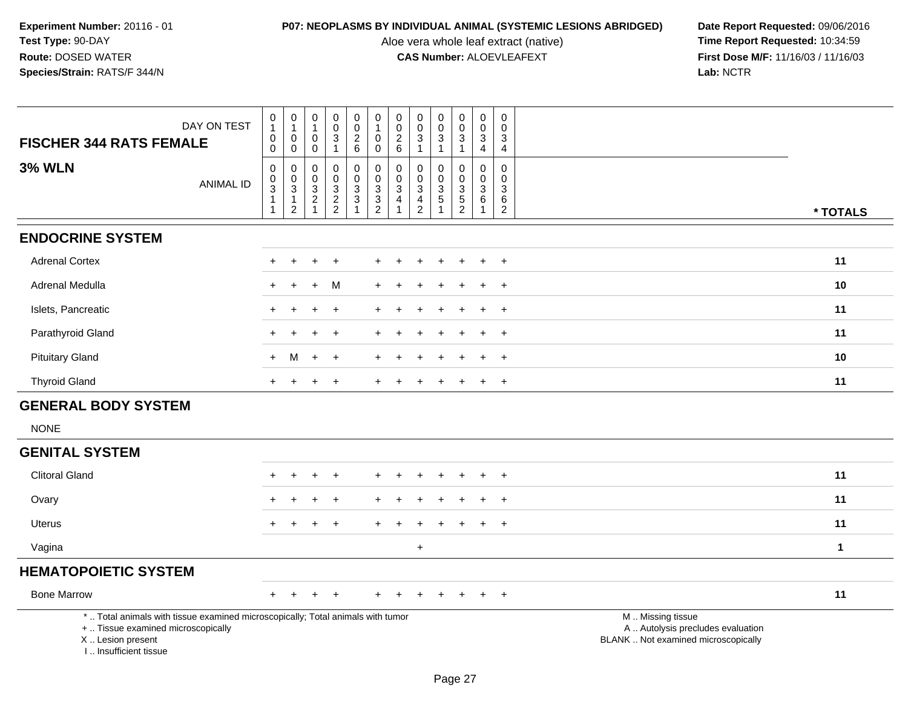Aloe vera whole leaf extract (native)<br>**CAS Number:** ALOEVLEAFEXT

| DAY ON TEST<br><b>FISCHER 344 RATS FEMALE</b>                                                                                                                       | 0<br>$\mathbf{1}$<br>0<br>0                | $\mathbf 0$<br>$\overline{1}$<br>$\mathbf 0$<br>$\mathbf 0$    | 0<br>$\mathbf{1}$<br>0<br>$\mathbf 0$                    | $\pmb{0}$<br>$\pmb{0}$<br>$\sqrt{3}$<br>$\mathbf{1}$ | $\begin{matrix} 0 \\ 0 \\ 2 \end{matrix}$<br>$6\phantom{1}$ | $\pmb{0}$<br>$\mathbf{1}$<br>0<br>$\mathbf 0$ | $\pmb{0}$<br>$\pmb{0}$<br>$\boldsymbol{2}$<br>6              | $\boldsymbol{0}$<br>$\mathbf 0$<br>3<br>$\overline{1}$                        | $\mathbf 0$<br>$\mathbf 0$<br>3<br>$\mathbf{1}$                            | $\,0\,$<br>$\pmb{0}$<br>$\sqrt{3}$<br>$\mathbf{1}$ | 0<br>$\mathbf 0$<br>3<br>$\overline{4}$                                                | 0<br>$\Omega$<br>3<br>$\overline{4}$                         |                                                                                               |
|---------------------------------------------------------------------------------------------------------------------------------------------------------------------|--------------------------------------------|----------------------------------------------------------------|----------------------------------------------------------|------------------------------------------------------|-------------------------------------------------------------|-----------------------------------------------|--------------------------------------------------------------|-------------------------------------------------------------------------------|----------------------------------------------------------------------------|----------------------------------------------------|----------------------------------------------------------------------------------------|--------------------------------------------------------------|-----------------------------------------------------------------------------------------------|
| <b>3% WLN</b><br><b>ANIMAL ID</b>                                                                                                                                   | 0<br>$_{3}^{\rm 0}$<br>$\overline{1}$<br>1 | $\pmb{0}$<br>$\frac{0}{3}$<br>$\overline{1}$<br>$\overline{2}$ | 0<br>0<br>$\mathbf{3}$<br>$\overline{c}$<br>$\mathbf{1}$ | $\mathbf 0$<br>$\pmb{0}$<br>$\frac{3}{2}$            | $\mathsf 0$<br>$\pmb{0}$<br>$\frac{3}{3}$                   | 0<br>$\frac{0}{3}$<br>$\frac{3}{2}$           | $\pmb{0}$<br>$\mathbf 0$<br>$\overline{3}$<br>$\overline{4}$ | $\mathbf 0$<br>$\mathbf 0$<br>$\mathbf 3$<br>$\overline{4}$<br>$\overline{2}$ | $\mathbf 0$<br>$\pmb{0}$<br>$\overline{3}$<br>$\sqrt{5}$<br>$\overline{1}$ | $\mathbf 0$<br>$\pmb{0}$<br>$\frac{3}{5}$          | $\mathsf{O}\xspace$<br>$\mathbf 0$<br>$\overline{3}$<br>$6\phantom{a}$<br>$\mathbf{1}$ | $\mathbf 0$<br>$\mathsf 0$<br>3<br>$\,6\,$<br>$\overline{2}$ | * TOTALS                                                                                      |
| <b>ENDOCRINE SYSTEM</b>                                                                                                                                             |                                            |                                                                |                                                          |                                                      |                                                             |                                               |                                                              |                                                                               |                                                                            |                                                    |                                                                                        |                                                              |                                                                                               |
| <b>Adrenal Cortex</b>                                                                                                                                               | $\div$                                     | $\div$                                                         | $\div$                                                   | $\ddot{}$                                            |                                                             | ÷.                                            |                                                              |                                                                               |                                                                            | $\div$                                             | $\div$                                                                                 | $\overline{+}$                                               | 11                                                                                            |
| Adrenal Medulla                                                                                                                                                     | ÷.                                         |                                                                | $\ddot{}$                                                | М                                                    |                                                             |                                               |                                                              |                                                                               |                                                                            |                                                    |                                                                                        | $\ddot{}$                                                    | 10                                                                                            |
| Islets, Pancreatic                                                                                                                                                  |                                            |                                                                |                                                          |                                                      |                                                             |                                               |                                                              |                                                                               |                                                                            |                                                    |                                                                                        | $\ddot{}$                                                    | 11                                                                                            |
| Parathyroid Gland                                                                                                                                                   |                                            |                                                                |                                                          |                                                      |                                                             |                                               |                                                              |                                                                               |                                                                            |                                                    |                                                                                        | $\overline{ }$                                               | 11                                                                                            |
| <b>Pituitary Gland</b>                                                                                                                                              | $+$                                        | M                                                              | $\ddot{}$                                                | $\ddot{}$                                            |                                                             |                                               |                                                              |                                                                               |                                                                            |                                                    |                                                                                        | $\overline{1}$                                               | 10                                                                                            |
| <b>Thyroid Gland</b>                                                                                                                                                | $+$                                        | $\ddot{}$                                                      | $\ddot{}$                                                | $\ddot{}$                                            |                                                             | $+$                                           | $\div$                                                       |                                                                               |                                                                            | $\div$                                             | $\pm$                                                                                  | $+$                                                          | 11                                                                                            |
| <b>GENERAL BODY SYSTEM</b>                                                                                                                                          |                                            |                                                                |                                                          |                                                      |                                                             |                                               |                                                              |                                                                               |                                                                            |                                                    |                                                                                        |                                                              |                                                                                               |
| <b>NONE</b>                                                                                                                                                         |                                            |                                                                |                                                          |                                                      |                                                             |                                               |                                                              |                                                                               |                                                                            |                                                    |                                                                                        |                                                              |                                                                                               |
| <b>GENITAL SYSTEM</b>                                                                                                                                               |                                            |                                                                |                                                          |                                                      |                                                             |                                               |                                                              |                                                                               |                                                                            |                                                    |                                                                                        |                                                              |                                                                                               |
| <b>Clitoral Gland</b>                                                                                                                                               |                                            |                                                                |                                                          |                                                      |                                                             |                                               |                                                              |                                                                               |                                                                            |                                                    |                                                                                        | $\div$                                                       | 11                                                                                            |
| Ovary                                                                                                                                                               |                                            |                                                                |                                                          |                                                      |                                                             |                                               |                                                              |                                                                               |                                                                            |                                                    |                                                                                        | $\overline{1}$                                               | 11                                                                                            |
| <b>Uterus</b>                                                                                                                                                       | +                                          |                                                                |                                                          | $\div$                                               |                                                             |                                               |                                                              |                                                                               |                                                                            |                                                    |                                                                                        | $+$                                                          | 11                                                                                            |
| Vagina                                                                                                                                                              |                                            |                                                                |                                                          |                                                      |                                                             |                                               |                                                              | $+$                                                                           |                                                                            |                                                    |                                                                                        |                                                              | $\mathbf{1}$                                                                                  |
| <b>HEMATOPOIETIC SYSTEM</b>                                                                                                                                         |                                            |                                                                |                                                          |                                                      |                                                             |                                               |                                                              |                                                                               |                                                                            |                                                    |                                                                                        |                                                              |                                                                                               |
| <b>Bone Marrow</b>                                                                                                                                                  | $\ddot{}$                                  |                                                                |                                                          |                                                      |                                                             |                                               |                                                              |                                                                               |                                                                            |                                                    |                                                                                        | $\overline{+}$                                               | 11                                                                                            |
| *  Total animals with tissue examined microscopically; Total animals with tumor<br>+  Tissue examined microscopically<br>X  Lesion present<br>I Insufficient tissue |                                            |                                                                |                                                          |                                                      |                                                             |                                               |                                                              |                                                                               |                                                                            |                                                    |                                                                                        |                                                              | M  Missing tissue<br>A  Autolysis precludes evaluation<br>BLANK  Not examined microscopically |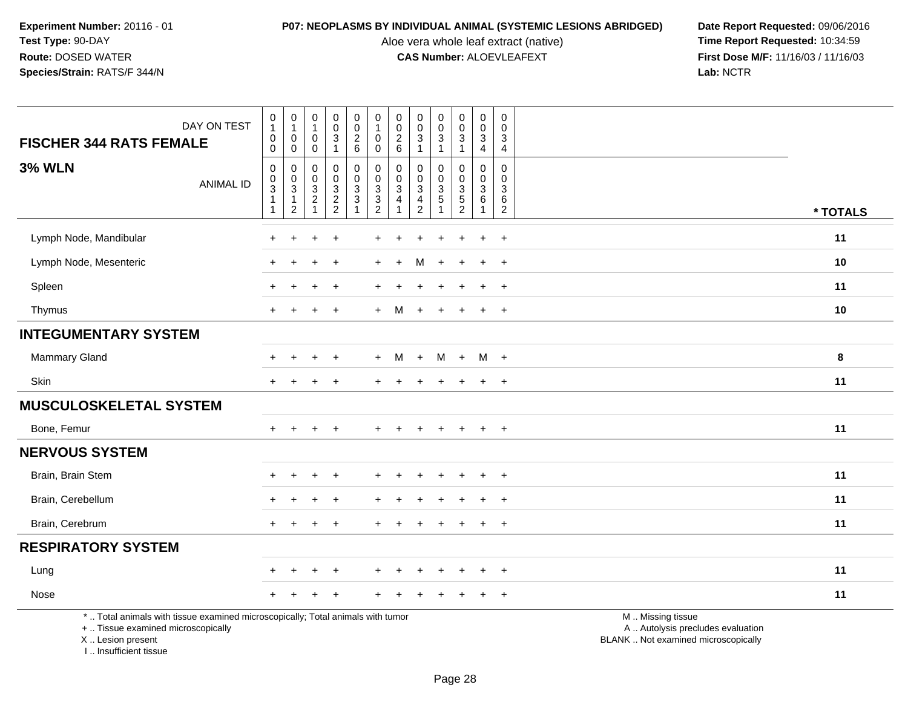I .. Insufficient tissue

Aloe vera whole leaf extract (native)<br>**CAS Number:** ALOEVLEAFEXT

|                                                                                                                                            | DAY ON TEST      | $\begin{smallmatrix}0\\1\end{smallmatrix}$<br>$\pmb{0}$                    | $\begin{smallmatrix}0\\1\end{smallmatrix}$<br>0                         | 0<br>$\mathbf{1}$<br>0             | $\pmb{0}$<br>$\mathsf 0$<br>$\overline{3}$                  | 0<br>$\pmb{0}$<br>$\overline{c}$                            | $\pmb{0}$<br>$\mathbf{1}$<br>$\mathbf 0$                  | 0<br>$\pmb{0}$<br>$\boldsymbol{2}$ | 0<br>$\mathbf 0$<br>$\sqrt{3}$               | $\pmb{0}$<br>$\pmb{0}$<br>$\sqrt{3}$         | $\pmb{0}$<br>$\mathbf 0$<br>3                     | $\boldsymbol{0}$<br>$\mathbf 0$<br>$\mathsf 3$                     | $\mathbf 0$<br>$\Omega$<br>3                            |                                                                                               |
|--------------------------------------------------------------------------------------------------------------------------------------------|------------------|----------------------------------------------------------------------------|-------------------------------------------------------------------------|------------------------------------|-------------------------------------------------------------|-------------------------------------------------------------|-----------------------------------------------------------|------------------------------------|----------------------------------------------|----------------------------------------------|---------------------------------------------------|--------------------------------------------------------------------|---------------------------------------------------------|-----------------------------------------------------------------------------------------------|
| <b>FISCHER 344 RATS FEMALE</b>                                                                                                             |                  | $\mathbf 0$                                                                | $\mathbf 0$                                                             | 0                                  | $\mathbf{1}$                                                | $\,6\,$                                                     | $\mathbf 0$                                               | 6                                  | $\mathbf{1}$                                 | 1                                            | $\overline{1}$                                    | $\overline{4}$                                                     | $\overline{a}$                                          |                                                                                               |
| <b>3% WLN</b>                                                                                                                              | <b>ANIMAL ID</b> | $\mathbf 0$<br>$\pmb{0}$<br>$\overline{3}$<br>$\mathbf{1}$<br>$\mathbf{1}$ | 0<br>$\boldsymbol{0}$<br>$\mathbf{3}$<br>$\mathbf{1}$<br>$\overline{2}$ | 0<br>0<br>$\sqrt{3}$<br>$\sqrt{2}$ | $\mathbf 0$<br>$\pmb{0}$<br>$\overline{3}$<br>$\frac{2}{2}$ | 0<br>$\mathsf 0$<br>$\sqrt{3}$<br>$\ensuremath{\mathsf{3}}$ | $\mathbf 0$<br>$\mathbf 0$<br>$\sqrt{3}$<br>$\frac{3}{2}$ | 0<br>0<br>3<br>4                   | 0<br>$\Omega$<br>$\sqrt{3}$<br>$\frac{4}{2}$ | $\mathbf 0$<br>0<br>$\sqrt{3}$<br>$\sqrt{5}$ | 0<br>$\mathbf 0$<br>$\mathbf{3}$<br>$\frac{5}{2}$ | $\mathbf 0$<br>$\mathbf 0$<br>$\sqrt{3}$<br>$\,6\,$<br>$\mathbf 1$ | $\mathbf 0$<br>$\Omega$<br>3<br>$\,6$<br>$\overline{c}$ | * TOTALS                                                                                      |
| Lymph Node, Mandibular                                                                                                                     |                  | $+$                                                                        | $\ddot{}$                                                               | $\pm$                              | $\overline{1}$                                              |                                                             |                                                           |                                    |                                              |                                              |                                                   | $\ddot{}$                                                          | $\ddot{}$                                               | 11                                                                                            |
| Lymph Node, Mesenteric                                                                                                                     |                  |                                                                            |                                                                         |                                    | $\overline{1}$                                              |                                                             |                                                           |                                    | м                                            |                                              |                                                   |                                                                    | $\overline{+}$                                          | 10                                                                                            |
| Spleen                                                                                                                                     |                  |                                                                            |                                                                         |                                    |                                                             |                                                             |                                                           |                                    |                                              |                                              |                                                   |                                                                    | $+$                                                     | 11                                                                                            |
| Thymus                                                                                                                                     |                  | $+$                                                                        | $\ddot{}$                                                               | $\ddot{}$                          | $+$                                                         |                                                             | $+$                                                       | M                                  | $+$                                          | $\overline{+}$                               | $\overline{+}$                                    | $+$                                                                | $+$                                                     | 10                                                                                            |
| <b>INTEGUMENTARY SYSTEM</b>                                                                                                                |                  |                                                                            |                                                                         |                                    |                                                             |                                                             |                                                           |                                    |                                              |                                              |                                                   |                                                                    |                                                         |                                                                                               |
| Mammary Gland                                                                                                                              |                  |                                                                            |                                                                         | +                                  | $\overline{ }$                                              |                                                             | $+$                                                       | M                                  | $+$                                          | M                                            | $+$                                               | M +                                                                |                                                         | 8                                                                                             |
| Skin                                                                                                                                       |                  | $+$                                                                        | $\ddot{}$                                                               | $\ddot{}$                          | $\overline{+}$                                              |                                                             |                                                           |                                    |                                              |                                              |                                                   | $+$                                                                | $\ddot{}$                                               | 11                                                                                            |
| <b>MUSCULOSKELETAL SYSTEM</b>                                                                                                              |                  |                                                                            |                                                                         |                                    |                                                             |                                                             |                                                           |                                    |                                              |                                              |                                                   |                                                                    |                                                         |                                                                                               |
| Bone, Femur                                                                                                                                |                  | $+$                                                                        | $+$                                                                     | $+$                                | $\overline{+}$                                              |                                                             |                                                           |                                    |                                              | $\ddot{}$                                    | $\ddot{}$                                         | $+$                                                                | $+$                                                     | 11                                                                                            |
| <b>NERVOUS SYSTEM</b>                                                                                                                      |                  |                                                                            |                                                                         |                                    |                                                             |                                                             |                                                           |                                    |                                              |                                              |                                                   |                                                                    |                                                         |                                                                                               |
| Brain, Brain Stem                                                                                                                          |                  |                                                                            | $\ddot{}$                                                               | +                                  |                                                             |                                                             |                                                           |                                    |                                              |                                              |                                                   |                                                                    | $\ddot{}$                                               | 11                                                                                            |
| Brain, Cerebellum                                                                                                                          |                  |                                                                            | $\div$                                                                  | $\ddot{}$                          | $\overline{+}$                                              |                                                             |                                                           |                                    |                                              |                                              | $\div$                                            | $\pm$                                                              | $+$                                                     | 11                                                                                            |
| Brain, Cerebrum                                                                                                                            |                  |                                                                            |                                                                         |                                    |                                                             |                                                             |                                                           |                                    |                                              |                                              |                                                   |                                                                    | $+$                                                     | 11                                                                                            |
| <b>RESPIRATORY SYSTEM</b>                                                                                                                  |                  |                                                                            |                                                                         |                                    |                                                             |                                                             |                                                           |                                    |                                              |                                              |                                                   |                                                                    |                                                         |                                                                                               |
| Lung                                                                                                                                       |                  |                                                                            | $\ddot{}$                                                               | $+$                                | $\overline{1}$                                              |                                                             |                                                           |                                    |                                              |                                              | $\div$                                            | $\ddot{}$                                                          | $+$                                                     | 11                                                                                            |
| Nose                                                                                                                                       |                  |                                                                            |                                                                         |                                    |                                                             |                                                             |                                                           |                                    |                                              |                                              |                                                   |                                                                    | $\ddot{}$                                               | 11                                                                                            |
| *  Total animals with tissue examined microscopically; Total animals with tumor<br>+  Tissue examined microscopically<br>X  Lesion present |                  |                                                                            |                                                                         |                                    |                                                             |                                                             |                                                           |                                    |                                              |                                              |                                                   |                                                                    |                                                         | M  Missing tissue<br>A  Autolysis precludes evaluation<br>BLANK  Not examined microscopically |